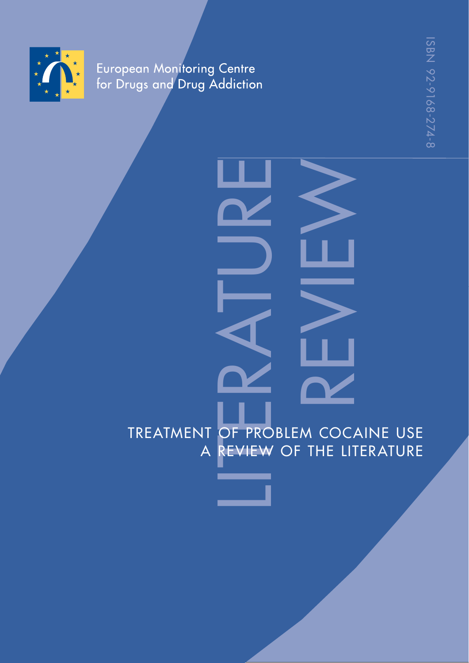

European Monitoring Centre<br>for Drugs and Drug Addiction

# LINGE PRODUCTION TREATMENT OF PROBLEM COCAINE USE<br>A REVIEW OF THE LITERATURE A REVIEW OF THE LITERATURE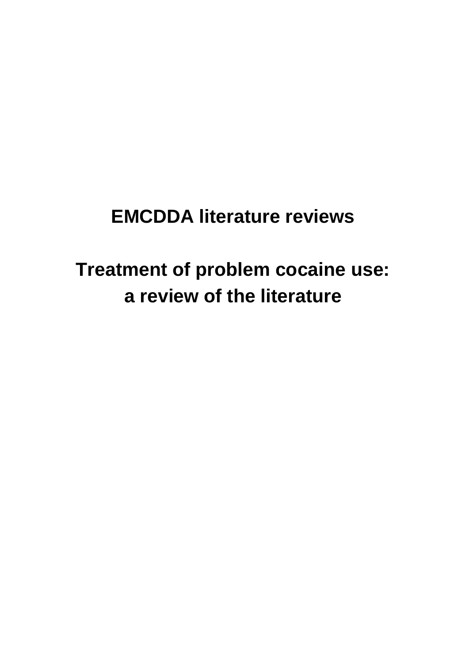# **EMCDDA literature reviews**

# **Treatment of problem cocaine use: a review of the literature**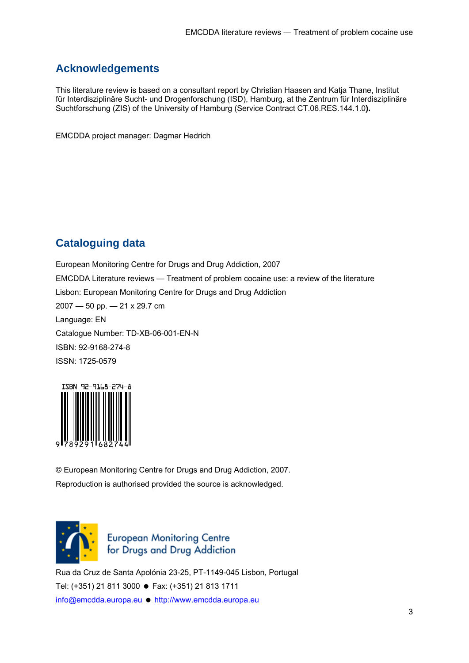# **Acknowledgements**

This literature review is based on a consultant report by Christian Haasen and Katja Thane, Institut für Interdisziplinäre Sucht- und Drogenforschung (ISD), Hamburg, at the Zentrum für Interdisziplinäre Suchtforschung (ZIS) of the University of Hamburg (Service Contract CT.06.RES.144.1.0**).**

EMCDDA project manager: Dagmar Hedrich

# **Cataloguing data**

European Monitoring Centre for Drugs and Drug Addiction, 2007 EMCDDA Literature reviews — Treatment of problem cocaine use: a review of the literature Lisbon: European Monitoring Centre for Drugs and Drug Addiction 2007 — 50 pp. — 21 x 29.7 cm Language: EN Catalogue Number: TD-XB-06-001-EN-N ISBN: 92-9168-274-8 ISSN: 1725-0579



© European Monitoring Centre for Drugs and Drug Addiction, 2007. Reproduction is authorised provided the source is acknowledged.



European Monitoring Centre<br>for Drugs and Drug Addiction

Rua da Cruz de Santa Apolónia 23-25, PT-1149-045 Lisbon, Portugal Tel: (+351) 21 811 3000 ● Fax: (+351) 21 813 1711 info@emcdda.europa.eu ● http://www.emcdda.europa.eu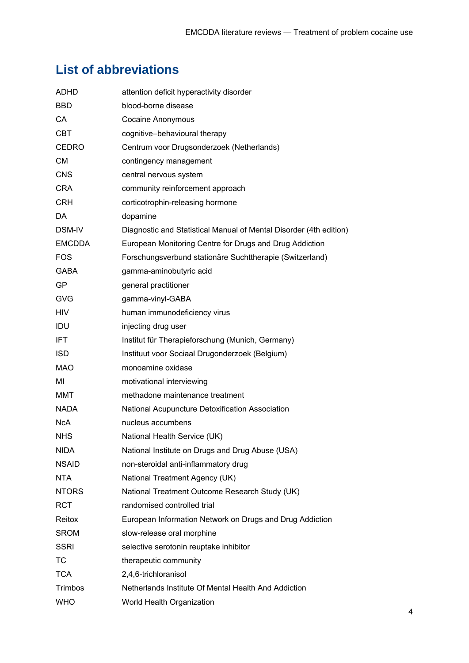# **List of abbreviations**

| ADHD          | attention deficit hyperactivity disorder                           |
|---------------|--------------------------------------------------------------------|
| <b>BBD</b>    | blood-borne disease                                                |
| CA            | <b>Cocaine Anonymous</b>                                           |
| <b>CBT</b>    | cognitive-behavioural therapy                                      |
| <b>CEDRO</b>  | Centrum voor Drugsonderzoek (Netherlands)                          |
| <b>CM</b>     | contingency management                                             |
| <b>CNS</b>    | central nervous system                                             |
| <b>CRA</b>    | community reinforcement approach                                   |
| <b>CRH</b>    | corticotrophin-releasing hormone                                   |
| DA.           | dopamine                                                           |
| DSM-IV        | Diagnostic and Statistical Manual of Mental Disorder (4th edition) |
| <b>EMCDDA</b> | European Monitoring Centre for Drugs and Drug Addiction            |
| <b>FOS</b>    | Forschungsverbund stationäre Suchttherapie (Switzerland)           |
| <b>GABA</b>   | gamma-aminobutyric acid                                            |
| <b>GP</b>     | general practitioner                                               |
| <b>GVG</b>    | gamma-vinyl-GABA                                                   |
| <b>HIV</b>    | human immunodeficiency virus                                       |
| IDU           | injecting drug user                                                |
| IFT.          | Institut für Therapieforschung (Munich, Germany)                   |
| <b>ISD</b>    | Instituut voor Sociaal Drugonderzoek (Belgium)                     |
| <b>MAO</b>    | monoamine oxidase                                                  |
| MI            | motivational interviewing                                          |
| MMT           | methadone maintenance treatment                                    |
| <b>NADA</b>   | National Acupuncture Detoxification Association                    |
| NcA.          | nucleus accumbens                                                  |
| <b>NHS</b>    | National Health Service (UK)                                       |
| <b>NIDA</b>   | National Institute on Drugs and Drug Abuse (USA)                   |
| <b>NSAID</b>  | non-steroidal anti-inflammatory drug                               |
| <b>NTA</b>    | National Treatment Agency (UK)                                     |
| <b>NTORS</b>  | National Treatment Outcome Research Study (UK)                     |
| <b>RCT</b>    | randomised controlled trial                                        |
| Reitox        | European Information Network on Drugs and Drug Addiction           |
| <b>SROM</b>   | slow-release oral morphine                                         |
| <b>SSRI</b>   | selective serotonin reuptake inhibitor                             |
| ТC            | therapeutic community                                              |
| <b>TCA</b>    | 2,4,6-trichloranisol                                               |
| Trimbos       | Netherlands Institute Of Mental Health And Addiction               |
| <b>WHO</b>    | World Health Organization                                          |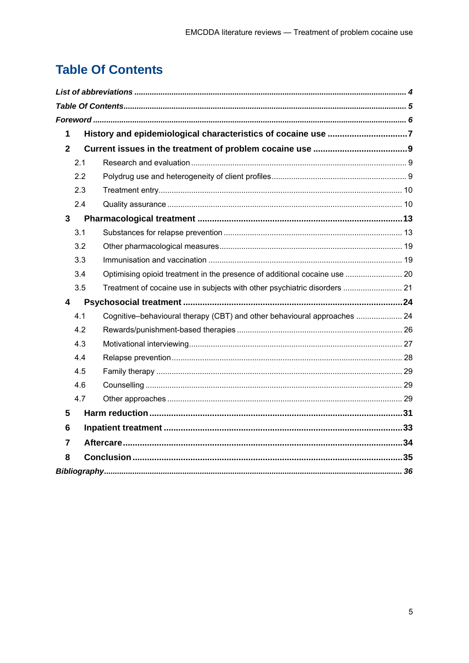# **Table Of Contents**

| History and epidemiological characteristics of cocaine use 7<br>$\mathbf 1$      |  |  |
|----------------------------------------------------------------------------------|--|--|
| $\overline{2}$                                                                   |  |  |
| 2.1                                                                              |  |  |
| 2.2                                                                              |  |  |
| 2.3                                                                              |  |  |
| 2.4                                                                              |  |  |
| $\overline{3}$                                                                   |  |  |
| 3.1                                                                              |  |  |
| 3.2                                                                              |  |  |
| 3.3                                                                              |  |  |
| Optimising opioid treatment in the presence of additional cocaine use  20<br>3.4 |  |  |
| 3.5<br>Treatment of cocaine use in subjects with other psychiatric disorders  21 |  |  |
| $\overline{\mathbf{4}}$                                                          |  |  |
| Cognitive-behavioural therapy (CBT) and other behavioural approaches  24<br>4.1  |  |  |
| 4.2                                                                              |  |  |
| 4.3                                                                              |  |  |
| 4.4                                                                              |  |  |
| 4.5                                                                              |  |  |
| 4.6                                                                              |  |  |
| 4.7                                                                              |  |  |
| 5                                                                                |  |  |
| 6                                                                                |  |  |
| $\overline{7}$                                                                   |  |  |
| 8                                                                                |  |  |
|                                                                                  |  |  |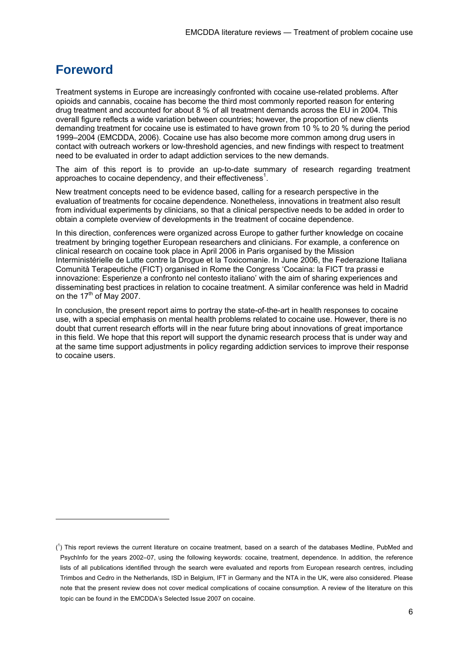# **Foreword**

1

Treatment systems in Europe are increasingly confronted with cocaine use-related problems. After opioids and cannabis, cocaine has become the third most commonly reported reason for entering drug treatment and accounted for about 8 % of all treatment demands across the EU in 2004. This overall figure reflects a wide variation between countries; however, the proportion of new clients demanding treatment for cocaine use is estimated to have grown from 10 % to 20 % during the period 1999–2004 (EMCDDA, 2006). Cocaine use has also become more common among drug users in contact with outreach workers or low-threshold agencies, and new findings with respect to treatment need to be evaluated in order to adapt addiction services to the new demands.

The aim of this report is to provide an up-to-date summary of research regarding treatment approaches to cocaine dependency, and their effectiveness<sup>1</sup>.

New treatment concepts need to be evidence based, calling for a research perspective in the evaluation of treatments for cocaine dependence. Nonetheless, innovations in treatment also result from individual experiments by clinicians, so that a clinical perspective needs to be added in order to obtain a complete overview of developments in the treatment of cocaine dependence.

In this direction, conferences were organized across Europe to gather further knowledge on cocaine treatment by bringing together European researchers and clinicians. For example, a conference on clinical research on cocaine took place in April 2006 in Paris organised by the Mission Interministérielle de Lutte contre la Drogue et la Toxicomanie. In June 2006, the Federazione Italiana Comunità Terapeutiche (FICT) organised in Rome the Congress 'Cocaina: la FICT tra prassi e innovazione: Esperienze a confronto nel contesto italiano' with the aim of sharing experiences and disseminating best practices in relation to cocaine treatment. A similar conference was held in Madrid on the  $17<sup>th</sup>$  of May 2007.

In conclusion, the present report aims to portray the state-of-the-art in health responses to cocaine use, with a special emphasis on mental health problems related to cocaine use. However, there is no doubt that current research efforts will in the near future bring about innovations of great importance in this field. We hope that this report will support the dynamic research process that is under way and at the same time support adjustments in policy regarding addiction services to improve their response to cocaine users.

 $(1)$  This report reviews the current literature on cocaine treatment, based on a search of the databases Medline, PubMed and PsychInfo for the years 2002–07, using the following keywords: cocaine, treatment, dependence. In addition, the reference lists of all publications identified through the search were evaluated and reports from European research centres, including Trimbos and Cedro in the Netherlands, ISD in Belgium, IFT in Germany and the NTA in the UK, were also considered. Please note that the present review does not cover medical complications of cocaine consumption. A review of the literature on this topic can be found in the EMCDDA's Selected Issue 2007 on cocaine.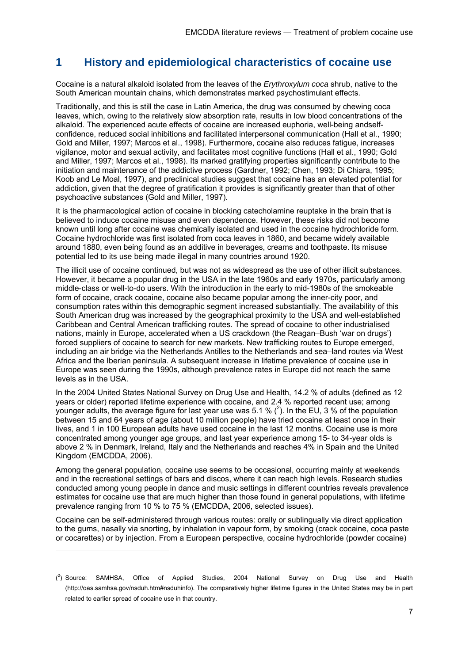### **1 History and epidemiological characteristics of cocaine use**

Cocaine is a natural alkaloid isolated from the leaves of the *Erythroxylum coca* shrub, native to the South American mountain chains, which demonstrates marked psychostimulant effects.

Traditionally, and this is still the case in Latin America, the drug was consumed by chewing coca leaves, which, owing to the relatively slow absorption rate, results in low blood concentrations of the alkaloid. The experienced acute effects of cocaine are increased euphoria, well-being andselfconfidence, reduced social inhibitions and facilitated interpersonal communication (Hall et al., 1990; Gold and Miller, 1997; Marcos et al., 1998). Furthermore, cocaine also reduces fatigue, increases vigilance, motor and sexual activity, and facilitates most cognitive functions (Hall et al., 1990; Gold and Miller, 1997; Marcos et al., 1998). Its marked gratifying properties significantly contribute to the initiation and maintenance of the addictive process (Gardner, 1992; Chen, 1993; Di Chiara, 1995; Koob and Le Moal, 1997), and preclinical studies suggest that cocaine has an elevated potential for addiction, given that the degree of gratification it provides is significantly greater than that of other psychoactive substances (Gold and Miller, 1997).

It is the pharmacological action of cocaine in blocking catecholamine reuptake in the brain that is believed to induce cocaine misuse and even dependence. However, these risks did not become known until long after cocaine was chemically isolated and used in the cocaine hydrochloride form. Cocaine hydrochloride was first isolated from coca leaves in 1860, and became widely available around 1880, even being found as an additive in beverages, creams and toothpaste. Its misuse potential led to its use being made illegal in many countries around 1920.

The illicit use of cocaine continued, but was not as widespread as the use of other illicit substances. However, it became a popular drug in the USA in the late 1960s and early 1970s, particularly among middle-class or well-to-do users. With the introduction in the early to mid-1980s of the smokeable form of cocaine, crack cocaine, cocaine also became popular among the inner-city poor, and consumption rates within this demographic segment increased substantially. The availability of this South American drug was increased by the geographical proximity to the USA and well-established Caribbean and Central American trafficking routes. The spread of cocaine to other industrialised nations, mainly in Europe, accelerated when a US crackdown (the Reagan–Bush 'war on drugs') forced suppliers of cocaine to search for new markets. New trafficking routes to Europe emerged, including an air bridge via the Netherlands Antilles to the Netherlands and sea–land routes via West Africa and the Iberian peninsula. A subsequent increase in lifetime prevalence of cocaine use in Europe was seen during the 1990s, although prevalence rates in Europe did not reach the same levels as in the USA.

In the 2004 United States National Survey on Drug Use and Health, 14.2 % of adults (defined as 12 years or older) reported lifetime experience with cocaine, and 2.4 % reported recent use; among younger adults, the average figure for last year use was 5.1 %  $(^2)$ . In the EU, 3 % of the population between 15 and 64 years of age (about 10 million people) have tried cocaine at least once in their lives, and 1 in 100 European adults have used cocaine in the last 12 months. Cocaine use is more concentrated among younger age groups, and last year experience among 15- to 34-year olds is above 2 % in Denmark, Ireland, Italy and the Netherlands and reaches 4% in Spain and the United Kingdom (EMCDDA, 2006).

Among the general population, cocaine use seems to be occasional, occurring mainly at weekends and in the recreational settings of bars and discos, where it can reach high levels. Research studies conducted among young people in dance and music settings in different countries reveals prevalence estimates for cocaine use that are much higher than those found in general populations, with lifetime prevalence ranging from 10 % to 75 % (EMCDDA, 2006, selected issues).

Cocaine can be self-administered through various routes: orally or sublingually via direct application to the gums, nasally via snorting, by inhalation in vapour form, by smoking (crack cocaine, coca paste or cocarettes) or by injection. From a European perspective, cocaine hydrochloride (powder cocaine)

1

 $(^2)$  Source: SAMHSA, Office of Applied Studies, 2004 National Survey on Drug Use and Health (http://oas.samhsa.gov/nsduh.htm#nsduhinfo). The comparatively higher lifetime figures in the United States may be in part related to earlier spread of cocaine use in that country.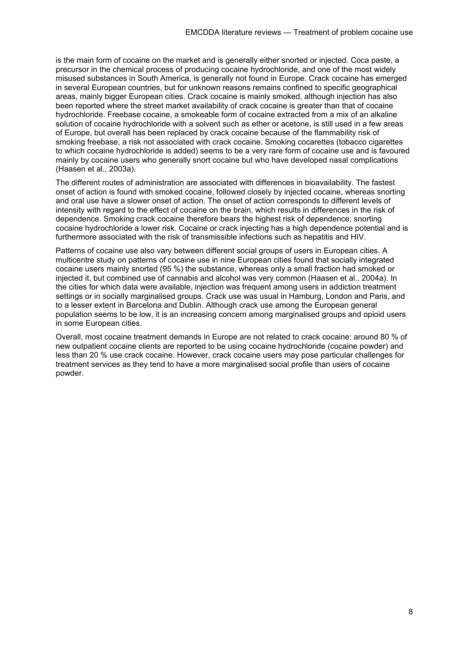is the main form of cocaine on the market and is generally either snorted or injected. Coca paste, a precursor in the chemical process of producing cocaine hydrochloride, and one of the most widely misused substances in South America, is generally not found in Europe. Crack cocaine has emerged in several European countries, but for unknown reasons remains confined to specific geographical areas, mainly bigger European cities. Crack cocaine is mainly smoked, although injection has also been reported where the street market availability of crack cocaine is greater than that of cocaine hydrochloride. Freebase cocaine, a smokeable form of cocaine extracted from a mix of an alkaline solution of cocaine hydrochloride with a solvent such as ether or acetone, is still used in a few areas of Europe, but overall has been replaced by crack cocaine because of the flammability risk of smoking freebase, a risk not associated with crack cocaine. Smoking cocarettes (tobacco cigarettes to which cocaine hydrochloride is added) seems to be a very rare form of cocaine use and is favoured mainly by cocaine users who generally snort cocaine but who have developed nasal complications (Haasen et al., 2003a).

The different routes of administration are associated with differences in bioavailability. The fastest onset of action is found with smoked cocaine, followed closely by injected cocaine, whereas snorting and oral use have a slower onset of action. The onset of action corresponds to different levels of intensity with regard to the effect of cocaine on the brain, which results in differences in the risk of dependence. Smoking crack cocaine therefore bears the highest risk of dependence; snorting cocaine hydrochloride a lower risk. Cocaine or crack injecting has a high dependence potential and is furthermore associated with the risk of transmissible infections such as hepatitis and HIV.

Patterns of cocaine use also vary between different social groups of users in European cities. A multicentre study on patterns of cocaine use in nine European cities found that socially integrated cocaine users mainly snorted (95 %) the substance, whereas only a small fraction had smoked or injected it, but combined use of cannabis and alcohol was very common (Haasen et al., 2004a). In the cities for which data were available, injection was frequent among users in addiction treatment settings or in socially marginalised groups. Crack use was usual in Hamburg, London and Paris, and to a lesser extent in Barcelona and Dublin. Although crack use among the European general population seems to be low, it is an increasing concern among marginalised groups and opioid users in some European cities.

Overall, most cocaine treatment demands in Europe are not related to crack cocaine: around 80 % of new outpatient cocaine clients are reported to be using cocaine hydrochloride (cocaine powder) and less than 20 % use crack cocaine. However, crack cocaine users may pose particular challenges for treatment services as they tend to have a more marginalised social profile than users of cocaine powder.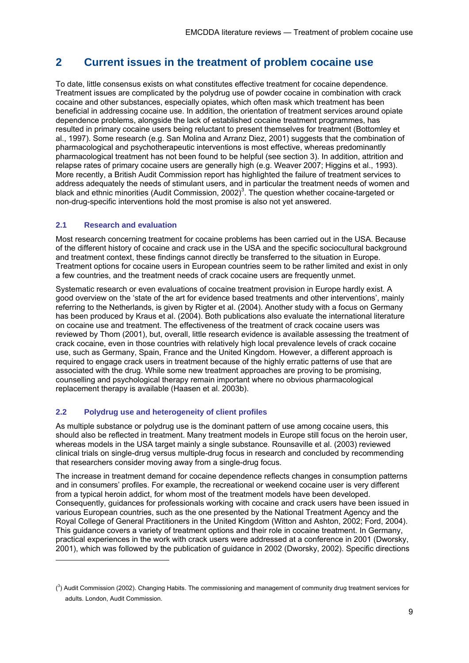# **2 Current issues in the treatment of problem cocaine use**

To date, little consensus exists on what constitutes effective treatment for cocaine dependence. Treatment issues are complicated by the polydrug use of powder cocaine in combination with crack cocaine and other substances, especially opiates, which often mask which treatment has been beneficial in addressing cocaine use. In addition, the orientation of treatment services around opiate dependence problems, alongside the lack of established cocaine treatment programmes, has resulted in primary cocaine users being reluctant to present themselves for treatment (Bottomley et al., 1997). Some research (e.g. San Molina and Arranz Diez, 2001) suggests that the combination of pharmacological and psychotherapeutic interventions is most effective, whereas predominantly pharmacological treatment has not been found to be helpful (see section 3). In addition, attrition and relapse rates of primary cocaine users are generally high (e.g. Weaver 2007; Higgins et al., 1993). More recently, a British Audit Commission report has highlighted the failure of treatment services to address adequately the needs of stimulant users, and in particular the treatment needs of women and black and ethnic minorities (Audit Commission, 2002)<sup>3</sup>. The question whether cocaine-targeted or non-drug-specific interventions hold the most promise is also not yet answered.

#### **2.1 Research and evaluation**

-

Most research concerning treatment for cocaine problems has been carried out in the USA. Because of the different history of cocaine and crack use in the USA and the specific sociocultural background and treatment context, these findings cannot directly be transferred to the situation in Europe. Treatment options for cocaine users in European countries seem to be rather limited and exist in only a few countries, and the treatment needs of crack cocaine users are frequently unmet.

Systematic research or even evaluations of cocaine treatment provision in Europe hardly exist. A good overview on the 'state of the art for evidence based treatments and other interventions', mainly referring to the Netherlands, is given by Rigter et al. (2004). Another study with a focus on Germany has been produced by Kraus et al. (2004). Both publications also evaluate the international literature on cocaine use and treatment. The effectiveness of the treatment of crack cocaine users was reviewed by Thom (2001), but, overall, little research evidence is available assessing the treatment of crack cocaine, even in those countries with relatively high local prevalence levels of crack cocaine use, such as Germany, Spain, France and the United Kingdom. However, a different approach is required to engage crack users in treatment because of the highly erratic patterns of use that are associated with the drug. While some new treatment approaches are proving to be promising, counselling and psychological therapy remain important where no obvious pharmacological replacement therapy is available (Haasen et al. 2003b).

#### **2.2 Polydrug use and heterogeneity of client profiles**

As multiple substance or polydrug use is the dominant pattern of use among cocaine users, this should also be reflected in treatment. Many treatment models in Europe still focus on the heroin user, whereas models in the USA target mainly a single substance. Rounsaville et al. (2003) reviewed clinical trials on single-drug versus multiple-drug focus in research and concluded by recommending that researchers consider moving away from a single-drug focus.

The increase in treatment demand for cocaine dependence reflects changes in consumption patterns and in consumers' profiles. For example, the recreational or weekend cocaine user is very different from a typical heroin addict, for whom most of the treatment models have been developed. Consequently, guidances for professionals working with cocaine and crack users have been issued in various European countries, such as the one presented by the National Treatment Agency and the Royal College of General Practitioners in the United Kingdom (Witton and Ashton, 2002; Ford, 2004). This guidance covers a variety of treatment options and their role in cocaine treatment. In Germany, practical experiences in the work with crack users were addressed at a conference in 2001 (Dworsky, 2001), which was followed by the publication of guidance in 2002 (Dworsky, 2002). Specific directions

 $(3)$  Audit Commission (2002). Changing Habits. The commissioning and management of community drug treatment services for adults. London, Audit Commission.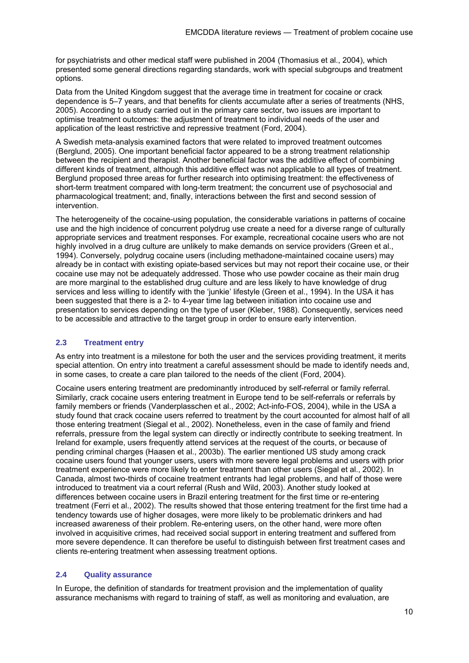for psychiatrists and other medical staff were published in 2004 (Thomasius et al., 2004), which presented some general directions regarding standards, work with special subgroups and treatment options.

Data from the United Kingdom suggest that the average time in treatment for cocaine or crack dependence is 5–7 years, and that benefits for clients accumulate after a series of treatments (NHS, 2005). According to a study carried out in the primary care sector, two issues are important to optimise treatment outcomes: the adjustment of treatment to individual needs of the user and application of the least restrictive and repressive treatment (Ford, 2004).

A Swedish meta-analysis examined factors that were related to improved treatment outcomes (Berglund, 2005). One important beneficial factor appeared to be a strong treatment relationship between the recipient and therapist. Another beneficial factor was the additive effect of combining different kinds of treatment, although this additive effect was not applicable to all types of treatment. Berglund proposed three areas for further research into optimising treatment: the effectiveness of short-term treatment compared with long-term treatment; the concurrent use of psychosocial and pharmacological treatment; and, finally, interactions between the first and second session of intervention.

The heterogeneity of the cocaine-using population, the considerable variations in patterns of cocaine use and the high incidence of concurrent polydrug use create a need for a diverse range of culturally appropriate services and treatment responses. For example, recreational cocaine users who are not highly involved in a drug culture are unlikely to make demands on service providers (Green et al., 1994). Conversely, polydrug cocaine users (including methadone-maintained cocaine users) may already be in contact with existing opiate-based services but may not report their cocaine use, or their cocaine use may not be adequately addressed. Those who use powder cocaine as their main drug are more marginal to the established drug culture and are less likely to have knowledge of drug services and less willing to identify with the 'junkie' lifestyle (Green et al., 1994). In the USA it has been suggested that there is a 2- to 4-year time lag between initiation into cocaine use and presentation to services depending on the type of user (Kleber, 1988). Consequently, services need to be accessible and attractive to the target group in order to ensure early intervention.

#### **2.3 Treatment entry**

As entry into treatment is a milestone for both the user and the services providing treatment, it merits special attention. On entry into treatment a careful assessment should be made to identify needs and, in some cases, to create a care plan tailored to the needs of the client (Ford, 2004).

Cocaine users entering treatment are predominantly introduced by self-referral or family referral. Similarly, crack cocaine users entering treatment in Europe tend to be self-referrals or referrals by family members or friends (Vanderplasschen et al., 2002; Act-info-FOS, 2004), while in the USA a study found that crack cocaine users referred to treatment by the court accounted for almost half of all those entering treatment (Siegal et al., 2002). Nonetheless, even in the case of family and friend referrals, pressure from the legal system can directly or indirectly contribute to seeking treatment. In Ireland for example, users frequently attend services at the request of the courts, or because of pending criminal charges (Haasen et al., 2003b). The earlier mentioned US study among crack cocaine users found that younger users, users with more severe legal problems and users with prior treatment experience were more likely to enter treatment than other users (Siegal et al., 2002). In Canada, almost two-thirds of cocaine treatment entrants had legal problems, and half of those were introduced to treatment via a court referral (Rush and Wild, 2003). Another study looked at differences between cocaine users in Brazil entering treatment for the first time or re-entering treatment (Ferri et al., 2002). The results showed that those entering treatment for the first time had a tendency towards use of higher dosages, were more likely to be problematic drinkers and had increased awareness of their problem. Re-entering users, on the other hand, were more often involved in acquisitive crimes, had received social support in entering treatment and suffered from more severe dependence. It can therefore be useful to distinguish between first treatment cases and clients re-entering treatment when assessing treatment options.

#### **2.4 Quality assurance**

In Europe, the definition of standards for treatment provision and the implementation of quality assurance mechanisms with regard to training of staff, as well as monitoring and evaluation, are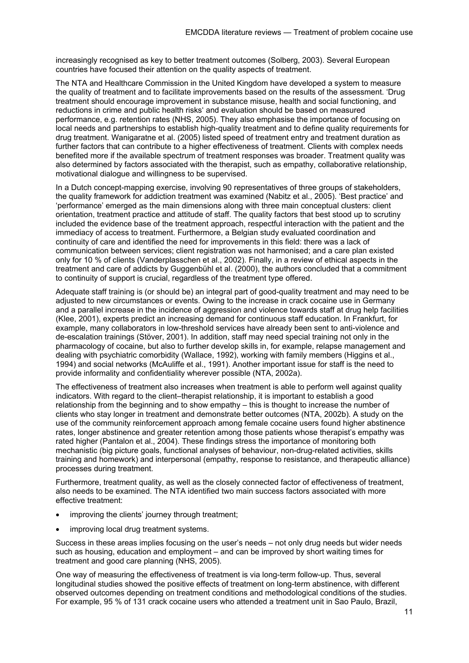increasingly recognised as key to better treatment outcomes (Solberg, 2003). Several European countries have focused their attention on the quality aspects of treatment.

The NTA and Healthcare Commission in the United Kingdom have developed a system to measure the quality of treatment and to facilitate improvements based on the results of the assessment. 'Drug treatment should encourage improvement in substance misuse, health and social functioning, and reductions in crime and public health risks' and evaluation should be based on measured performance, e.g. retention rates (NHS, 2005). They also emphasise the importance of focusing on local needs and partnerships to establish high-quality treatment and to define quality requirements for drug treatment. Wanigaratne et al. (2005) listed speed of treatment entry and treatment duration as further factors that can contribute to a higher effectiveness of treatment. Clients with complex needs benefited more if the available spectrum of treatment responses was broader. Treatment quality was also determined by factors associated with the therapist, such as empathy, collaborative relationship, motivational dialogue and willingness to be supervised.

In a Dutch concept-mapping exercise, involving 90 representatives of three groups of stakeholders, the quality framework for addiction treatment was examined (Nabitz et al., 2005). 'Best practice' and 'performance' emerged as the main dimensions along with three main conceptual clusters: client orientation, treatment practice and attitude of staff. The quality factors that best stood up to scrutiny included the evidence base of the treatment approach, respectful interaction with the patient and the immediacy of access to treatment. Furthermore, a Belgian study evaluated coordination and continuity of care and identified the need for improvements in this field: there was a lack of communication between services; client registration was not harmonised; and a care plan existed only for 10 % of clients (Vanderplasschen et al., 2002). Finally, in a review of ethical aspects in the treatment and care of addicts by Guggenbühl et al. (2000), the authors concluded that a commitment to continuity of support is crucial, regardless of the treatment type offered.

Adequate staff training is (or should be) an integral part of good-quality treatment and may need to be adjusted to new circumstances or events. Owing to the increase in crack cocaine use in Germany and a parallel increase in the incidence of aggression and violence towards staff at drug help facilities (Klee, 2001), experts predict an increasing demand for continuous staff education. In Frankfurt, for example, many collaborators in low-threshold services have already been sent to anti-violence and de-escalation trainings (Stöver, 2001). In addition, staff may need special training not only in the pharmacology of cocaine, but also to further develop skills in, for example, relapse management and dealing with psychiatric comorbidity (Wallace, 1992), working with family members (Higgins et al., 1994) and social networks (McAuliffe et al., 1991). Another important issue for staff is the need to provide informality and confidentiality wherever possible (NTA, 2002a).

The effectiveness of treatment also increases when treatment is able to perform well against quality indicators. With regard to the client–therapist relationship, it is important to establish a good relationship from the beginning and to show empathy – this is thought to increase the number of clients who stay longer in treatment and demonstrate better outcomes (NTA, 2002b). A study on the use of the community reinforcement approach among female cocaine users found higher abstinence rates, longer abstinence and greater retention among those patients whose therapist's empathy was rated higher (Pantalon et al., 2004). These findings stress the importance of monitoring both mechanistic (big picture goals, functional analyses of behaviour, non-drug-related activities, skills training and homework) and interpersonal (empathy, response to resistance, and therapeutic alliance) processes during treatment.

Furthermore, treatment quality, as well as the closely connected factor of effectiveness of treatment, also needs to be examined. The NTA identified two main success factors associated with more effective treatment:

- improving the clients' journey through treatment:
- improving local drug treatment systems.

Success in these areas implies focusing on the user's needs – not only drug needs but wider needs such as housing, education and employment – and can be improved by short waiting times for treatment and good care planning (NHS, 2005).

One way of measuring the effectiveness of treatment is via long-term follow-up. Thus, several longitudinal studies showed the positive effects of treatment on long-term abstinence, with different observed outcomes depending on treatment conditions and methodological conditions of the studies. For example, 95 % of 131 crack cocaine users who attended a treatment unit in Sao Paulo, Brazil,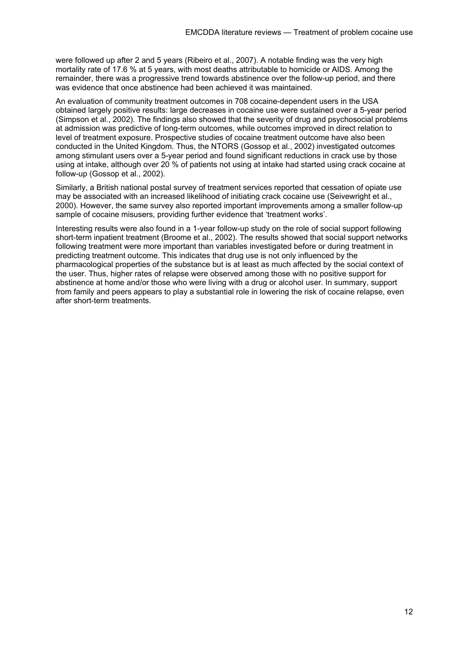were followed up after 2 and 5 years (Ribeiro et al., 2007). A notable finding was the very high mortality rate of 17.6 % at 5 years, with most deaths attributable to homicide or AIDS. Among the remainder, there was a progressive trend towards abstinence over the follow-up period, and there was evidence that once abstinence had been achieved it was maintained.

An evaluation of community treatment outcomes in 708 cocaine-dependent users in the USA obtained largely positive results: large decreases in cocaine use were sustained over a 5-year period (Simpson et al., 2002). The findings also showed that the severity of drug and psychosocial problems at admission was predictive of long-term outcomes, while outcomes improved in direct relation to level of treatment exposure. Prospective studies of cocaine treatment outcome have also been conducted in the United Kingdom. Thus, the NTORS (Gossop et al., 2002) investigated outcomes among stimulant users over a 5-year period and found significant reductions in crack use by those using at intake, although over 20 % of patients not using at intake had started using crack cocaine at follow-up (Gossop et al., 2002).

Similarly, a British national postal survey of treatment services reported that cessation of opiate use may be associated with an increased likelihood of initiating crack cocaine use (Seivewright et al., 2000). However, the same survey also reported important improvements among a smaller follow-up sample of cocaine misusers, providing further evidence that 'treatment works'.

Interesting results were also found in a 1-year follow-up study on the role of social support following short-term inpatient treatment (Broome et al., 2002). The results showed that social support networks following treatment were more important than variables investigated before or during treatment in predicting treatment outcome. This indicates that drug use is not only influenced by the pharmacological properties of the substance but is at least as much affected by the social context of the user. Thus, higher rates of relapse were observed among those with no positive support for abstinence at home and/or those who were living with a drug or alcohol user. In summary, support from family and peers appears to play a substantial role in lowering the risk of cocaine relapse, even after short-term treatments.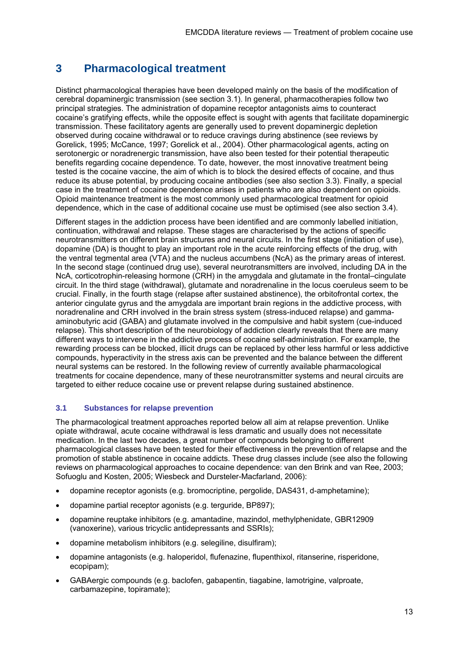# **3 Pharmacological treatment**

Distinct pharmacological therapies have been developed mainly on the basis of the modification of cerebral dopaminergic transmission (see section 3.1). In general, pharmacotherapies follow two principal strategies. The administration of dopamine receptor antagonists aims to counteract cocaine's gratifying effects, while the opposite effect is sought with agents that facilitate dopaminergic transmission. These facilitatory agents are generally used to prevent dopaminergic depletion observed during cocaine withdrawal or to reduce cravings during abstinence (see reviews by Gorelick, 1995; McCance, 1997; Gorelick et al., 2004). Other pharmacological agents, acting on serotonergic or noradrenergic transmission, have also been tested for their potential therapeutic benefits regarding cocaine dependence. To date, however, the most innovative treatment being tested is the cocaine vaccine, the aim of which is to block the desired effects of cocaine, and thus reduce its abuse potential, by producing cocaine antibodies (see also section 3.3). Finally, a special case in the treatment of cocaine dependence arises in patients who are also dependent on opioids. Opioid maintenance treatment is the most commonly used pharmacological treatment for opioid dependence, which in the case of additional cocaine use must be optimised (see also section 3.4).

Different stages in the addiction process have been identified and are commonly labelled initiation, continuation, withdrawal and relapse. These stages are characterised by the actions of specific neurotransmitters on different brain structures and neural circuits. In the first stage (initiation of use), dopamine (DA) is thought to play an important role in the acute reinforcing effects of the drug, with the ventral tegmental area (VTA) and the nucleus accumbens (NcA) as the primary areas of interest. In the second stage (continued drug use), several neurotransmitters are involved, including DA in the NcA, corticotrophin-releasing hormone (CRH) in the amygdala and glutamate in the frontal–cingulate circuit. In the third stage (withdrawal), glutamate and noradrenaline in the locus coeruleus seem to be crucial. Finally, in the fourth stage (relapse after sustained abstinence), the orbitofrontal cortex, the anterior cingulate gyrus and the amygdala are important brain regions in the addictive process, with noradrenaline and CRH involved in the brain stress system (stress-induced relapse) and gammaaminobutyric acid (GABA) and glutamate involved in the compulsive and habit system (cue-induced relapse). This short description of the neurobiology of addiction clearly reveals that there are many different ways to intervene in the addictive process of cocaine self-administration. For example, the rewarding process can be blocked, illicit drugs can be replaced by other less harmful or less addictive compounds, hyperactivity in the stress axis can be prevented and the balance between the different neural systems can be restored. In the following review of currently available pharmacological treatments for cocaine dependence, many of these neurotransmitter systems and neural circuits are targeted to either reduce cocaine use or prevent relapse during sustained abstinence.

#### **3.1 Substances for relapse prevention**

The pharmacological treatment approaches reported below all aim at relapse prevention. Unlike opiate withdrawal, acute cocaine withdrawal is less dramatic and usually does not necessitate medication. In the last two decades, a great number of compounds belonging to different pharmacological classes have been tested for their effectiveness in the prevention of relapse and the promotion of stable abstinence in cocaine addicts. These drug classes include (see also the following reviews on pharmacological approaches to cocaine dependence: van den Brink and van Ree, 2003; Sofuoglu and Kosten, 2005; Wiesbeck and Dursteler-Macfarland, 2006):

- dopamine receptor agonists (e.g. bromocriptine, pergolide, DAS431, d-amphetamine);
- dopamine partial receptor agonists (e.g. terguride, BP897);
- dopamine reuptake inhibitors (e.g. amantadine, mazindol, methylphenidate, GBR12909 (vanoxerine), various tricyclic antidepressants and SSRIs);
- dopamine metabolism inhibitors (e.g. selegiline, disulfiram);
- dopamine antagonists (e.g. haloperidol, flufenazine, flupenthixol, ritanserine, risperidone, ecopipam);
- GABAergic compounds (e.g. baclofen, gabapentin, tiagabine, lamotrigine, valproate, carbamazepine, topiramate);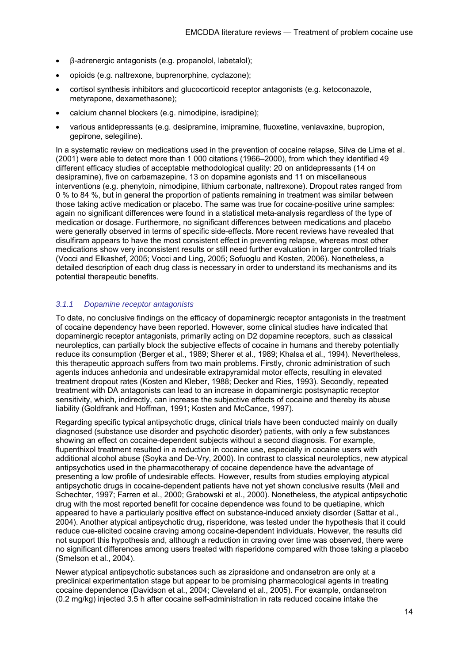- β-adrenergic antagonists (e.g. propanolol, labetalol);
- opioids (e.g. naltrexone, buprenorphine, cyclazone);
- cortisol synthesis inhibitors and glucocorticoid receptor antagonists (e.g. ketoconazole, metyrapone, dexamethasone);
- calcium channel blockers (e.g. nimodipine, isradipine);
- various antidepressants (e.g. desipramine, imipramine, fluoxetine, venlavaxine, bupropion, gepirone, selegiline).

In a systematic review on medications used in the prevention of cocaine relapse, Silva de Lima et al. (2001) were able to detect more than 1 000 citations (1966–2000), from which they identified 49 different efficacy studies of acceptable methodological quality: 20 on antidepressants (14 on desipramine), five on carbamazepine, 13 on dopamine agonists and 11 on miscellaneous interventions (e.g. phenytoin, nimodipine, lithium carbonate, naltrexone). Dropout rates ranged from 0 % to 84 %, but in general the proportion of patients remaining in treatment was similar between those taking active medication or placebo. The same was true for cocaine-positive urine samples: again no significant differences were found in a statistical meta-analysis regardless of the type of medication or dosage. Furthermore, no significant differences between medications and placebo were generally observed in terms of specific side-effects. More recent reviews have revealed that disulfiram appears to have the most consistent effect in preventing relapse, whereas most other medications show very inconsistent results or still need further evaluation in larger controlled trials (Vocci and Elkashef, 2005; Vocci and Ling, 2005; Sofuoglu and Kosten, 2006). Nonetheless, a detailed description of each drug class is necessary in order to understand its mechanisms and its potential therapeutic benefits.

#### *3.1.1 Dopamine receptor antagonists*

To date, no conclusive findings on the efficacy of dopaminergic receptor antagonists in the treatment of cocaine dependency have been reported. However, some clinical studies have indicated that dopaminergic receptor antagonists, primarily acting on D2 dopamine receptors, such as classical neuroleptics, can partially block the subjective effects of cocaine in humans and thereby potentially reduce its consumption (Berger et al., 1989; Sherer et al., 1989; Khalsa et al., 1994). Nevertheless, this therapeutic approach suffers from two main problems. Firstly, chronic administration of such agents induces anhedonia and undesirable extrapyramidal motor effects, resulting in elevated treatment dropout rates (Kosten and Kleber, 1988; Decker and Ries, 1993). Secondly, repeated treatment with DA antagonists can lead to an increase in dopaminergic postsynaptic receptor sensitivity, which, indirectly, can increase the subjective effects of cocaine and thereby its abuse liability (Goldfrank and Hoffman, 1991; Kosten and McCance, 1997).

Regarding specific typical antipsychotic drugs, clinical trials have been conducted mainly on dually diagnosed (substance use disorder and psychotic disorder) patients, with only a few substances showing an effect on cocaine-dependent subjects without a second diagnosis. For example, flupenthixol treatment resulted in a reduction in cocaine use, especially in cocaine users with additional alcohol abuse (Soyka and De-Vry, 2000). In contrast to classical neuroleptics, new atypical antipsychotics used in the pharmacotherapy of cocaine dependence have the advantage of presenting a low profile of undesirable effects. However, results from studies employing atypical antipsychotic drugs in cocaine-dependent patients have not yet shown conclusive results (Meil and Schechter, 1997; Farren et al., 2000; Grabowski et al., 2000). Nonetheless, the atypical antipsychotic drug with the most reported benefit for cocaine dependence was found to be quetiapine, which appeared to have a particularly positive effect on substance-induced anxiety disorder (Sattar et al., 2004). Another atypical antipsychotic drug, risperidone, was tested under the hypothesis that it could reduce cue-elicited cocaine craving among cocaine-dependent individuals. However, the results did not support this hypothesis and, although a reduction in craving over time was observed, there were no significant differences among users treated with risperidone compared with those taking a placebo (Smelson et al., 2004).

Newer atypical antipsychotic substances such as ziprasidone and ondansetron are only at a preclinical experimentation stage but appear to be promising pharmacological agents in treating cocaine dependence (Davidson et al., 2004; Cleveland et al., 2005). For example, ondansetron (0.2 mg/kg) injected 3.5 h after cocaine self-administration in rats reduced cocaine intake the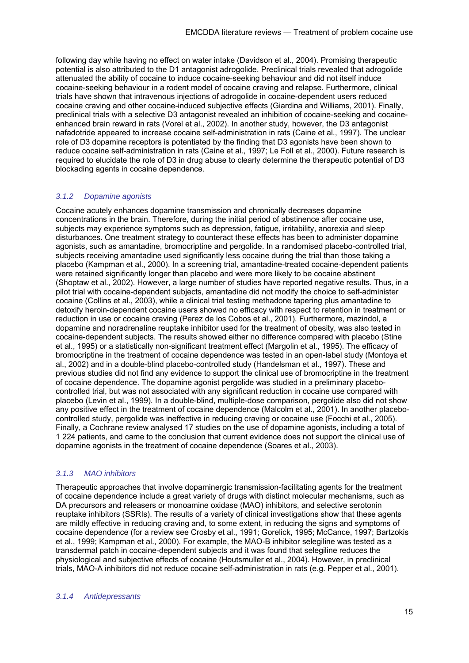following day while having no effect on water intake (Davidson et al., 2004). Promising therapeutic potential is also attributed to the D1 antagonist adrogolide. Preclinical trials revealed that adrogolide attenuated the ability of cocaine to induce cocaine-seeking behaviour and did not itself induce cocaine-seeking behaviour in a rodent model of cocaine craving and relapse. Furthermore, clinical trials have shown that intravenous injections of adrogolide in cocaine-dependent users reduced cocaine craving and other cocaine-induced subjective effects (Giardina and Williams, 2001). Finally, preclinical trials with a selective D3 antagonist revealed an inhibition of cocaine-seeking and cocaineenhanced brain reward in rats (Vorel et al., 2002). In another study, however, the D3 antagonist nafadotride appeared to increase cocaine self-administration in rats (Caine et al., 1997). The unclear role of D3 dopamine receptors is potentiated by the finding that D3 agonists have been shown to reduce cocaine self-administration in rats (Caine et al., 1997; Le Foll et al., 2000). Future research is required to elucidate the role of D3 in drug abuse to clearly determine the therapeutic potential of D3 blockading agents in cocaine dependence.

#### *3.1.2 Dopamine agonists*

Cocaine acutely enhances dopamine transmission and chronically decreases dopamine concentrations in the brain. Therefore, during the initial period of abstinence after cocaine use, subjects may experience symptoms such as depression, fatigue, irritability, anorexia and sleep disturbances. One treatment strategy to counteract these effects has been to administer dopamine agonists, such as amantadine, bromocriptine and pergolide. In a randomised placebo-controlled trial, subjects receiving amantadine used significantly less cocaine during the trial than those taking a placebo (Kampman et al., 2000). In a screening trial, amantadine-treated cocaine-dependent patients were retained significantly longer than placebo and were more likely to be cocaine abstinent (Shoptaw et al., 2002). However, a large number of studies have reported negative results. Thus, in a pilot trial with cocaine-dependent subjects, amantadine did not modify the choice to self-administer cocaine (Collins et al., 2003), while a clinical trial testing methadone tapering plus amantadine to detoxify heroin-dependent cocaine users showed no efficacy with respect to retention in treatment or reduction in use or cocaine craving (Perez de los Cobos et al., 2001). Furthermore, mazindol, a dopamine and noradrenaline reuptake inhibitor used for the treatment of obesity, was also tested in cocaine-dependent subjects. The results showed either no difference compared with placebo (Stine et al., 1995) or a statistically non-significant treatment effect (Margolin et al., 1995). The efficacy of bromocriptine in the treatment of cocaine dependence was tested in an open-label study (Montoya et al., 2002) and in a double-blind placebo-controlled study (Handelsman et al., 1997). These and previous studies did not find any evidence to support the clinical use of bromocriptine in the treatment of cocaine dependence. The dopamine agonist pergolide was studied in a preliminary placebocontrolled trial, but was not associated with any significant reduction in cocaine use compared with placebo (Levin et al., 1999). In a double-blind, multiple-dose comparison, pergolide also did not show any positive effect in the treatment of cocaine dependence (Malcolm et al., 2001). In another placebocontrolled study, pergolide was ineffective in reducing craving or cocaine use (Focchi et al., 2005). Finally, a Cochrane review analysed 17 studies on the use of dopamine agonists, including a total of 1 224 patients, and came to the conclusion that current evidence does not support the clinical use of dopamine agonists in the treatment of cocaine dependence (Soares et al., 2003).

#### *3.1.3 MAO inhibitors*

Therapeutic approaches that involve dopaminergic transmission-facilitating agents for the treatment of cocaine dependence include a great variety of drugs with distinct molecular mechanisms, such as DA precursors and releasers or monoamine oxidase (MAO) inhibitors, and selective serotonin reuptake inhibitors (SSRIs). The results of a variety of clinical investigations show that these agents are mildly effective in reducing craving and, to some extent, in reducing the signs and symptoms of cocaine dependence (for a review see Crosby et al., 1991; Gorelick, 1995; McCance, 1997; Bartzokis et al., 1999; Kampman et al., 2000). For example, the MAO-B inhibitor selegiline was tested as a transdermal patch in cocaine-dependent subjects and it was found that selegiline reduces the physiological and subjective effects of cocaine (Houtsmuller et al., 2004). However, in preclinical trials, MAO-A inhibitors did not reduce cocaine self-administration in rats (e.g. Pepper et al., 2001).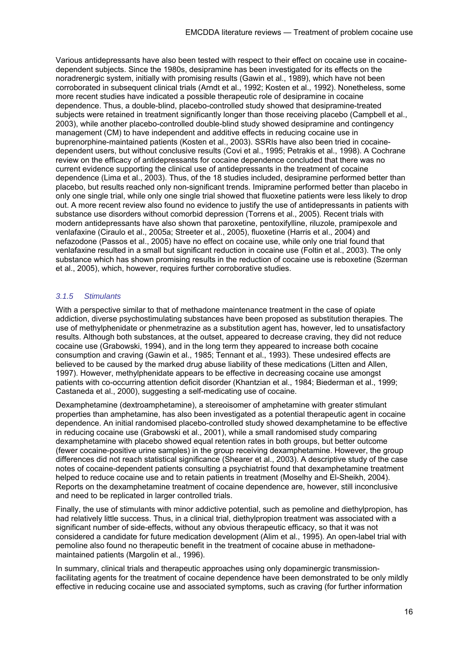Various antidepressants have also been tested with respect to their effect on cocaine use in cocainedependent subjects. Since the 1980s, desipramine has been investigated for its effects on the noradrenergic system, initially with promising results (Gawin et al., 1989), which have not been corroborated in subsequent clinical trials (Arndt et al., 1992; Kosten et al., 1992). Nonetheless, some more recent studies have indicated a possible therapeutic role of desipramine in cocaine dependence. Thus, a double-blind, placebo-controlled study showed that desipramine-treated subjects were retained in treatment significantly longer than those receiving placebo (Campbell et al., 2003), while another placebo-controlled double-blind study showed desipramine and contingency management (CM) to have independent and additive effects in reducing cocaine use in buprenorphine-maintained patients (Kosten et al., 2003). SSRIs have also been tried in cocainedependent users, but without conclusive results (Covi et al., 1995; Petrakis et al., 1998). A Cochrane review on the efficacy of antidepressants for cocaine dependence concluded that there was no current evidence supporting the clinical use of antidepressants in the treatment of cocaine dependence (Lima et al., 2003). Thus, of the 18 studies included, desipramine performed better than placebo, but results reached only non-significant trends. Imipramine performed better than placebo in only one single trial, while only one single trial showed that fluoxetine patients were less likely to drop out. A more recent review also found no evidence to justify the use of antidepressants in patients with substance use disorders without comorbid depression (Torrens et al., 2005). Recent trials with modern antidepressants have also shown that paroxetine, pentoxifylline, riluzole, pramipexole and venlafaxine (Ciraulo et al., 2005a; Streeter et al., 2005), fluoxetine (Harris et al., 2004) and nefazodone (Passos et al., 2005) have no effect on cocaine use, while only one trial found that venlafaxine resulted in a small but significant reduction in cocaine use (Foltin et al., 2003). The only substance which has shown promising results in the reduction of cocaine use is reboxetine (Szerman et al., 2005), which, however, requires further corroborative studies.

#### *3.1.5 Stimulants*

With a perspective similar to that of methadone maintenance treatment in the case of opiate addiction, diverse psychostimulating substances have been proposed as substitution therapies. The use of methylphenidate or phenmetrazine as a substitution agent has, however, led to unsatisfactory results. Although both substances, at the outset, appeared to decrease craving, they did not reduce cocaine use (Grabowski, 1994), and in the long term they appeared to increase both cocaine consumption and craving (Gawin et al., 1985; Tennant et al., 1993). These undesired effects are believed to be caused by the marked drug abuse liability of these medications (Litten and Allen, 1997). However, methylphenidate appears to be effective in decreasing cocaine use amongst patients with co-occurring attention deficit disorder (Khantzian et al., 1984; Biederman et al., 1999; Castaneda et al., 2000), suggesting a self-medicating use of cocaine.

Dexamphetamine (dextroamphetamine), a stereoisomer of amphetamine with greater stimulant properties than amphetamine, has also been investigated as a potential therapeutic agent in cocaine dependence. An initial randomised placebo-controlled study showed dexamphetamine to be effective in reducing cocaine use (Grabowski et al., 2001), while a small randomised study comparing dexamphetamine with placebo showed equal retention rates in both groups, but better outcome (fewer cocaine-positive urine samples) in the group receiving dexamphetamine. However, the group differences did not reach statistical significance (Shearer et al., 2003). A descriptive study of the case notes of cocaine-dependent patients consulting a psychiatrist found that dexamphetamine treatment helped to reduce cocaine use and to retain patients in treatment (Moselhy and El-Sheikh, 2004). Reports on the dexamphetamine treatment of cocaine dependence are, however, still inconclusive and need to be replicated in larger controlled trials.

Finally, the use of stimulants with minor addictive potential, such as pemoline and diethylpropion, has had relatively little success. Thus, in a clinical trial, diethylpropion treatment was associated with a significant number of side-effects, without any obvious therapeutic efficacy, so that it was not considered a candidate for future medication development (Alim et al., 1995). An open-label trial with pemoline also found no therapeutic benefit in the treatment of cocaine abuse in methadonemaintained patients (Margolin et al., 1996).

In summary, clinical trials and therapeutic approaches using only dopaminergic transmissionfacilitating agents for the treatment of cocaine dependence have been demonstrated to be only mildly effective in reducing cocaine use and associated symptoms, such as craving (for further information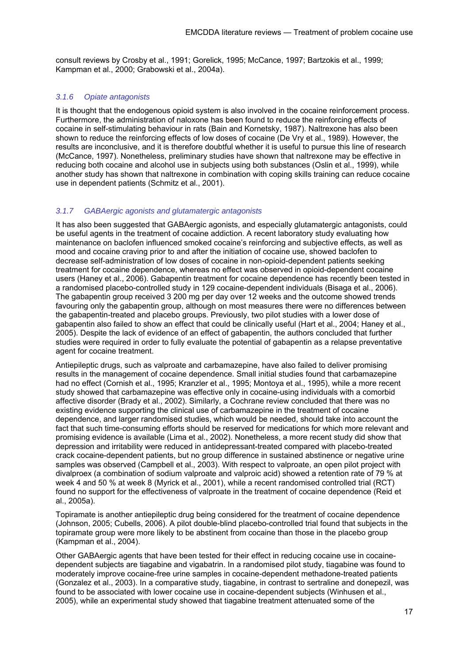consult reviews by Crosby et al., 1991; Gorelick, 1995; McCance, 1997; Bartzokis et al., 1999; Kampman et al., 2000; Grabowski et al., 2004a).

#### *3.1.6 Opiate antagonists*

It is thought that the endogenous opioid system is also involved in the cocaine reinforcement process. Furthermore, the administration of naloxone has been found to reduce the reinforcing effects of cocaine in self-stimulating behaviour in rats (Bain and Kornetsky, 1987). Naltrexone has also been shown to reduce the reinforcing effects of low doses of cocaine (De Vry et al., 1989). However, the results are inconclusive, and it is therefore doubtful whether it is useful to pursue this line of research (McCance, 1997). Nonetheless, preliminary studies have shown that naltrexone may be effective in reducing both cocaine and alcohol use in subjects using both substances (Oslin et al., 1999), while another study has shown that naltrexone in combination with coping skills training can reduce cocaine use in dependent patients (Schmitz et al., 2001).

#### *3.1.7 GABAergic agonists and glutamatergic antagonists*

It has also been suggested that GABAergic agonists, and especially glutamatergic antagonists, could be useful agents in the treatment of cocaine addiction. A recent laboratory study evaluating how maintenance on baclofen influenced smoked cocaine's reinforcing and subjective effects, as well as mood and cocaine craving prior to and after the initiation of cocaine use, showed baclofen to decrease self-administration of low doses of cocaine in non-opioid-dependent patients seeking treatment for cocaine dependence, whereas no effect was observed in opioid-dependent cocaine users (Haney et al., 2006). Gabapentin treatment for cocaine dependence has recently been tested in a randomised placebo-controlled study in 129 cocaine-dependent individuals (Bisaga et al., 2006). The gabapentin group received 3 200 mg per day over 12 weeks and the outcome showed trends favouring only the gabapentin group, although on most measures there were no differences between the gabapentin-treated and placebo groups. Previously, two pilot studies with a lower dose of gabapentin also failed to show an effect that could be clinically useful (Hart et al., 2004; Haney et al., 2005). Despite the lack of evidence of an effect of gabapentin, the authors concluded that further studies were required in order to fully evaluate the potential of gabapentin as a relapse preventative agent for cocaine treatment.

Antiepileptic drugs, such as valproate and carbamazepine, have also failed to deliver promising results in the management of cocaine dependence. Small initial studies found that carbamazepine had no effect (Cornish et al., 1995; Kranzler et al., 1995; Montoya et al., 1995), while a more recent study showed that carbamazepine was effective only in cocaine-using individuals with a comorbid affective disorder (Brady et al., 2002). Similarly, a Cochrane review concluded that there was no existing evidence supporting the clinical use of carbamazepine in the treatment of cocaine dependence, and larger randomised studies, which would be needed, should take into account the fact that such time-consuming efforts should be reserved for medications for which more relevant and promising evidence is available (Lima et al., 2002). Nonetheless, a more recent study did show that depression and irritability were reduced in antidepressant-treated compared with placebo-treated crack cocaine-dependent patients, but no group difference in sustained abstinence or negative urine samples was observed (Campbell et al., 2003). With respect to valproate, an open pilot project with divalproex (a combination of sodium valproate and valproic acid) showed a retention rate of 79 % at week 4 and 50 % at week 8 (Myrick et al., 2001), while a recent randomised controlled trial (RCT) found no support for the effectiveness of valproate in the treatment of cocaine dependence (Reid et al., 2005a).

Topiramate is another antiepileptic drug being considered for the treatment of cocaine dependence (Johnson, 2005; Cubells, 2006). A pilot double-blind placebo-controlled trial found that subjects in the topiramate group were more likely to be abstinent from cocaine than those in the placebo group (Kampman et al., 2004).

Other GABAergic agents that have been tested for their effect in reducing cocaine use in cocainedependent subjects are tiagabine and vigabatrin. In a randomised pilot study, tiagabine was found to moderately improve cocaine-free urine samples in cocaine-dependent methadone-treated patients (Gonzalez et al., 2003). In a comparative study, tiagabine, in contrast to sertraline and donepezil, was found to be associated with lower cocaine use in cocaine-dependent subjects (Winhusen et al., 2005), while an experimental study showed that tiagabine treatment attenuated some of the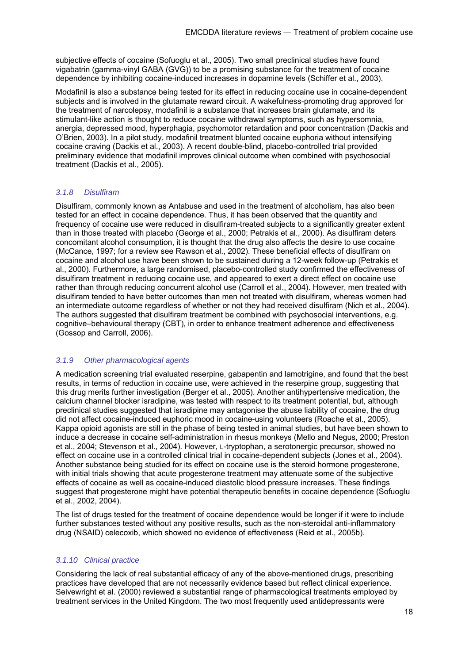subjective effects of cocaine (Sofuoglu et al., 2005). Two small preclinical studies have found vigabatrin (gamma-vinyl GABA (GVG)) to be a promising substance for the treatment of cocaine dependence by inhibiting cocaine-induced increases in dopamine levels (Schiffer et al., 2003).

Modafinil is also a substance being tested for its effect in reducing cocaine use in cocaine-dependent subjects and is involved in the glutamate reward circuit. A wakefulness-promoting drug approved for the treatment of narcolepsy, modafinil is a substance that increases brain glutamate, and its stimulant-like action is thought to reduce cocaine withdrawal symptoms, such as hypersomnia, anergia, depressed mood, hyperphagia, psychomotor retardation and poor concentration (Dackis and O'Brien, 2003). In a pilot study, modafinil treatment blunted cocaine euphoria without intensifying cocaine craving (Dackis et al., 2003). A recent double-blind, placebo-controlled trial provided preliminary evidence that modafinil improves clinical outcome when combined with psychosocial treatment (Dackis et al., 2005).

#### *3.1.8 Disulfiram*

Disulfiram, commonly known as Antabuse and used in the treatment of alcoholism, has also been tested for an effect in cocaine dependence. Thus, it has been observed that the quantity and frequency of cocaine use were reduced in disulfiram-treated subjects to a significantly greater extent than in those treated with placebo (George et al., 2000; Petrakis et al., 2000). As disulfiram deters concomitant alcohol consumption, it is thought that the drug also affects the desire to use cocaine (McCance, 1997; for a review see Rawson et al., 2002). These beneficial effects of disulfiram on cocaine and alcohol use have been shown to be sustained during a 12-week follow-up (Petrakis et al., 2000). Furthermore, a large randomised, placebo-controlled study confirmed the effectiveness of disulfiram treatment in reducing cocaine use, and appeared to exert a direct effect on cocaine use rather than through reducing concurrent alcohol use (Carroll et al., 2004). However, men treated with disulfiram tended to have better outcomes than men not treated with disulfiram, whereas women had an intermediate outcome regardless of whether or not they had received disulfiram (Nich et al., 2004). The authors suggested that disulfiram treatment be combined with psychosocial interventions, e.g. cognitive–behavioural therapy (CBT), in order to enhance treatment adherence and effectiveness (Gossop and Carroll, 2006).

#### *3.1.9 Other pharmacological agents*

A medication screening trial evaluated reserpine, gabapentin and lamotrigine, and found that the best results, in terms of reduction in cocaine use, were achieved in the reserpine group, suggesting that this drug merits further investigation (Berger et al., 2005). Another antihypertensive medication, the calcium channel blocker isradipine, was tested with respect to its treatment potential, but, although preclinical studies suggested that isradipine may antagonise the abuse liability of cocaine, the drug did not affect cocaine-induced euphoric mood in cocaine-using volunteers (Roache et al., 2005). Kappa opioid agonists are still in the phase of being tested in animal studies, but have been shown to induce a decrease in cocaine self-administration in rhesus monkeys (Mello and Negus, 2000; Preston et al., 2004; Stevenson et al., 2004). However, L-tryptophan, a serotonergic precursor, showed no effect on cocaine use in a controlled clinical trial in cocaine-dependent subjects (Jones et al., 2004). Another substance being studied for its effect on cocaine use is the steroid hormone progesterone, with initial trials showing that acute progesterone treatment may attenuate some of the subjective effects of cocaine as well as cocaine-induced diastolic blood pressure increases. These findings suggest that progesterone might have potential therapeutic benefits in cocaine dependence (Sofuoglu et al., 2002, 2004).

The list of drugs tested for the treatment of cocaine dependence would be longer if it were to include further substances tested without any positive results, such as the non-steroidal anti-inflammatory drug (NSAID) celecoxib, which showed no evidence of effectiveness (Reid et al., 2005b).

#### *3.1.10 Clinical practice*

Considering the lack of real substantial efficacy of any of the above-mentioned drugs, prescribing practices have developed that are not necessarily evidence based but reflect clinical experience. Seivewright et al. (2000) reviewed a substantial range of pharmacological treatments employed by treatment services in the United Kingdom. The two most frequently used antidepressants were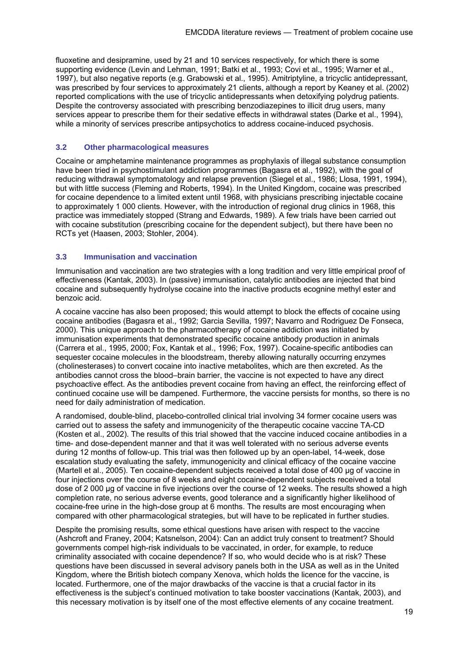fluoxetine and desipramine, used by 21 and 10 services respectively, for which there is some supporting evidence (Levin and Lehman, 1991; Batki et al., 1993; Covi et al., 1995; Warner et al., 1997), but also negative reports (e.g. Grabowski et al., 1995). Amitriptyline, a tricyclic antidepressant, was prescribed by four services to approximately 21 clients, although a report by Keaney et al. (2002) reported complications with the use of tricyclic antidepressants when detoxifying polydrug patients. Despite the controversy associated with prescribing benzodiazepines to illicit drug users, many services appear to prescribe them for their sedative effects in withdrawal states (Darke et al., 1994), while a minority of services prescribe antipsychotics to address cocaine-induced psychosis.

#### **3.2 Other pharmacological measures**

Cocaine or amphetamine maintenance programmes as prophylaxis of illegal substance consumption have been tried in psychostimulant addiction programmes (Bagasra et al., 1992), with the goal of reducing withdrawal symptomatology and relapse prevention (Siegel et al., 1986; Llosa, 1991, 1994), but with little success (Fleming and Roberts, 1994). In the United Kingdom, cocaine was prescribed for cocaine dependence to a limited extent until 1968, with physicians prescribing injectable cocaine to approximately 1 000 clients. However, with the introduction of regional drug clinics in 1968, this practice was immediately stopped (Strang and Edwards, 1989). A few trials have been carried out with cocaine substitution (prescribing cocaine for the dependent subject), but there have been no RCTs yet (Haasen, 2003; Stohler, 2004).

#### **3.3 Immunisation and vaccination**

Immunisation and vaccination are two strategies with a long tradition and very little empirical proof of effectiveness (Kantak, 2003). In (passive) immunisation, catalytic antibodies are injected that bind cocaine and subsequently hydrolyse cocaine into the inactive products ecognine methyl ester and benzoic acid.

A cocaine vaccine has also been proposed; this would attempt to block the effects of cocaine using cocaine antibodies (Bagasra et al., 1992; Garcia Sevilla, 1997; Navarro and Rodriguez De Fonseca, 2000). This unique approach to the pharmacotherapy of cocaine addiction was initiated by immunisation experiments that demonstrated specific cocaine antibody production in animals (Carrera et al., 1995, 2000; Fox, Kantak et al., 1996; Fox, 1997). Cocaine-specific antibodies can sequester cocaine molecules in the bloodstream, thereby allowing naturally occurring enzymes (cholinesterases) to convert cocaine into inactive metabolites, which are then excreted. As the antibodies cannot cross the blood–brain barrier, the vaccine is not expected to have any direct psychoactive effect. As the antibodies prevent cocaine from having an effect, the reinforcing effect of continued cocaine use will be dampened. Furthermore, the vaccine persists for months, so there is no need for daily administration of medication.

A randomised, double-blind, placebo-controlled clinical trial involving 34 former cocaine users was carried out to assess the safety and immunogenicity of the therapeutic cocaine vaccine TA-CD (Kosten et al., 2002). The results of this trial showed that the vaccine induced cocaine antibodies in a time- and dose-dependent manner and that it was well tolerated with no serious adverse events during 12 months of follow-up. This trial was then followed up by an open-label, 14-week, dose escalation study evaluating the safety, immunogenicity and clinical efficacy of the cocaine vaccine (Martell et al., 2005). Ten cocaine-dependent subjects received a total dose of 400 μg of vaccine in four injections over the course of 8 weeks and eight cocaine-dependent subjects received a total dose of 2 000 μg of vaccine in five injections over the course of 12 weeks. The results showed a high completion rate, no serious adverse events, good tolerance and a significantly higher likelihood of cocaine-free urine in the high-dose group at 6 months. The results are most encouraging when compared with other pharmacological strategies, but will have to be replicated in further studies.

Despite the promising results, some ethical questions have arisen with respect to the vaccine (Ashcroft and Franey, 2004; Katsnelson, 2004): Can an addict truly consent to treatment? Should governments compel high-risk individuals to be vaccinated, in order, for example, to reduce criminality associated with cocaine dependence? If so, who would decide who is at risk? These questions have been discussed in several advisory panels both in the USA as well as in the United Kingdom, where the British biotech company Xenova, which holds the licence for the vaccine, is located. Furthermore, one of the major drawbacks of the vaccine is that a crucial factor in its effectiveness is the subject's continued motivation to take booster vaccinations (Kantak, 2003), and this necessary motivation is by itself one of the most effective elements of any cocaine treatment.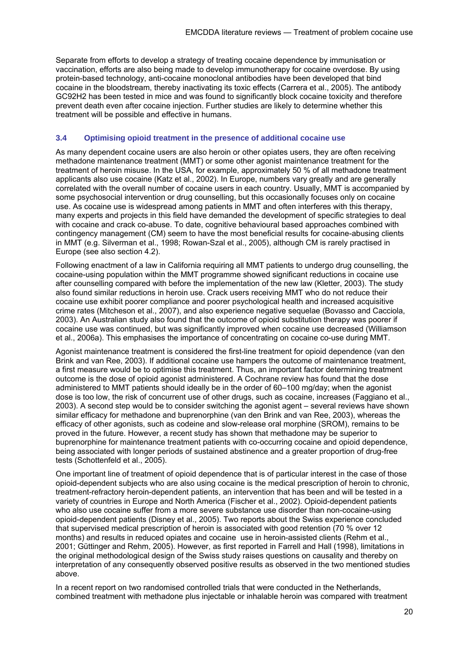Separate from efforts to develop a strategy of treating cocaine dependence by immunisation or vaccination, efforts are also being made to develop immunotherapy for cocaine overdose. By using protein-based technology, anti-cocaine monoclonal antibodies have been developed that bind cocaine in the bloodstream, thereby inactivating its toxic effects (Carrera et al., 2005). The antibody GC92H2 has been tested in mice and was found to significantly block cocaine toxicity and therefore prevent death even after cocaine injection. Further studies are likely to determine whether this treatment will be possible and effective in humans.

#### **3.4 Optimising opioid treatment in the presence of additional cocaine use**

As many dependent cocaine users are also heroin or other opiates users, they are often receiving methadone maintenance treatment (MMT) or some other agonist maintenance treatment for the treatment of heroin misuse. In the USA, for example, approximately 50 % of all methadone treatment applicants also use cocaine (Katz et al., 2002). In Europe, numbers vary greatly and are generally correlated with the overall number of cocaine users in each country. Usually, MMT is accompanied by some psychosocial intervention or drug counselling, but this occasionally focuses only on cocaine use. As cocaine use is widespread among patients in MMT and often interferes with this therapy, many experts and projects in this field have demanded the development of specific strategies to deal with cocaine and crack co-abuse. To date, cognitive behavioural based approaches combined with contingency management (CM) seem to have the most beneficial results for cocaine-abusing clients in MMT (e.g. Silverman et al., 1998; Rowan-Szal et al., 2005), although CM is rarely practised in Europe (see also section 4.2).

Following enactment of a law in California requiring all MMT patients to undergo drug counselling, the cocaine-using population within the MMT programme showed significant reductions in cocaine use after counselling compared with before the implementation of the new law (Kletter, 2003). The study also found similar reductions in heroin use. Crack users receiving MMT who do not reduce their cocaine use exhibit poorer compliance and poorer psychological health and increased acquisitive crime rates (Mitcheson et al., 2007), and also experience negative sequelae (Bovasso and Cacciola, 2003). An Australian study also found that the outcome of opioid substitution therapy was poorer if cocaine use was continued, but was significantly improved when cocaine use decreased (Williamson et al., 2006a). This emphasises the importance of concentrating on cocaine co-use during MMT.

Agonist maintenance treatment is considered the first-line treatment for opioid dependence (van den Brink and van Ree, 2003). If additional cocaine use hampers the outcome of maintenance treatment, a first measure would be to optimise this treatment. Thus, an important factor determining treatment outcome is the dose of opioid agonist administered. A Cochrane review has found that the dose administered to MMT patients should ideally be in the order of 60–100 mg/day; when the agonist dose is too low, the risk of concurrent use of other drugs, such as cocaine, increases (Faggiano et al., 2003). A second step would be to consider switching the agonist agent – several reviews have shown similar efficacy for methadone and buprenorphine (van den Brink and van Ree, 2003), whereas the efficacy of other agonists, such as codeine and slow-release oral morphine (SROM), remains to be proved in the future. However, a recent study has shown that methadone may be superior to buprenorphine for maintenance treatment patients with co-occurring cocaine and opioid dependence, being associated with longer periods of sustained abstinence and a greater proportion of drug-free tests (Schottenfeld et al., 2005).

One important line of treatment of opioid dependence that is of particular interest in the case of those opioid-dependent subjects who are also using cocaine is the medical prescription of heroin to chronic, treatment-refractory heroin-dependent patients, an intervention that has been and will be tested in a variety of countries in Europe and North America (Fischer et al., 2002). Opioid-dependent patients who also use cocaine suffer from a more severe substance use disorder than non-cocaine-using opioid-dependent patients (Disney et al., 2005). Two reports about the Swiss experience concluded that supervised medical prescription of heroin is associated with good retention (70 % over 12 months) and results in reduced opiates and cocaine use in heroin-assisted clients (Rehm et al., 2001; Güttinger and Rehm, 2005). However, as first reported in Farrell and Hall (1998), limitations in the original methodological design of the Swiss study raises questions on causality and thereby on interpretation of any consequently observed positive results as observed in the two mentioned studies above.

In a recent report on two randomised controlled trials that were conducted in the Netherlands, combined treatment with methadone plus injectable or inhalable heroin was compared with treatment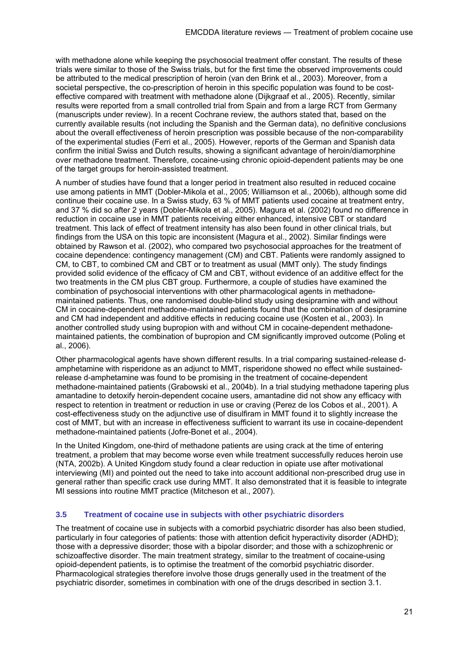with methadone alone while keeping the psychosocial treatment offer constant. The results of these trials were similar to those of the Swiss trials, but for the first time the observed improvements could be attributed to the medical prescription of heroin (van den Brink et al., 2003). Moreover, from a societal perspective, the co-prescription of heroin in this specific population was found to be costeffective compared with treatment with methadone alone (Dijkgraaf et al., 2005). Recently, similar results were reported from a small controlled trial from Spain and from a large RCT from Germany (manuscripts under review). In a recent Cochrane review, the authors stated that, based on the currently available results (not including the Spanish and the German data), no definitive conclusions about the overall effectiveness of heroin prescription was possible because of the non-comparability of the experimental studies (Ferri et al., 2005). However, reports of the German and Spanish data confirm the initial Swiss and Dutch results, showing a significant advantage of heroin/diamorphine over methadone treatment. Therefore, cocaine-using chronic opioid-dependent patients may be one of the target groups for heroin-assisted treatment.

A number of studies have found that a longer period in treatment also resulted in reduced cocaine use among patients in MMT (Dobler-Mikola et al., 2005; Williamson et al., 2006b), although some did continue their cocaine use. In a Swiss study, 63 % of MMT patients used cocaine at treatment entry, and 37 % did so after 2 years (Dobler-Mikola et al., 2005). Magura et al. (2002) found no difference in reduction in cocaine use in MMT patients receiving either enhanced, intensive CBT or standard treatment. This lack of effect of treatment intensity has also been found in other clinical trials, but findings from the USA on this topic are inconsistent (Magura et al., 2002). Similar findings were obtained by Rawson et al. (2002), who compared two psychosocial approaches for the treatment of cocaine dependence: contingency management (CM) and CBT. Patients were randomly assigned to CM, to CBT, to combined CM and CBT or to treatment as usual (MMT only). The study findings provided solid evidence of the efficacy of CM and CBT, without evidence of an additive effect for the two treatments in the CM plus CBT group. Furthermore, a couple of studies have examined the combination of psychosocial interventions with other pharmacological agents in methadonemaintained patients. Thus, one randomised double-blind study using desipramine with and without CM in cocaine-dependent methadone-maintained patients found that the combination of desipramine and CM had independent and additive effects in reducing cocaine use (Kosten et al., 2003). In another controlled study using bupropion with and without CM in cocaine-dependent methadonemaintained patients, the combination of bupropion and CM significantly improved outcome (Poling et al., 2006).

Other pharmacological agents have shown different results. In a trial comparing sustained-release damphetamine with risperidone as an adjunct to MMT, risperidone showed no effect while sustainedrelease d-amphetamine was found to be promising in the treatment of cocaine-dependent methadone-maintained patients (Grabowski et al., 2004b). In a trial studying methadone tapering plus amantadine to detoxify heroin-dependent cocaine users, amantadine did not show any efficacy with respect to retention in treatment or reduction in use or craving (Perez de los Cobos et al., 2001). A cost-effectiveness study on the adjunctive use of disulfiram in MMT found it to slightly increase the cost of MMT, but with an increase in effectiveness sufficient to warrant its use in cocaine-dependent methadone-maintained patients (Jofre-Bonet et al., 2004).

In the United Kingdom, one-third of methadone patients are using crack at the time of entering treatment, a problem that may become worse even while treatment successfully reduces heroin use (NTA, 2002b). A United Kingdom study found a clear reduction in opiate use after motivational interviewing (MI) and pointed out the need to take into account additional non-prescribed drug use in general rather than specific crack use during MMT. It also demonstrated that it is feasible to integrate MI sessions into routine MMT practice (Mitcheson et al., 2007).

#### **3.5 Treatment of cocaine use in subjects with other psychiatric disorders**

The treatment of cocaine use in subjects with a comorbid psychiatric disorder has also been studied, particularly in four categories of patients: those with attention deficit hyperactivity disorder (ADHD); those with a depressive disorder; those with a bipolar disorder; and those with a schizophrenic or schizoaffective disorder. The main treatment strategy, similar to the treatment of cocaine-using opioid-dependent patients, is to optimise the treatment of the comorbid psychiatric disorder. Pharmacological strategies therefore involve those drugs generally used in the treatment of the psychiatric disorder, sometimes in combination with one of the drugs described in section 3.1.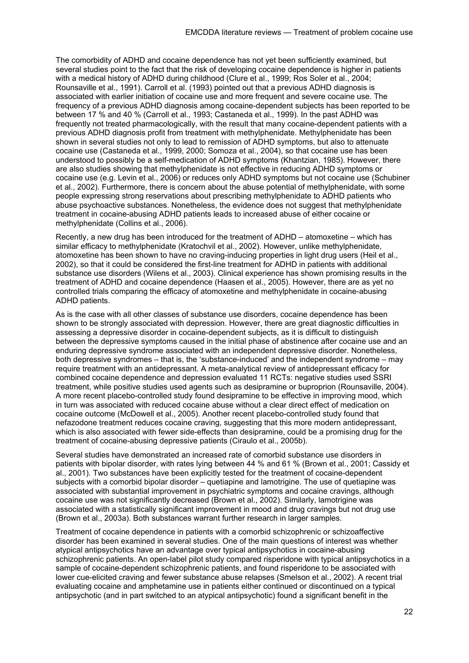The comorbidity of ADHD and cocaine dependence has not yet been sufficiently examined, but several studies point to the fact that the risk of developing cocaine dependence is higher in patients with a medical history of ADHD during childhood (Clure et al., 1999; Ros Soler et al., 2004; Rounsaville et al., 1991). Carroll et al. (1993) pointed out that a previous ADHD diagnosis is associated with earlier initiation of cocaine use and more frequent and severe cocaine use. The frequency of a previous ADHD diagnosis among cocaine-dependent subjects has been reported to be between 17 % and 40 % (Carroll et al., 1993; Castaneda et al., 1999). In the past ADHD was frequently not treated pharmacologically, with the result that many cocaine-dependent patients with a previous ADHD diagnosis profit from treatment with methylphenidate. Methylphenidate has been shown in several studies not only to lead to remission of ADHD symptoms, but also to attenuate cocaine use (Castaneda et al., 1999, 2000; Somoza et al., 2004), so that cocaine use has been understood to possibly be a self-medication of ADHD symptoms (Khantzian, 1985). However, there are also studies showing that methylphenidate is not effective in reducing ADHD symptoms or cocaine use (e.g. Levin et al., 2006) or reduces only ADHD symptoms but not cocaine use (Schubiner et al., 2002). Furthermore, there is concern about the abuse potential of methylphenidate, with some people expressing strong reservations about prescribing methylphenidate to ADHD patients who abuse psychoactive substances. Nonetheless, the evidence does not suggest that methylphenidate treatment in cocaine-abusing ADHD patients leads to increased abuse of either cocaine or methylphenidate (Collins et al., 2006).

Recently, a new drug has been introduced for the treatment of ADHD – atomoxetine – which has similar efficacy to methylphenidate (Kratochvil et al., 2002). However, unlike methylphenidate, atomoxetine has been shown to have no craving-inducing properties in light drug users (Heil et al., 2002), so that it could be considered the first-line treatment for ADHD in patients with additional substance use disorders (Wilens et al., 2003). Clinical experience has shown promising results in the treatment of ADHD and cocaine dependence (Haasen et al., 2005). However, there are as yet no controlled trials comparing the efficacy of atomoxetine and methylphenidate in cocaine-abusing ADHD patients.

As is the case with all other classes of substance use disorders, cocaine dependence has been shown to be strongly associated with depression. However, there are great diagnostic difficulties in assessing a depressive disorder in cocaine-dependent subjects, as it is difficult to distinguish between the depressive symptoms caused in the initial phase of abstinence after cocaine use and an enduring depressive syndrome associated with an independent depressive disorder. Nonetheless, both depressive syndromes – that is, the 'substance-induced' and the independent syndrome – may require treatment with an antidepressant. A meta-analytical review of antidepressant efficacy for combined cocaine dependence and depression evaluated 11 RCTs: negative studies used SSRI treatment, while positive studies used agents such as desipramine or buproprion (Rounsaville, 2004). A more recent placebo-controlled study found desipramine to be effective in improving mood, which in turn was associated with reduced cocaine abuse without a clear direct effect of medication on cocaine outcome (McDowell et al., 2005). Another recent placebo-controlled study found that nefazodone treatment reduces cocaine craving, suggesting that this more modern antidepressant, which is also associated with fewer side-effects than desipramine, could be a promising drug for the treatment of cocaine-abusing depressive patients (Ciraulo et al., 2005b).

Several studies have demonstrated an increased rate of comorbid substance use disorders in patients with bipolar disorder, with rates lying between 44 % and 61 % (Brown et al., 2001; Cassidy et al., 2001). Two substances have been explicitly tested for the treatment of cocaine-dependent subjects with a comorbid bipolar disorder – quetiapine and lamotrigine. The use of quetiapine was associated with substantial improvement in psychiatric symptoms and cocaine cravings, although cocaine use was not significantly decreased (Brown et al., 2002). Similarly, lamotrigine was associated with a statistically significant improvement in mood and drug cravings but not drug use (Brown et al., 2003a). Both substances warrant further research in larger samples.

Treatment of cocaine dependence in patients with a comorbid schizophrenic or schizoaffective disorder has been examined in several studies. One of the main questions of interest was whether atypical antipsychotics have an advantage over typical antipsychotics in cocaine-abusing schizophrenic patients. An open-label pilot study compared risperidone with typical antipsychotics in a sample of cocaine-dependent schizophrenic patients, and found risperidone to be associated with lower cue-elicited craving and fewer substance abuse relapses (Smelson et al., 2002). A recent trial evaluating cocaine and amphetamine use in patients either continued or discontinued on a typical antipsychotic (and in part switched to an atypical antipsychotic) found a significant benefit in the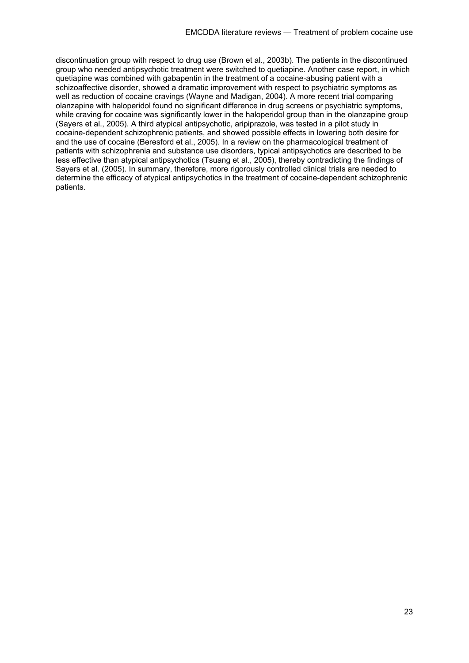discontinuation group with respect to drug use (Brown et al., 2003b). The patients in the discontinued group who needed antipsychotic treatment were switched to quetiapine. Another case report, in which quetiapine was combined with gabapentin in the treatment of a cocaine-abusing patient with a schizoaffective disorder, showed a dramatic improvement with respect to psychiatric symptoms as well as reduction of cocaine cravings (Wayne and Madigan, 2004). A more recent trial comparing olanzapine with haloperidol found no significant difference in drug screens or psychiatric symptoms, while craving for cocaine was significantly lower in the haloperidol group than in the olanzapine group (Sayers et al., 2005). A third atypical antipsychotic, aripiprazole, was tested in a pilot study in cocaine-dependent schizophrenic patients, and showed possible effects in lowering both desire for and the use of cocaine (Beresford et al., 2005). In a review on the pharmacological treatment of patients with schizophrenia and substance use disorders, typical antipsychotics are described to be less effective than atypical antipsychotics (Tsuang et al., 2005), thereby contradicting the findings of Sayers et al. (2005). In summary, therefore, more rigorously controlled clinical trials are needed to determine the efficacy of atypical antipsychotics in the treatment of cocaine-dependent schizophrenic patients.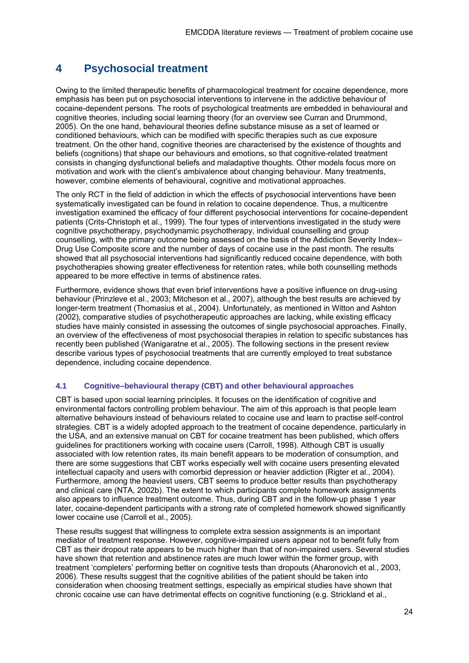# **4 Psychosocial treatment**

Owing to the limited therapeutic benefits of pharmacological treatment for cocaine dependence, more emphasis has been put on psychosocial interventions to intervene in the addictive behaviour of cocaine-dependent persons. The roots of psychological treatments are embedded in behavioural and cognitive theories, including social learning theory (for an overview see Curran and Drummond, 2005). On the one hand, behavioural theories define substance misuse as a set of learned or conditioned behaviours, which can be modified with specific therapies such as cue exposure treatment. On the other hand, cognitive theories are characterised by the existence of thoughts and beliefs (cognitions) that shape our behaviours and emotions, so that cognitive-related treatment consists in changing dysfunctional beliefs and maladaptive thoughts. Other models focus more on motivation and work with the client's ambivalence about changing behaviour. Many treatments, however, combine elements of behavioural, cognitive and motivational approaches.

The only RCT in the field of addiction in which the effects of psychosocial interventions have been systematically investigated can be found in relation to cocaine dependence. Thus, a multicentre investigation examined the efficacy of four different psychosocial interventions for cocaine-dependent patients (Crits-Christoph et al., 1999). The four types of interventions investigated in the study were cognitive psychotherapy, psychodynamic psychotherapy, individual counselling and group counselling, with the primary outcome being assessed on the basis of the Addiction Severity Index– Drug Use Composite score and the number of days of cocaine use in the past month. The results showed that all psychosocial interventions had significantly reduced cocaine dependence, with both psychotherapies showing greater effectiveness for retention rates, while both counselling methods appeared to be more effective in terms of abstinence rates.

Furthermore, evidence shows that even brief interventions have a positive influence on drug-using behaviour (Prinzleve et al., 2003; Mitcheson et al., 2007), although the best results are achieved by longer-term treatment (Thomasius et al., 2004). Unfortunately, as mentioned in Witton and Ashton (2002), comparative studies of psychotherapeutic approaches are lacking, while existing efficacy studies have mainly consisted in assessing the outcomes of single psychosocial approaches. Finally, an overview of the effectiveness of most psychosocial therapies in relation to specific substances has recently been published (Wanigaratne et al., 2005). The following sections in the present review describe various types of psychosocial treatments that are currently employed to treat substance dependence, including cocaine dependence.

#### **4.1 Cognitive–behavioural therapy (CBT) and other behavioural approaches**

CBT is based upon social learning principles. It focuses on the identification of cognitive and environmental factors controlling problem behaviour. The aim of this approach is that people learn alternative behaviours instead of behaviours related to cocaine use and learn to practise self-control strategies. CBT is a widely adopted approach to the treatment of cocaine dependence, particularly in the USA, and an extensive manual on CBT for cocaine treatment has been published, which offers guidelines for practitioners working with cocaine users (Carroll, 1998). Although CBT is usually associated with low retention rates, its main benefit appears to be moderation of consumption, and there are some suggestions that CBT works especially well with cocaine users presenting elevated intellectual capacity and users with comorbid depression or heavier addiction (Rigter et al., 2004). Furthermore, among the heaviest users, CBT seems to produce better results than psychotherapy and clinical care (NTA, 2002b). The extent to which participants complete homework assignments also appears to influence treatment outcome. Thus, during CBT and in the follow-up phase 1 year later, cocaine-dependent participants with a strong rate of completed homework showed significantly lower cocaine use (Carroll et al., 2005).

These results suggest that willingness to complete extra session assignments is an important mediator of treatment response. However, cognitive-impaired users appear not to benefit fully from CBT as their dropout rate appears to be much higher than that of non-impaired users. Several studies have shown that retention and abstinence rates are much lower within the former group, with treatment 'completers' performing better on cognitive tests than dropouts (Aharonovich et al., 2003, 2006). These results suggest that the cognitive abilities of the patient should be taken into consideration when choosing treatment settings, especially as empirical studies have shown that chronic cocaine use can have detrimental effects on cognitive functioning (e.g. Strickland et al.,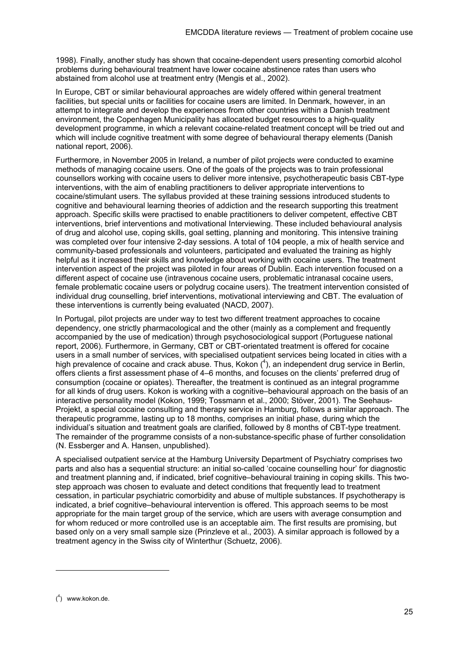1998). Finally, another study has shown that cocaine-dependent users presenting comorbid alcohol problems during behavioural treatment have lower cocaine abstinence rates than users who abstained from alcohol use at treatment entry (Mengis et al., 2002).

In Europe, CBT or similar behavioural approaches are widely offered within general treatment facilities, but special units or facilities for cocaine users are limited. In Denmark, however, in an attempt to integrate and develop the experiences from other countries within a Danish treatment environment, the Copenhagen Municipality has allocated budget resources to a high-quality development programme, in which a relevant cocaine-related treatment concept will be tried out and which will include cognitive treatment with some degree of behavioural therapy elements (Danish national report, 2006).

Furthermore, in November 2005 in Ireland, a number of pilot projects were conducted to examine methods of managing cocaine users. One of the goals of the projects was to train professional counsellors working with cocaine users to deliver more intensive, psychotherapeutic basis CBT-type interventions, with the aim of enabling practitioners to deliver appropriate interventions to cocaine/stimulant users. The syllabus provided at these training sessions introduced students to cognitive and behavioural learning theories of addiction and the research supporting this treatment approach. Specific skills were practised to enable practitioners to deliver competent, effective CBT interventions, brief interventions and motivational Interviewing. These included behavioural analysis of drug and alcohol use, coping skills, goal setting, planning and monitoring. This intensive training was completed over four intensive 2-day sessions. A total of 104 people, a mix of health service and community-based professionals and volunteers, participated and evaluated the training as highly helpful as it increased their skills and knowledge about working with cocaine users. The treatment intervention aspect of the project was piloted in four areas of Dublin. Each intervention focused on a different aspect of cocaine use (intravenous cocaine users, problematic intranasal cocaine users, female problematic cocaine users or polydrug cocaine users). The treatment intervention consisted of individual drug counselling, brief interventions, motivational interviewing and CBT. The evaluation of these interventions is currently being evaluated (NACD, 2007).

In Portugal, pilot projects are under way to test two different treatment approaches to cocaine dependency, one strictly pharmacological and the other (mainly as a complement and frequently accompanied by the use of medication) through psychosociological support (Portuguese national report, 2006). Furthermore, in Germany, CBT or CBT-orientated treatment is offered for cocaine users in a small number of services, with specialised outpatient services being located in cities with a high prevalence of cocaine and crack abuse. Thus, Kokon  $(4)$ , an independent drug service in Berlin, offers clients a first assessment phase of 4–6 months, and focuses on the clients' preferred drug of consumption (cocaine or opiates). Thereafter, the treatment is continued as an integral programme for all kinds of drug users. Kokon is working with a cognitive–behavioural approach on the basis of an interactive personality model (Kokon, 1999; Tossmann et al., 2000; Stöver, 2001). The Seehaus-Projekt, a special cocaine consulting and therapy service in Hamburg, follows a similar approach. The therapeutic programme, lasting up to 18 months, comprises an initial phase, during which the individual's situation and treatment goals are clarified, followed by 8 months of CBT-type treatment. The remainder of the programme consists of a non-substance-specific phase of further consolidation (N. Essberger and A. Hansen, unpublished).

A specialised outpatient service at the Hamburg University Department of Psychiatry comprises two parts and also has a sequential structure: an initial so-called 'cocaine counselling hour' for diagnostic and treatment planning and, if indicated, brief cognitive–behavioural training in coping skills. This twostep approach was chosen to evaluate and detect conditions that frequently lead to treatment cessation, in particular psychiatric comorbidity and abuse of multiple substances. If psychotherapy is indicated, a brief cognitive–behavioural intervention is offered. This approach seems to be most appropriate for the main target group of the service, which are users with average consumption and for whom reduced or more controlled use is an acceptable aim. The first results are promising, but based only on a very small sample size (Prinzleve et al., 2003). A similar approach is followed by a treatment agency in the Swiss city of Winterthur (Schuetz, 2006).

1

<sup>(</sup> 4 ) www.kokon.de.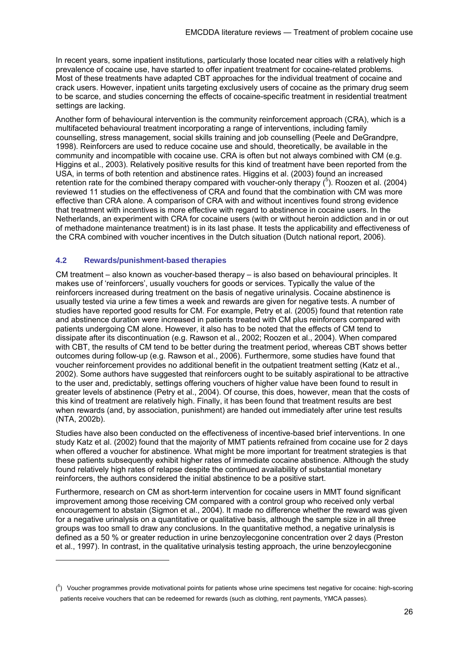In recent years, some inpatient institutions, particularly those located near cities with a relatively high prevalence of cocaine use, have started to offer inpatient treatment for cocaine-related problems. Most of these treatments have adapted CBT approaches for the individual treatment of cocaine and crack users. However, inpatient units targeting exclusively users of cocaine as the primary drug seem to be scarce, and studies concerning the effects of cocaine-specific treatment in residential treatment settings are lacking.

Another form of behavioural intervention is the community reinforcement approach (CRA), which is a multifaceted behavioural treatment incorporating a range of interventions, including family counselling, stress management, social skills training and job counselling (Peele and DeGrandpre, 1998). Reinforcers are used to reduce cocaine use and should, theoretically, be available in the community and incompatible with cocaine use. CRA is often but not always combined with CM (e.g. Higgins et al., 2003). Relatively positive results for this kind of treatment have been reported from the USA, in terms of both retention and abstinence rates. Higgins et al. (2003) found an increased retention rate for the combined therapy compared with voucher-only therapy  $(^5)$ . Roozen et al. (2004) reviewed 11 studies on the effectiveness of CRA and found that the combination with CM was more effective than CRA alone. A comparison of CRA with and without incentives found strong evidence that treatment with incentives is more effective with regard to abstinence in cocaine users. In the Netherlands, an experiment with CRA for cocaine users (with or without heroin addiction and in or out of methadone maintenance treatment) is in its last phase. It tests the applicability and effectiveness of the CRA combined with voucher incentives in the Dutch situation (Dutch national report, 2006).

#### **4.2 Rewards/punishment-based therapies**

-

CM treatment – also known as voucher-based therapy – is also based on behavioural principles. It makes use of 'reinforcers', usually vouchers for goods or services. Typically the value of the reinforcers increased during treatment on the basis of negative urinalysis. Cocaine abstinence is usually tested via urine a few times a week and rewards are given for negative tests. A number of studies have reported good results for CM. For example, Petry et al. (2005) found that retention rate and abstinence duration were increased in patients treated with CM plus reinforcers compared with patients undergoing CM alone. However, it also has to be noted that the effects of CM tend to dissipate after its discontinuation (e.g. Rawson et al., 2002; Roozen et al., 2004). When compared with CBT, the results of CM tend to be better during the treatment period, whereas CBT shows better outcomes during follow-up (e.g. Rawson et al., 2006). Furthermore, some studies have found that voucher reinforcement provides no additional benefit in the outpatient treatment setting (Katz et al., 2002). Some authors have suggested that reinforcers ought to be suitably aspirational to be attractive to the user and, predictably, settings offering vouchers of higher value have been found to result in greater levels of abstinence (Petry et al., 2004). Of course, this does, however, mean that the costs of this kind of treatment are relatively high. Finally, it has been found that treatment results are best when rewards (and, by association, punishment) are handed out immediately after urine test results (NTA, 2002b).

Studies have also been conducted on the effectiveness of incentive-based brief interventions. In one study Katz et al. (2002) found that the majority of MMT patients refrained from cocaine use for 2 days when offered a voucher for abstinence. What might be more important for treatment strategies is that these patients subsequently exhibit higher rates of immediate cocaine abstinence. Although the study found relatively high rates of relapse despite the continued availability of substantial monetary reinforcers, the authors considered the initial abstinence to be a positive start.

Furthermore, research on CM as short-term intervention for cocaine users in MMT found significant improvement among those receiving CM compared with a control group who received only verbal encouragement to abstain (Sigmon et al., 2004). It made no difference whether the reward was given for a negative urinalysis on a quantitative or qualitative basis, although the sample size in all three groups was too small to draw any conclusions. In the quantitative method, a negative urinalysis is defined as a 50 % or greater reduction in urine benzoylecgonine concentration over 2 days (Preston et al., 1997). In contrast, in the qualitative urinalysis testing approach, the urine benzoylecgonine

 $(5)$  Voucher programmes provide motivational points for patients whose urine specimens test negative for cocaine: high-scoring patients receive vouchers that can be redeemed for rewards (such as clothing, rent payments, YMCA passes).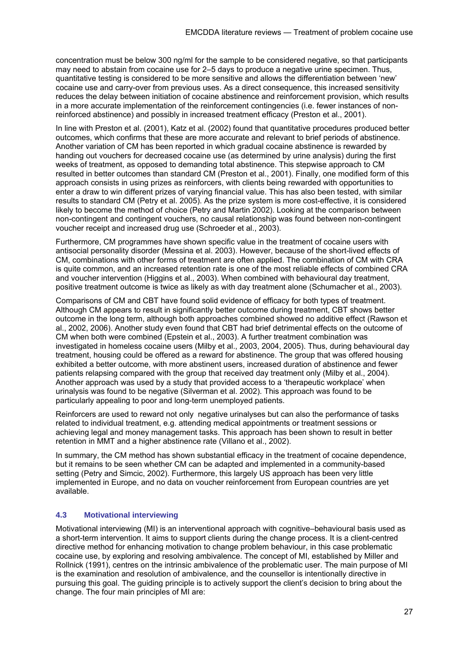concentration must be below 300 ng/ml for the sample to be considered negative, so that participants may need to abstain from cocaine use for 2–5 days to produce a negative urine specimen. Thus, quantitative testing is considered to be more sensitive and allows the differentiation between 'new' cocaine use and carry-over from previous uses. As a direct consequence, this increased sensitivity reduces the delay between initiation of cocaine abstinence and reinforcement provision, which results in a more accurate implementation of the reinforcement contingencies (i.e. fewer instances of nonreinforced abstinence) and possibly in increased treatment efficacy (Preston et al., 2001).

In line with Preston et al. (2001), Katz et al. (2002) found that quantitative procedures produced better outcomes, which confirms that these are more accurate and relevant to brief periods of abstinence. Another variation of CM has been reported in which gradual cocaine abstinence is rewarded by handing out vouchers for decreased cocaine use (as determined by urine analysis) during the first weeks of treatment, as opposed to demanding total abstinence. This stepwise approach to CM resulted in better outcomes than standard CM (Preston et al., 2001). Finally, one modified form of this approach consists in using prizes as reinforcers, with clients being rewarded with opportunities to enter a draw to win different prizes of varying financial value. This has also been tested, with similar results to standard CM (Petry et al. 2005). As the prize system is more cost-effective, it is considered likely to become the method of choice (Petry and Martin 2002). Looking at the comparison between non-contingent and contingent vouchers, no causal relationship was found between non-contingent voucher receipt and increased drug use (Schroeder et al., 2003).

Furthermore, CM programmes have shown specific value in the treatment of cocaine users with antisocial personality disorder (Messina et al. 2003). However, because of the short-lived effects of CM, combinations with other forms of treatment are often applied. The combination of CM with CRA is quite common, and an increased retention rate is one of the most reliable effects of combined CRA and voucher intervention (Higgins et al., 2003). When combined with behavioural day treatment, positive treatment outcome is twice as likely as with day treatment alone (Schumacher et al., 2003).

Comparisons of CM and CBT have found solid evidence of efficacy for both types of treatment. Although CM appears to result in significantly better outcome during treatment, CBT shows better outcome in the long term, although both approaches combined showed no additive effect (Rawson et al., 2002, 2006). Another study even found that CBT had brief detrimental effects on the outcome of CM when both were combined (Epstein et al., 2003). A further treatment combination was investigated in homeless cocaine users (Milby et al., 2003, 2004, 2005). Thus, during behavioural day treatment, housing could be offered as a reward for abstinence. The group that was offered housing exhibited a better outcome, with more abstinent users, increased duration of abstinence and fewer patients relapsing compared with the group that received day treatment only (Milby et al., 2004). Another approach was used by a study that provided access to a 'therapeutic workplace' when urinalysis was found to be negative (Silverman et al. 2002). This approach was found to be particularly appealing to poor and long-term unemployed patients.

Reinforcers are used to reward not only negative urinalyses but can also the performance of tasks related to individual treatment, e.g. attending medical appointments or treatment sessions or achieving legal and money management tasks. This approach has been shown to result in better retention in MMT and a higher abstinence rate (Villano et al., 2002).

In summary, the CM method has shown substantial efficacy in the treatment of cocaine dependence, but it remains to be seen whether CM can be adapted and implemented in a community-based setting (Petry and Simcic, 2002). Furthermore, this largely US approach has been very little implemented in Europe, and no data on voucher reinforcement from European countries are yet available.

#### **4.3 Motivational interviewing**

Motivational interviewing (MI) is an interventional approach with cognitive–behavioural basis used as a short-term intervention. It aims to support clients during the change process. It is a client-centred directive method for enhancing motivation to change problem behaviour, in this case problematic cocaine use, by exploring and resolving ambivalence. The concept of MI, established by Miller and Rollnick (1991), centres on the intrinsic ambivalence of the problematic user. The main purpose of MI is the examination and resolution of ambivalence, and the counsellor is intentionally directive in pursuing this goal. The guiding principle is to actively support the client's decision to bring about the change. The four main principles of MI are: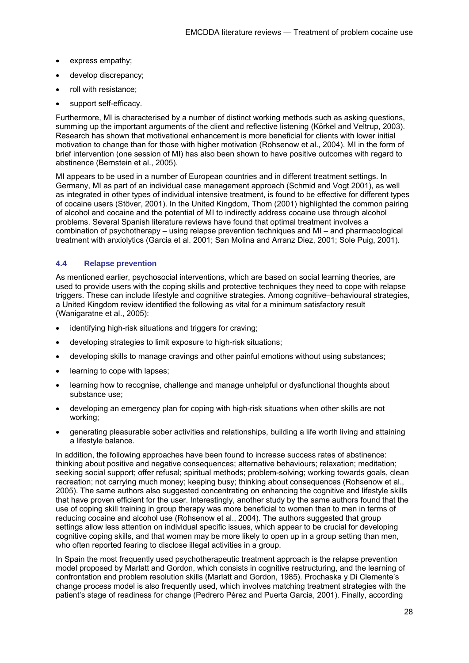- express empathy;
- develop discrepancy:
- roll with resistance;
- support self-efficacy.

Furthermore, MI is characterised by a number of distinct working methods such as asking questions, summing up the important arguments of the client and reflective listening (Körkel and Veltrup, 2003). Research has shown that motivational enhancement is more beneficial for clients with lower initial motivation to change than for those with higher motivation (Rohsenow et al., 2004). MI in the form of brief intervention (one session of MI) has also been shown to have positive outcomes with regard to abstinence (Bernstein et al., 2005).

MI appears to be used in a number of European countries and in different treatment settings. In Germany, MI as part of an individual case management approach (Schmid and Vogt 2001), as well as integrated in other types of individual intensive treatment, is found to be effective for different types of cocaine users (Stöver, 2001). In the United Kingdom, Thom (2001) highlighted the common pairing of alcohol and cocaine and the potential of MI to indirectly address cocaine use through alcohol problems. Several Spanish literature reviews have found that optimal treatment involves a combination of psychotherapy – using relapse prevention techniques and MI – and pharmacological treatment with anxiolytics (Garcia et al. 2001; San Molina and Arranz Diez, 2001; Sole Puig, 2001).

#### **4.4 Relapse prevention**

As mentioned earlier, psychosocial interventions, which are based on social learning theories, are used to provide users with the coping skills and protective techniques they need to cope with relapse triggers. These can include lifestyle and cognitive strategies. Among cognitive–behavioural strategies, a United Kingdom review identified the following as vital for a minimum satisfactory result (Wanigaratne et al., 2005):

- identifying high-risk situations and triggers for craving;
- developing strategies to limit exposure to high-risk situations;
- developing skills to manage cravings and other painful emotions without using substances;
- learning to cope with lapses;
- learning how to recognise, challenge and manage unhelpful or dysfunctional thoughts about substance use;
- developing an emergency plan for coping with high-risk situations when other skills are not working;
- generating pleasurable sober activities and relationships, building a life worth living and attaining a lifestyle balance.

In addition, the following approaches have been found to increase success rates of abstinence: thinking about positive and negative consequences; alternative behaviours; relaxation; meditation; seeking social support; offer refusal; spiritual methods; problem-solving; working towards goals, clean recreation; not carrying much money; keeping busy; thinking about consequences (Rohsenow et al., 2005). The same authors also suggested concentrating on enhancing the cognitive and lifestyle skills that have proven efficient for the user. Interestingly, another study by the same authors found that the use of coping skill training in group therapy was more beneficial to women than to men in terms of reducing cocaine and alcohol use (Rohsenow et al., 2004). The authors suggested that group settings allow less attention on individual specific issues, which appear to be crucial for developing cognitive coping skills, and that women may be more likely to open up in a group setting than men, who often reported fearing to disclose illegal activities in a group.

In Spain the most frequently used psychotherapeutic treatment approach is the relapse prevention model proposed by Marlatt and Gordon, which consists in cognitive restructuring, and the learning of confrontation and problem resolution skills (Marlatt and Gordon, 1985). Prochaska y Di Clemente's change process model is also frequently used, which involves matching treatment strategies with the patient's stage of readiness for change (Pedrero Pérez and Puerta Garcia, 2001). Finally, according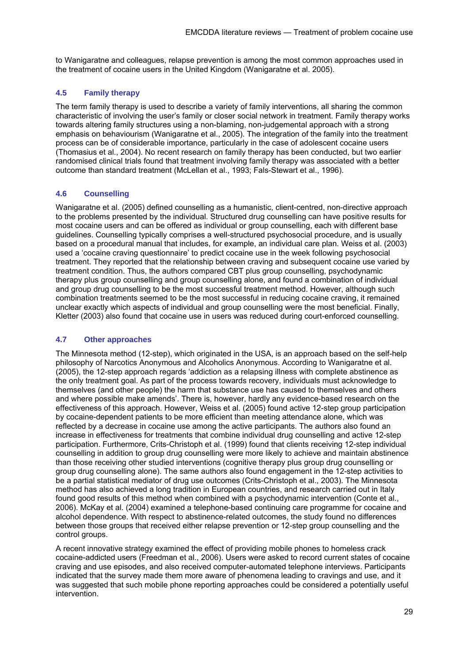to Wanigaratne and colleagues, relapse prevention is among the most common approaches used in the treatment of cocaine users in the United Kingdom (Wanigaratne et al. 2005).

#### **4.5 Family therapy**

The term family therapy is used to describe a variety of family interventions, all sharing the common characteristic of involving the user's family or closer social network in treatment. Family therapy works towards altering family structures using a non-blaming, non-judgemental approach with a strong emphasis on behaviourism (Wanigaratne et al., 2005). The integration of the family into the treatment process can be of considerable importance, particularly in the case of adolescent cocaine users (Thomasius et al., 2004). No recent research on family therapy has been conducted, but two earlier randomised clinical trials found that treatment involving family therapy was associated with a better outcome than standard treatment (McLellan et al., 1993; Fals-Stewart et al., 1996).

#### **4.6 Counselling**

Wanigaratne et al. (2005) defined counselling as a humanistic, client-centred, non-directive approach to the problems presented by the individual. Structured drug counselling can have positive results for most cocaine users and can be offered as individual or group counselling, each with different base guidelines. Counselling typically comprises a well-structured psychosocial procedure, and is usually based on a procedural manual that includes, for example, an individual care plan. Weiss et al. (2003) used a 'cocaine craving questionnaire' to predict cocaine use in the week following psychosocial treatment. They reported that the relationship between craving and subsequent cocaine use varied by treatment condition. Thus, the authors compared CBT plus group counselling, psychodynamic therapy plus group counselling and group counselling alone, and found a combination of individual and group drug counselling to be the most successful treatment method. However, although such combination treatments seemed to be the most successful in reducing cocaine craving, it remained unclear exactly which aspects of individual and group counselling were the most beneficial. Finally, Kletter (2003) also found that cocaine use in users was reduced during court-enforced counselling.

#### **4.7 Other approaches**

The Minnesota method (12-step), which originated in the USA, is an approach based on the self-help philosophy of Narcotics Anonymous and Alcoholics Anonymous. According to Wanigaratne et al. (2005), the 12-step approach regards 'addiction as a relapsing illness with complete abstinence as the only treatment goal. As part of the process towards recovery, individuals must acknowledge to themselves (and other people) the harm that substance use has caused to themselves and others and where possible make amends'. There is, however, hardly any evidence-based research on the effectiveness of this approach. However, Weiss et al. (2005) found active 12-step group participation by cocaine-dependent patients to be more efficient than meeting attendance alone, which was reflected by a decrease in cocaine use among the active participants. The authors also found an increase in effectiveness for treatments that combine individual drug counselling and active 12-step participation. Furthermore, Crits-Christoph et al. (1999) found that clients receiving 12-step individual counselling in addition to group drug counselling were more likely to achieve and maintain abstinence than those receiving other studied interventions (cognitive therapy plus group drug counselling or group drug counselling alone). The same authors also found engagement in the 12-step activities to be a partial statistical mediator of drug use outcomes (Crits-Christoph et al., 2003). The Minnesota method has also achieved a long tradition in European countries, and research carried out in Italy found good results of this method when combined with a psychodynamic intervention (Conte et al., 2006). McKay et al. (2004) examined a telephone-based continuing care programme for cocaine and alcohol dependence. With respect to abstinence-related outcomes, the study found no differences between those groups that received either relapse prevention or 12-step group counselling and the control groups.

A recent innovative strategy examined the effect of providing mobile phones to homeless crack cocaine-addicted users (Freedman et al., 2006). Users were asked to record current states of cocaine craving and use episodes, and also received computer-automated telephone interviews. Participants indicated that the survey made them more aware of phenomena leading to cravings and use, and it was suggested that such mobile phone reporting approaches could be considered a potentially useful intervention.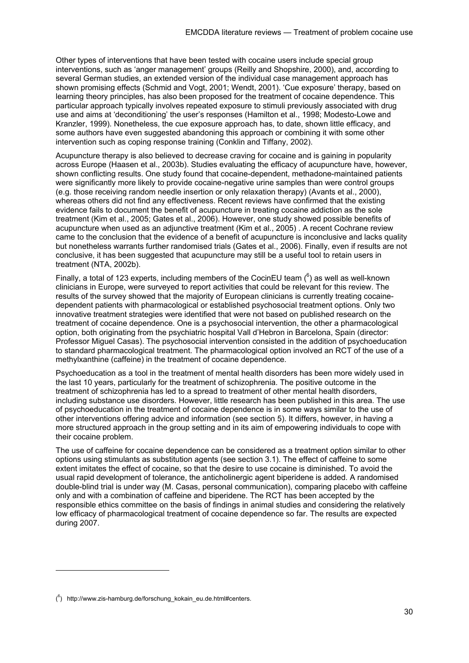Other types of interventions that have been tested with cocaine users include special group interventions, such as 'anger management' groups (Reilly and Shopshire, 2000), and, according to several German studies, an extended version of the individual case management approach has shown promising effects (Schmid and Vogt, 2001; Wendt, 2001). 'Cue exposure' therapy, based on learning theory principles, has also been proposed for the treatment of cocaine dependence. This particular approach typically involves repeated exposure to stimuli previously associated with drug use and aims at 'deconditioning' the user's responses (Hamilton et al., 1998; Modesto-Lowe and Kranzler, 1999). Nonetheless, the cue exposure approach has, to date, shown little efficacy, and some authors have even suggested abandoning this approach or combining it with some other intervention such as coping response training (Conklin and Tiffany, 2002).

Acupuncture therapy is also believed to decrease craving for cocaine and is gaining in popularity across Europe (Haasen et al., 2003b). Studies evaluating the efficacy of acupuncture have, however, shown conflicting results. One study found that cocaine-dependent, methadone-maintained patients were significantly more likely to provide cocaine-negative urine samples than were control groups (e.g. those receiving random needle insertion or only relaxation therapy) (Avants et al., 2000), whereas others did not find any effectiveness. Recent reviews have confirmed that the existing evidence fails to document the benefit of acupuncture in treating cocaine addiction as the sole treatment (Kim et al., 2005; Gates et al., 2006). However, one study showed possible benefits of acupuncture when used as an adjunctive treatment (Kim et al., 2005) . A recent Cochrane review came to the conclusion that the evidence of a benefit of acupuncture is inconclusive and lacks quality but nonetheless warrants further randomised trials (Gates et al., 2006). Finally, even if results are not conclusive, it has been suggested that acupuncture may still be a useful tool to retain users in treatment (NTA, 2002b).

Finally, a total of 123 experts, including members of the CocinEU team  $(^6)$  as well as well-known clinicians in Europe, were surveyed to report activities that could be relevant for this review. The results of the survey showed that the majority of European clinicians is currently treating cocainedependent patients with pharmacological or established psychosocial treatment options. Only two innovative treatment strategies were identified that were not based on published research on the treatment of cocaine dependence. One is a psychosocial intervention, the other a pharmacological option, both originating from the psychiatric hospital Vall d'Hebron in Barcelona, Spain (director: Professor Miguel Casas). The psychosocial intervention consisted in the addition of psychoeducation to standard pharmacological treatment. The pharmacological option involved an RCT of the use of a methylxanthine (caffeine) in the treatment of cocaine dependence.

Psychoeducation as a tool in the treatment of mental health disorders has been more widely used in the last 10 years, particularly for the treatment of schizophrenia. The positive outcome in the treatment of schizophrenia has led to a spread to treatment of other mental health disorders, including substance use disorders. However, little research has been published in this area. The use of psychoeducation in the treatment of cocaine dependence is in some ways similar to the use of other interventions offering advice and information (see section 5). It differs, however, in having a more structured approach in the group setting and in its aim of empowering individuals to cope with their cocaine problem.

The use of caffeine for cocaine dependence can be considered as a treatment option similar to other options using stimulants as substitution agents (see section 3.1). The effect of caffeine to some extent imitates the effect of cocaine, so that the desire to use cocaine is diminished. To avoid the usual rapid development of tolerance, the anticholinergic agent biperidene is added. A randomised double-blind trial is under way (M. Casas, personal communication), comparing placebo with caffeine only and with a combination of caffeine and biperidene. The RCT has been accepted by the responsible ethics committee on the basis of findings in animal studies and considering the relatively low efficacy of pharmacological treatment of cocaine dependence so far. The results are expected during 2007.

1

 $(6)$  http://www.zis-hamburg.de/forschung\_kokain\_eu.de.html#centers.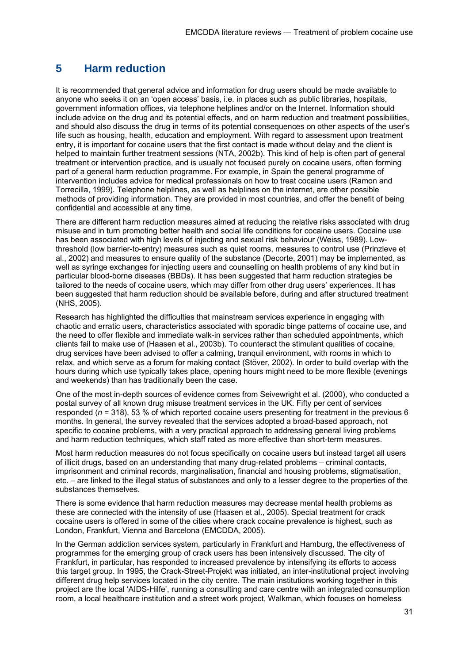# **5 Harm reduction**

It is recommended that general advice and information for drug users should be made available to anyone who seeks it on an 'open access' basis, i.e. in places such as public libraries, hospitals, government information offices, via telephone helplines and/or on the Internet. Information should include advice on the drug and its potential effects, and on harm reduction and treatment possibilities, and should also discuss the drug in terms of its potential consequences on other aspects of the user's life such as housing, health, education and employment. With regard to assessment upon treatment entry, it is important for cocaine users that the first contact is made without delay and the client is helped to maintain further treatment sessions (NTA, 2002b). This kind of help is often part of general treatment or intervention practice, and is usually not focused purely on cocaine users, often forming part of a general harm reduction programme. For example, in Spain the general programme of intervention includes advice for medical professionals on how to treat cocaine users (Ramon and Torrecilla, 1999). Telephone helplines, as well as helplines on the internet, are other possible methods of providing information. They are provided in most countries, and offer the benefit of being confidential and accessible at any time.

There are different harm reduction measures aimed at reducing the relative risks associated with drug misuse and in turn promoting better health and social life conditions for cocaine users. Cocaine use has been associated with high levels of injecting and sexual risk behaviour (Weiss, 1989). Lowthreshold (low barrier-to-entry) measures such as quiet rooms, measures to control use (Prinzleve et al., 2002) and measures to ensure quality of the substance (Decorte, 2001) may be implemented, as well as syringe exchanges for injecting users and counselling on health problems of any kind but in particular blood-borne diseases (BBDs). It has been suggested that harm reduction strategies be tailored to the needs of cocaine users, which may differ from other drug users' experiences. It has been suggested that harm reduction should be available before, during and after structured treatment (NHS, 2005).

Research has highlighted the difficulties that mainstream services experience in engaging with chaotic and erratic users, characteristics associated with sporadic binge patterns of cocaine use, and the need to offer flexible and immediate walk-in services rather than scheduled appointments, which clients fail to make use of (Haasen et al., 2003b). To counteract the stimulant qualities of cocaine, drug services have been advised to offer a calming, tranquil environment, with rooms in which to relax, and which serve as a forum for making contact (Stöver, 2002). In order to build overlap with the hours during which use typically takes place, opening hours might need to be more flexible (evenings and weekends) than has traditionally been the case.

One of the most in-depth sources of evidence comes from Seivewright et al. (2000), who conducted a postal survey of all known drug misuse treatment services in the UK. Fifty per cent of services responded (*n* = 318), 53 % of which reported cocaine users presenting for treatment in the previous 6 months. In general, the survey revealed that the services adopted a broad-based approach, not specific to cocaine problems, with a very practical approach to addressing general living problems and harm reduction techniques, which staff rated as more effective than short-term measures.

Most harm reduction measures do not focus specifically on cocaine users but instead target all users of illicit drugs, based on an understanding that many drug-related problems – criminal contacts, imprisonment and criminal records, marginalisation, financial and housing problems, stigmatisation, etc. – are linked to the illegal status of substances and only to a lesser degree to the properties of the substances themselves.

There is some evidence that harm reduction measures may decrease mental health problems as these are connected with the intensity of use (Haasen et al., 2005). Special treatment for crack cocaine users is offered in some of the cities where crack cocaine prevalence is highest, such as London, Frankfurt, Vienna and Barcelona (EMCDDA, 2005).

In the German addiction services system, particularly in Frankfurt and Hamburg, the effectiveness of programmes for the emerging group of crack users has been intensively discussed. The city of Frankfurt, in particular, has responded to increased prevalence by intensifying its efforts to access this target group. In 1995, the Crack-Street-Projekt was initiated, an inter-institutional project involving different drug help services located in the city centre. The main institutions working together in this project are the local 'AIDS-Hilfe', running a consulting and care centre with an integrated consumption room, a local healthcare institution and a street work project, Walkman, which focuses on homeless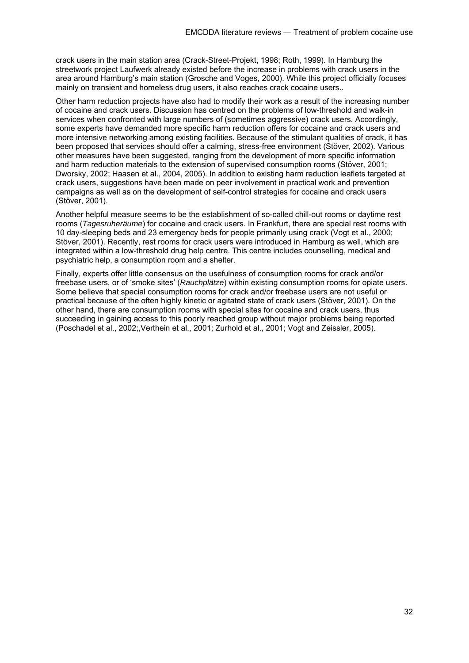crack users in the main station area (Crack-Street-Projekt, 1998; Roth, 1999). In Hamburg the streetwork project Laufwerk already existed before the increase in problems with crack users in the area around Hamburg's main station (Grosche and Voges, 2000). While this project officially focuses mainly on transient and homeless drug users, it also reaches crack cocaine users..

Other harm reduction projects have also had to modify their work as a result of the increasing number of cocaine and crack users. Discussion has centred on the problems of low-threshold and walk-in services when confronted with large numbers of (sometimes aggressive) crack users. Accordingly, some experts have demanded more specific harm reduction offers for cocaine and crack users and more intensive networking among existing facilities. Because of the stimulant qualities of crack, it has been proposed that services should offer a calming, stress-free environment (Stöver, 2002). Various other measures have been suggested, ranging from the development of more specific information and harm reduction materials to the extension of supervised consumption rooms (Stöver, 2001; Dworsky, 2002; Haasen et al., 2004, 2005). In addition to existing harm reduction leaflets targeted at crack users, suggestions have been made on peer involvement in practical work and prevention campaigns as well as on the development of self-control strategies for cocaine and crack users (Stöver, 2001).

Another helpful measure seems to be the establishment of so-called chill-out rooms or daytime rest rooms (*Tagesruheräume*) for cocaine and crack users. In Frankfurt, there are special rest rooms with 10 day-sleeping beds and 23 emergency beds for people primarily using crack (Vogt et al., 2000; Stöver, 2001). Recently, rest rooms for crack users were introduced in Hamburg as well, which are integrated within a low-threshold drug help centre. This centre includes counselling, medical and psychiatric help, a consumption room and a shelter.

Finally, experts offer little consensus on the usefulness of consumption rooms for crack and/or freebase users, or of 'smoke sites' (*Rauchplätze*) within existing consumption rooms for opiate users. Some believe that special consumption rooms for crack and/or freebase users are not useful or practical because of the often highly kinetic or agitated state of crack users (Stöver, 2001). On the other hand, there are consumption rooms with special sites for cocaine and crack users, thus succeeding in gaining access to this poorly reached group without major problems being reported (Poschadel et al., 2002;,Verthein et al., 2001; Zurhold et al., 2001; Vogt and Zeissler, 2005).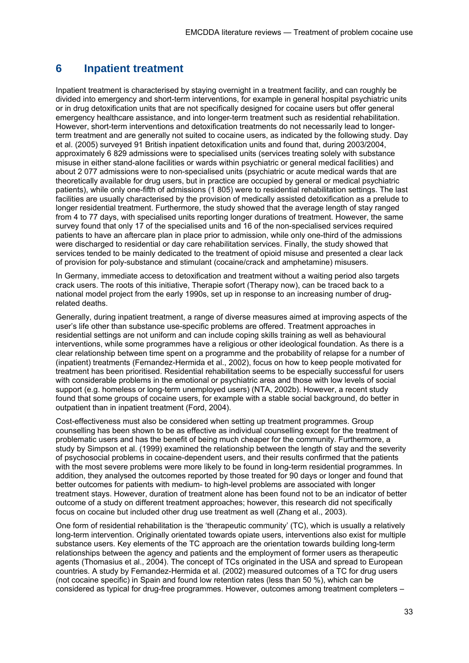## **6 Inpatient treatment**

Inpatient treatment is characterised by staying overnight in a treatment facility, and can roughly be divided into emergency and short-term interventions, for example in general hospital psychiatric units or in drug detoxification units that are not specifically designed for cocaine users but offer general emergency healthcare assistance, and into longer-term treatment such as residential rehabilitation. However, short-term interventions and detoxification treatments do not necessarily lead to longerterm treatment and are generally not suited to cocaine users, as indicated by the following study. Day et al. (2005) surveyed 91 British inpatient detoxification units and found that, during 2003/2004, approximately 6 829 admissions were to specialised units (services treating solely with substance misuse in either stand-alone facilities or wards within psychiatric or general medical facilities) and about 2 077 admissions were to non-specialised units (psychiatric or acute medical wards that are theoretically available for drug users, but in practice are occupied by general or medical psychiatric patients), while only one-fifth of admissions (1 805) were to residential rehabilitation settings. The last facilities are usually characterised by the provision of medically assisted detoxification as a prelude to longer residential treatment. Furthermore, the study showed that the average length of stay ranged from 4 to 77 days, with specialised units reporting longer durations of treatment. However, the same survey found that only 17 of the specialised units and 16 of the non-specialised services required patients to have an aftercare plan in place prior to admission, while only one-third of the admissions were discharged to residential or day care rehabilitation services. Finally, the study showed that services tended to be mainly dedicated to the treatment of opioid misuse and presented a clear lack of provision for poly-substance and stimulant (cocaine/crack and amphetamine) misusers.

In Germany, immediate access to detoxification and treatment without a waiting period also targets crack users. The roots of this initiative, Therapie sofort (Therapy now), can be traced back to a national model project from the early 1990s, set up in response to an increasing number of drugrelated deaths.

Generally, during inpatient treatment, a range of diverse measures aimed at improving aspects of the user's life other than substance use-specific problems are offered. Treatment approaches in residential settings are not uniform and can include coping skills training as well as behavioural interventions, while some programmes have a religious or other ideological foundation. As there is a clear relationship between time spent on a programme and the probability of relapse for a number of (inpatient) treatments (Fernandez-Hermida et al., 2002), focus on how to keep people motivated for treatment has been prioritised. Residential rehabilitation seems to be especially successful for users with considerable problems in the emotional or psychiatric area and those with low levels of social support (e.g. homeless or long-term unemployed users) (NTA, 2002b). However, a recent study found that some groups of cocaine users, for example with a stable social background, do better in outpatient than in inpatient treatment (Ford, 2004).

Cost-effectiveness must also be considered when setting up treatment programmes. Group counselling has been shown to be as effective as individual counselling except for the treatment of problematic users and has the benefit of being much cheaper for the community. Furthermore, a study by Simpson et al. (1999) examined the relationship between the length of stay and the severity of psychosocial problems in cocaine-dependent users, and their results confirmed that the patients with the most severe problems were more likely to be found in long-term residential programmes. In addition, they analysed the outcomes reported by those treated for 90 days or longer and found that better outcomes for patients with medium- to high-level problems are associated with longer treatment stays. However, duration of treatment alone has been found not to be an indicator of better outcome of a study on different treatment approaches; however, this research did not specifically focus on cocaine but included other drug use treatment as well (Zhang et al., 2003).

One form of residential rehabilitation is the 'therapeutic community' (TC), which is usually a relatively long-term intervention. Originally orientated towards opiate users, interventions also exist for multiple substance users. Key elements of the TC approach are the orientation towards building long-term relationships between the agency and patients and the employment of former users as therapeutic agents (Thomasius et al., 2004). The concept of TCs originated in the USA and spread to European countries. A study by Fernandez-Hermida et al. (2002) measured outcomes of a TC for drug users (not cocaine specific) in Spain and found low retention rates (less than 50 %), which can be considered as typical for drug-free programmes. However, outcomes among treatment completers –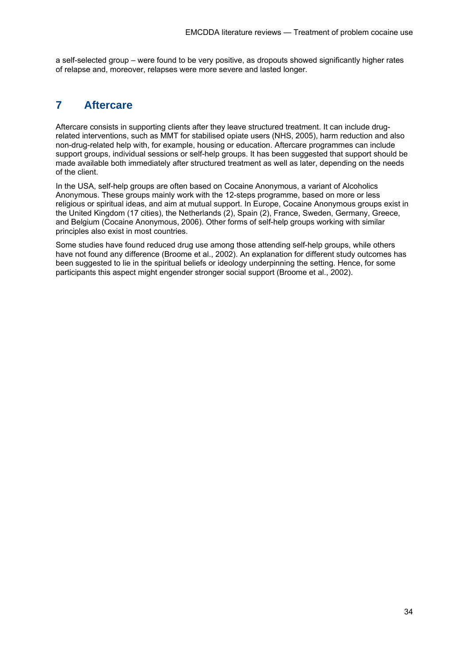a self-selected group – were found to be very positive, as dropouts showed significantly higher rates of relapse and, moreover, relapses were more severe and lasted longer.

# **7 Aftercare**

Aftercare consists in supporting clients after they leave structured treatment. It can include drugrelated interventions, such as MMT for stabilised opiate users (NHS, 2005), harm reduction and also non-drug-related help with, for example, housing or education. Aftercare programmes can include support groups, individual sessions or self-help groups. It has been suggested that support should be made available both immediately after structured treatment as well as later, depending on the needs of the client.

In the USA, self-help groups are often based on Cocaine Anonymous, a variant of Alcoholics Anonymous. These groups mainly work with the 12-steps programme, based on more or less religious or spiritual ideas, and aim at mutual support. In Europe, Cocaine Anonymous groups exist in the United Kingdom (17 cities), the Netherlands (2), Spain (2), France, Sweden, Germany, Greece, and Belgium (Cocaine Anonymous, 2006). Other forms of self-help groups working with similar principles also exist in most countries.

Some studies have found reduced drug use among those attending self-help groups, while others have not found any difference (Broome et al., 2002). An explanation for different study outcomes has been suggested to lie in the spiritual beliefs or ideology underpinning the setting. Hence, for some participants this aspect might engender stronger social support (Broome et al., 2002).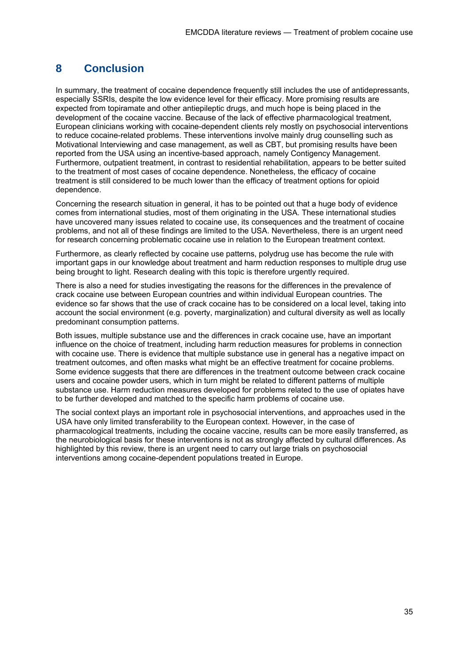# **8 Conclusion**

In summary, the treatment of cocaine dependence frequently still includes the use of antidepressants, especially SSRIs, despite the low evidence level for their efficacy. More promising results are expected from topiramate and other antiepileptic drugs, and much hope is being placed in the development of the cocaine vaccine. Because of the lack of effective pharmacological treatment, European clinicians working with cocaine-dependent clients rely mostly on psychosocial interventions to reduce cocaine-related problems. These interventions involve mainly drug counselling such as Motivational Interviewing and case management, as well as CBT, but promising results have been reported from the USA using an incentive-based approach, namely Contigency Management. Furthermore, outpatient treatment, in contrast to residential rehabilitation, appears to be better suited to the treatment of most cases of cocaine dependence. Nonetheless, the efficacy of cocaine treatment is still considered to be much lower than the efficacy of treatment options for opioid dependence.

Concerning the research situation in general, it has to be pointed out that a huge body of evidence comes from international studies, most of them originating in the USA. These international studies have uncovered many issues related to cocaine use, its consequences and the treatment of cocaine problems, and not all of these findings are limited to the USA. Nevertheless, there is an urgent need for research concerning problematic cocaine use in relation to the European treatment context.

Furthermore, as clearly reflected by cocaine use patterns, polydrug use has become the rule with important gaps in our knowledge about treatment and harm reduction responses to multiple drug use being brought to light. Research dealing with this topic is therefore urgently required.

There is also a need for studies investigating the reasons for the differences in the prevalence of crack cocaine use between European countries and within individual European countries. The evidence so far shows that the use of crack cocaine has to be considered on a local level, taking into account the social environment (e.g. poverty, marginalization) and cultural diversity as well as locally predominant consumption patterns.

Both issues, multiple substance use and the differences in crack cocaine use, have an important influence on the choice of treatment, including harm reduction measures for problems in connection with cocaine use. There is evidence that multiple substance use in general has a negative impact on treatment outcomes, and often masks what might be an effective treatment for cocaine problems. Some evidence suggests that there are differences in the treatment outcome between crack cocaine users and cocaine powder users, which in turn might be related to different patterns of multiple substance use. Harm reduction measures developed for problems related to the use of opiates have to be further developed and matched to the specific harm problems of cocaine use.

The social context plays an important role in psychosocial interventions, and approaches used in the USA have only limited transferability to the European context. However, in the case of pharmacological treatments, including the cocaine vaccine, results can be more easily transferred, as the neurobiological basis for these interventions is not as strongly affected by cultural differences. As highlighted by this review, there is an urgent need to carry out large trials on psychosocial interventions among cocaine-dependent populations treated in Europe.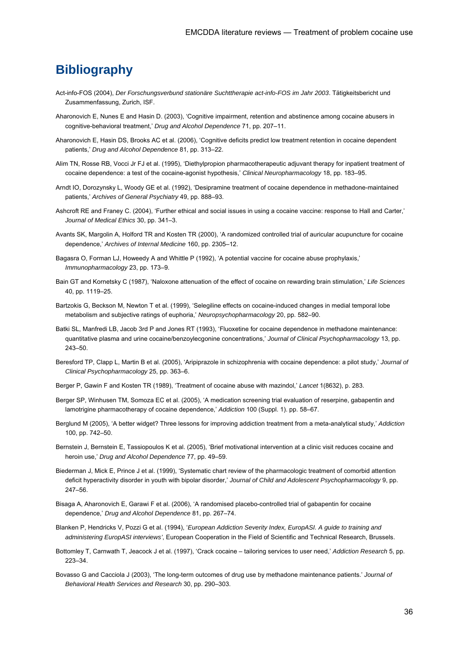# **Bibliography**

- Act-info-FOS (2004), *Der Forschungsverbund stationäre Suchttherapie act-info-FOS im Jahr 2003*. Tätigkeitsbericht und Zusammenfassung, Zurich, ISF.
- Aharonovich E, Nunes E and Hasin D. (2003), 'Cognitive impairment, retention and abstinence among cocaine abusers in cognitive-behavioral treatment,' *Drug and Alcohol Dependence* 71, pp. 207–11.
- Aharonovich E, Hasin DS, Brooks AC et al. (2006), 'Cognitive deficits predict low treatment retention in cocaine dependent patients,' *Drug and Alcohol Dependence* 81, pp. 313–22.
- Alim TN, Rosse RB, Vocci Jr FJ et al. (1995), 'Diethylpropion pharmacotherapeutic adjuvant therapy for inpatient treatment of cocaine dependence: a test of the cocaine-agonist hypothesis,' *Clinical Neuropharmacology* 18, pp. 183–95.
- Arndt IO, Dorozynsky L, Woody GE et al. (1992), 'Desipramine treatment of cocaine dependence in methadone-maintained patients,' *Archives of General Psychiatry* 49, pp. 888–93.
- Ashcroft RE and Franey C. (2004), 'Further ethical and social issues in using a cocaine vaccine: response to Hall and Carter,' *Journal of Medical Ethics* 30, pp. 341–3.
- Avants SK, Margolin A, Holford TR and Kosten TR (2000), 'A randomized controlled trial of auricular acupuncture for cocaine dependence,' *Archives of Internal Medicine* 160, pp. 2305–12.
- Bagasra O, Forman LJ, Howeedy A and Whittle P (1992), 'A potential vaccine for cocaine abuse prophylaxis,' *Immunopharmacology* 23, pp. 173–9.
- Bain GT and Kornetsky C (1987), 'Naloxone attenuation of the effect of cocaine on rewarding brain stimulation,' *Life Sciences* 40, pp. 1119–25.
- Bartzokis G, Beckson M, Newton T et al. (1999), 'Selegiline effects on cocaine-induced changes in medial temporal lobe metabolism and subjective ratings of euphoria,' *Neuropsychopharmacology* 20, pp. 582–90.
- Batki SL, Manfredi LB, Jacob 3rd P and Jones RT (1993), 'Fluoxetine for cocaine dependence in methadone maintenance: quantitative plasma and urine cocaine/benzoylecgonine concentrations,' *Journal of Clinical Psychopharmacology* 13, pp. 243–50.
- Beresford TP, Clapp L, Martin B et al. (2005), 'Aripiprazole in schizophrenia with cocaine dependence: a pilot study,' *Journal of Clinical Psychopharmacology* 25, pp. 363–6.
- Berger P, Gawin F and Kosten TR (1989), 'Treatment of cocaine abuse with mazindol,' *Lancet* 1(8632), p. 283.
- Berger SP, Winhusen TM, Somoza EC et al. (2005), 'A medication screening trial evaluation of reserpine, gabapentin and lamotrigine pharmacotherapy of cocaine dependence,' *Addiction* 100 (Suppl. 1). pp. 58–67.
- Berglund M (2005), 'A better widget? Three lessons for improving addiction treatment from a meta-analytical study,' *Addiction* 100, pp. 742–50.
- Bernstein J, Bernstein E, Tassiopoulos K et al. (2005), 'Brief motivational intervention at a clinic visit reduces cocaine and heroin use,' *Drug and Alcohol Dependence* 77, pp. 49–59.
- Biederman J, Mick E, Prince J et al. (1999), 'Systematic chart review of the pharmacologic treatment of comorbid attention deficit hyperactivity disorder in youth with bipolar disorder,' *Journal of Child and Adolescent Psychopharmacology* 9, pp. 247–56.
- Bisaga A, Aharonovich E, Garawi F et al. (2006), 'A randomised placebo-controlled trial of gabapentin for cocaine dependence,' *Drug and Alcohol Dependence* 81, pp. 267–74.
- Blanken P, Hendricks V, Pozzi G et al. (1994), '*European Addiction Severity Index, EuropASI. A guide to training and administering EuropASI interviews'*, European Cooperation in the Field of Scientific and Technical Research, Brussels.
- Bottomley T, Carnwath T, Jeacock J et al. (1997), 'Crack cocaine tailoring services to user need,' *Addiction Research* 5, pp. 223–34.
- Bovasso G and Cacciola J (2003), 'The long-term outcomes of drug use by methadone maintenance patients.' *Journal of Behavioral Health Services and Research* 30, pp. 290–303.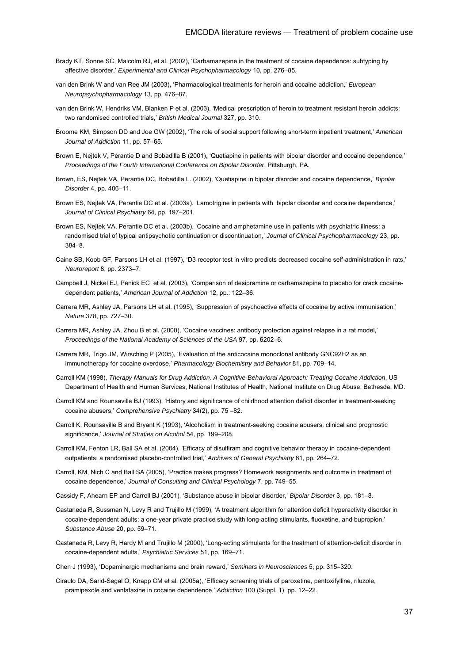- Brady KT, Sonne SC, Malcolm RJ, et al. (2002), 'Carbamazepine in the treatment of cocaine dependence: subtyping by affective disorder,' *Experimental and Clinical Psychopharmacology* 10, pp. 276–85.
- van den Brink W and van Ree JM (2003), 'Pharmacological treatments for heroin and cocaine addiction,' *European Neuropsychopharmacology* 13, pp. 476–87.
- van den Brink W, Hendriks VM, Blanken P et al. (2003), 'Medical prescription of heroin to treatment resistant heroin addicts: two randomised controlled trials,' *British Medical Journal* 327, pp. 310.
- Broome KM, Simpson DD and Joe GW (2002), 'The role of social support following short-term inpatient treatment,' *American Journal of Addiction* 11, pp. 57–65.
- Brown E, Nejtek V, Perantie D and Bobadilla B (2001), 'Quetiapine in patients with bipolar disorder and cocaine dependence,' *Proceedings of the Fourth International Conference on Bipolar Disorder*, Pittsburgh, PA.
- Brown, ES, Nejtek VA, Perantie DC, Bobadilla L. (2002), 'Quetiapine in bipolar disorder and cocaine dependence,' *Bipolar Disorder* 4, pp. 406–11.
- Brown ES, Nejtek VA, Perantie DC et al. (2003a). 'Lamotrigine in patients with bipolar disorder and cocaine dependence,' *Journal of Clinical Psychiatry* 64, pp. 197–201.
- Brown ES, Nejtek VA, Perantie DC et al. (2003b). 'Cocaine and amphetamine use in patients with psychiatric illness: a randomised trial of typical antipsychotic continuation or discontinuation,' *Journal of Clinical Psychopharmacology* 23, pp. 384–8.
- Caine SB, Koob GF, Parsons LH et al. (1997), 'D3 receptor test in vitro predicts decreased cocaine self-administration in rats,' *Neuroreport* 8, pp. 2373–7.
- Campbell J, Nickel EJ, Penick EC et al. (2003), 'Comparison of desipramine or carbamazepine to placebo for crack cocainedependent patients,' *American Journal of Addiction* 12, pp.: 122–36.
- Carrera MR, Ashley JA, Parsons LH et al. (1995), 'Suppression of psychoactive effects of cocaine by active immunisation,' *Nature* 378, pp. 727–30.
- Carrera MR, Ashley JA, Zhou B et al. (2000), 'Cocaine vaccines: antibody protection against relapse in a rat model,' *Proceedings of the National Academy of Sciences of the USA* 97, pp. 6202–6.
- Carrera MR, Trigo JM, Wirsching P (2005), 'Evaluation of the anticocaine monoclonal antibody GNC92H2 as an immunotherapy for cocaine overdose,' *Pharmacology Biochemistry and Behavior* 81, pp. 709–14.
- Carroll KM (1998), *Therapy Manuals for Drug Addiction. A Cognitive-Behavioral Approach: Treating Cocaine Addiction*, US Department of Health and Human Services, National Institutes of Health, National Institute on Drug Abuse, Bethesda, MD.
- Carroll KM and Rounsaville BJ (1993), 'History and significance of childhood attention deficit disorder in treatment-seeking cocaine abusers,' *Comprehensive Psychiatry* 34(2), pp. 75 –82.
- Carroll K, Rounsaville B and Bryant K (1993), 'Alcoholism in treatment-seeking cocaine abusers: clinical and prognostic significance,' *Journal of Studies on Alcohol* 54, pp. 199–208.
- Carroll KM, Fenton LR, Ball SA et al. (2004), 'Efficacy of disulfiram and cognitive behavior therapy in cocaine-dependent outpatients: a randomised placebo-controlled trial,' *Archives of General Psychiatry* 61, pp. 264–72.
- Carroll, KM, Nich C and Ball SA (2005), 'Practice makes progress? Homework assignments and outcome in treatment of cocaine dependence,' *Journal of Consulting and Clinical Psychology* 7, pp. 749–55.
- Cassidy F, Ahearn EP and Carroll BJ (2001), 'Substance abuse in bipolar disorder,' *Bipolar Disorder* 3, pp. 181–8.
- Castaneda R, Sussman N, Levy R and Trujillo M (1999), 'A treatment algorithm for attention deficit hyperactivity disorder in cocaine-dependent adults: a one-year private practice study with long-acting stimulants, fluoxetine, and bupropion,' *Substance Abuse* 20, pp. 59–71.
- Castaneda R, Levy R, Hardy M and Trujillo M (2000), 'Long-acting stimulants for the treatment of attention-deficit disorder in cocaine-dependent adults,' *Psychiatric Services* 51, pp. 169–71.
- Chen J (1993), 'Dopaminergic mechanisms and brain reward,' *Seminars in Neurosciences* 5, pp. 315–320.
- Ciraulo DA, Sarid-Segal O, Knapp CM et al. (2005a), 'Efficacy screening trials of paroxetine, pentoxifylline, riluzole, pramipexole and venlafaxine in cocaine dependence,' *Addiction* 100 (Suppl. 1), pp. 12–22.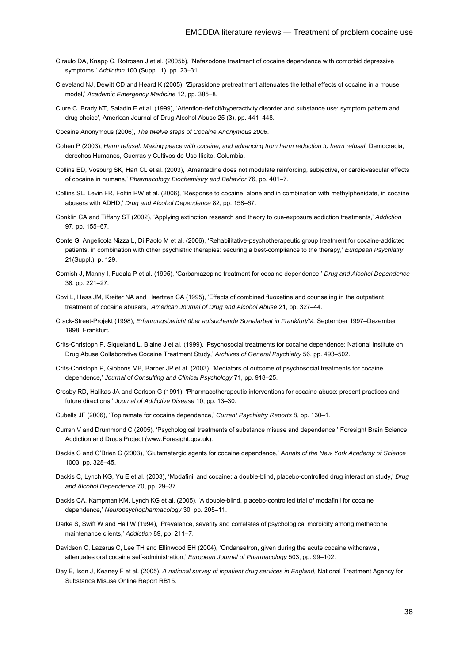- Ciraulo DA, Knapp C, Rotrosen J et al. (2005b), 'Nefazodone treatment of cocaine dependence with comorbid depressive symptoms,' *Addiction* 100 (Suppl. 1). pp. 23–31.
- Cleveland NJ, Dewitt CD and Heard K (2005), 'Ziprasidone pretreatment attenuates the lethal effects of cocaine in a mouse model,' *Academic Emergency Medicine* 12, pp. 385–8.
- Clure C, Brady KT, Saladin E et al. (1999), 'Attention-deficit/hyperactivity disorder and substance use: symptom pattern and drug choice', American Journal of Drug Alcohol Abuse 25 (3), pp. 441–448.

Cocaine Anonymous (2006), *The twelve steps of Cocaine Anonymous 2006*.

- Cohen P (2003), *Harm refusal. Making peace with cocaine, and advancing from harm reduction to harm refusal*. Democracia, derechos Humanos, Guerras y Cultivos de Uso Ilícito, Columbia.
- Collins ED, Vosburg SK, Hart CL et al. (2003), 'Amantadine does not modulate reinforcing, subjective, or cardiovascular effects of cocaine in humans,' *Pharmacology Biochemistry and Behavior* 76, pp. 401–7.
- Collins SL, Levin FR, Foltin RW et al. (2006), 'Response to cocaine, alone and in combination with methylphenidate, in cocaine abusers with ADHD,' *Drug and Alcohol Dependence* 82, pp. 158–67.
- Conklin CA and Tiffany ST (2002), 'Applying extinction research and theory to cue-exposure addiction treatments,' *Addiction* 97, pp. 155–67.
- Conte G, Angelicola Nizza L, Di Paolo M et al. (2006), 'Rehabilitative-psychotherapeutic group treatment for cocaine-addicted patients, in combination with other psychiatric therapies: securing a best-compliance to the therapy,' *European Psychiatry* 21(Suppl.), p. 129.
- Cornish J, Manny I, Fudala P et al. (1995), 'Carbamazepine treatment for cocaine dependence,' *Drug and Alcohol Dependence* 38, pp. 221–27.
- Covi L, Hess JM, Kreiter NA and Haertzen CA (1995), 'Effects of combined fluoxetine and counseling in the outpatient treatment of cocaine abusers,' *American Journal of Drug and Alcohol Abuse* 21, pp. 327–44.
- Crack-Street-Projekt (1998), *Erfahrungsbericht über aufsuchende Sozialarbeit in Frankfurt/M.* September 1997–Dezember 1998, Frankfurt.
- Crits-Christoph P, Siqueland L, Blaine J et al. (1999), 'Psychosocial treatments for cocaine dependence: National Institute on Drug Abuse Collaborative Cocaine Treatment Study,' *Archives of General Psychiatry* 56, pp. 493–502.
- Crits-Christoph P, Gibbons MB, Barber JP et al. (2003), 'Mediators of outcome of psychosocial treatments for cocaine dependence,' *Journal of Consulting and Clinical Psychology* 71, pp. 918–25.
- Crosby RD, Halikas JA and Carlson G (1991), 'Pharmacotherapeutic interventions for cocaine abuse: present practices and future directions,' *Journal of Addictive Disease* 10, pp. 13–30.
- Cubells JF (2006), 'Topiramate for cocaine dependence,' *Current Psychiatry Reports* 8, pp. 130–1.
- Curran V and Drummond C (2005), 'Psychological treatments of substance misuse and dependence,' Foresight Brain Science, Addiction and Drugs Project (www.Foresight.gov.uk).
- Dackis C and O'Brien C (2003), 'Glutamatergic agents for cocaine dependence,' *Annals of the New York Academy of Science* 1003, pp. 328–45.
- Dackis C, Lynch KG, Yu E et al. (2003), 'Modafinil and cocaine: a double-blind, placebo-controlled drug interaction study,' *Drug and Alcohol Dependence* 70, pp. 29–37.
- Dackis CA, Kampman KM, Lynch KG et al. (2005), 'A double-blind, placebo-controlled trial of modafinil for cocaine dependence,' *Neuropsychopharmacology* 30, pp. 205–11.
- Darke S, Swift W and Hall W (1994), 'Prevalence, severity and correlates of psychological morbidity among methadone maintenance clients,' *Addiction* 89, pp. 211–7.
- Davidson C, Lazarus C, Lee TH and Ellinwood EH (2004), 'Ondansetron, given during the acute cocaine withdrawal, attenuates oral cocaine self-administration,' *European Journal of Pharmacology* 503, pp. 99–102.
- Day E, Ison J, Keaney F et al. (2005), *A national survey of inpatient drug services in England,* National Treatment Agency for Substance Misuse Online Report RB15.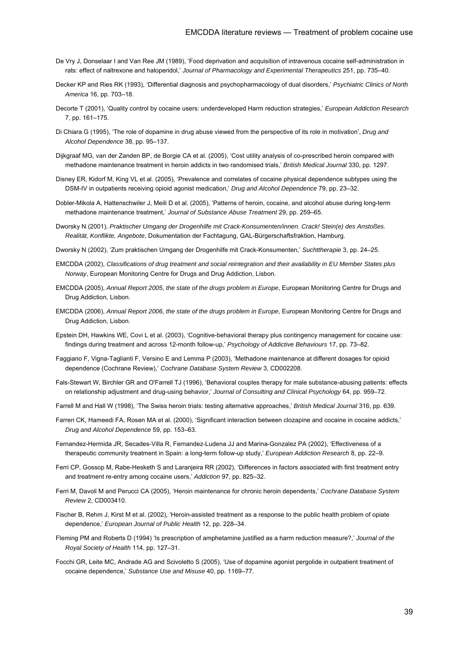- De Vry J, Donselaar I and Van Ree JM (1989), 'Food deprivation and acquisition of intravenous cocaine self-administration in rats: effect of naltrexone and haloperidol,' *Journal of Pharmacology and Experimental Therapeutics* 251, pp. 735–40.
- Decker KP and Ries RK (1993), 'Differential diagnosis and psychopharmacology of dual disorders,' *Psychiatric Clinics of North America* 16, pp. 703–18.
- Decorte T (2001), 'Quality control by cocaine users: underdeveloped Harm reduction strategies,' *European Addiction Research* 7, pp. 161–175.
- Di Chiara G (1995), 'The role of dopamine in drug abuse viewed from the perspective of its role in motivation', *Drug and Alcohol Dependence* 38, pp. 95–137.
- Dijkgraaf MG, van der Zanden BP, de Borgie CA et al. (2005), 'Cost utility analysis of co-prescribed heroin compared with methadone maintenance treatment in heroin addicts in two randomised trials,' *British Medical Journal* 330, pp. 1297.
- Disney ER, Kidorf M, King VL et al. (2005), 'Prevalence and correlates of cocaine physical dependence subtypes using the DSM-IV in outpatients receiving opioid agonist medication,' *Drug and Alcohol Dependence* 79, pp. 23–32.
- Dobler-Mikola A, Hattenschwiler J, Meili D et al. (2005), 'Patterns of heroin, cocaine, and alcohol abuse during long-term methadone maintenance treatment,' *Journal of Substance Abuse Treatment* 29, pp. 259–65.
- Dworsky N (2001), *Praktischer Umgang der Drogenhilfe mit Crack-Konsumenten/innen. Crack! Stein(e) des Anstoßes. Realität, Konflikte, Angebote*, Dokumentation der Fachtagung, GAL-Bürgerschaftsfraktion, Hamburg.
- Dworsky N (2002), 'Zum praktischen Umgang der Drogenhilfe mit Crack-Konsumenten,' *Suchttherapie* 3, pp. 24–25.
- EMCDDA (2002), *Classifications of drug treatment and social reintegration and their availability in EU Member States plus Norway*, European Monitoring Centre for Drugs and Drug Addiction, Lisbon.
- EMCDDA (2005), *Annual Report 2005*, *the state of the drugs problem in Europe*, European Monitoring Centre for Drugs and Drug Addiction, Lisbon.
- EMCDDA (2006), *Annual Report 2006, the state of the drugs problem in Europe*, European Monitoring Centre for Drugs and Drug Addiction, Lisbon.
- Epstein DH, Hawkins WE, Covi L et al. (2003), 'Cognitive-behavioral therapy plus contingency management for cocaine use: findings during treatment and across 12-month follow-up,' *Psychology of Addictive Behaviours* 17, pp. 73–82.
- Faggiano F, Vigna-Taglianti F, Versino E and Lemma P (2003), 'Methadone maintenance at different dosages for opioid dependence (Cochrane Review),' *Cochrane Database System Review* 3, CD002208.
- Fals-Stewart W, Birchler GR and O'Farrell TJ (1996), 'Behavioral couples therapy for male substance-abusing patients: effects on relationship adjustment and drug-using behavior,' *Journal of Consulting and Clinical Psychology* 64, pp. 959–72.
- Farrell M and Hall W (1998), 'The Swiss heroin trials: testing alternative approaches,' *British Medical Journal* 316, pp. 639.
- Farren CK, Hameedi FA, Rosen MA et al. (2000), 'Significant interaction between clozapine and cocaine in cocaine addicts,' *Drug and Alcohol Dependence* 59, pp. 153–63.
- Fernandez-Hermida JR, Secades-Villa R, Fernandez-Ludena JJ and Marina-Gonzalez PA (2002), 'Effectiveness of a therapeutic community treatment in Spain: a long-term follow-up study,' *European Addiction Research* 8, pp. 22–9.
- Ferri CP, Gossop M, Rabe-Hesketh S and Laranjeira RR (2002), 'Differences in factors associated with first treatment entry and treatment re-entry among cocaine users,' *Addiction* 97, pp. 825–32.
- Ferri M, Davoli M and Perucci CA (2005), 'Heroin maintenance for chronic heroin dependents,' *Cochrane Database System Review* 2, CD003410.
- Fischer B, Rehm J, Kirst M et al. (2002), 'Heroin-assisted treatment as a response to the public health problem of opiate dependence,' *European Journal of Public Health* 12, pp. 228–34.
- Fleming PM and Roberts D (1994) 'Is prescription of amphetamine justified as a harm reduction measure?,' *Journal of the Royal Society of Health* 114, pp. 127–31.
- Focchi GR, Leite MC, Andrade AG and Scivoletto S (2005), 'Use of dopamine agonist pergolide in outpatient treatment of cocaine dependence,' *Substance Use and Misuse* 40, pp. 1169–77.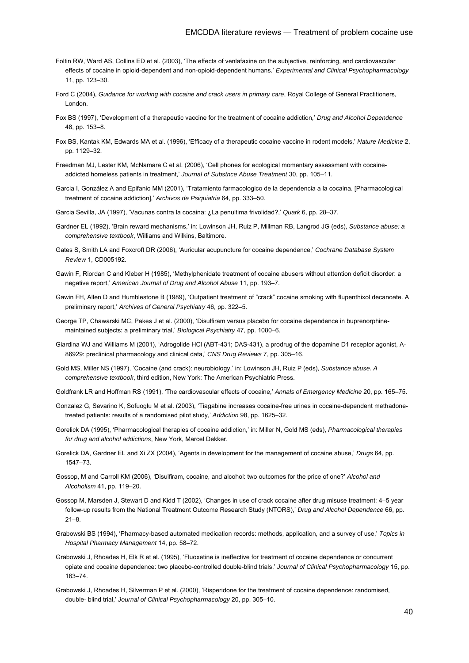- Foltin RW, Ward AS, Collins ED et al. (2003), 'The effects of venlafaxine on the subjective, reinforcing, and cardiovascular effects of cocaine in opioid-dependent and non-opioid-dependent humans.' *Experimental and Clinical Psychopharmacology* 11, pp. 123–30.
- Ford C (2004), *Guidance for working with cocaine and crack users in primary care*, Royal College of General Practitioners, London.
- Fox BS (1997), 'Development of a therapeutic vaccine for the treatment of cocaine addiction,' *Drug and Alcohol Dependence* 48, pp. 153–8.
- Fox BS, Kantak KM, Edwards MA et al. (1996), 'Efficacy of a therapeutic cocaine vaccine in rodent models,' *Nature Medicine* 2, pp. 1129–32.
- Freedman MJ, Lester KM, McNamara C et al. (2006), 'Cell phones for ecological momentary assessment with cocaineaddicted homeless patients in treatment,' *Journal of Substnce Abuse Treatment* 30, pp. 105–11.
- Garcia I, González A and Epifanio MM (2001), 'Tratamiento farmacologico de la dependencia a la cocaina. [Pharmacological treatment of cocaine addiction],' *Archivos de Psiquiatria* 64, pp. 333–50.
- Garcia Sevilla, JA (1997), 'Vacunas contra la cocaina: ¿La penultima frivolidad?,' *Quark* 6, pp. 28–37.
- Gardner EL (1992), 'Brain reward mechanisms,' in: Lowinson JH, Ruiz P, Millman RB, Langrod JG (eds), *Substance abuse: a comprehensive textbook*, Williams and Wilkins, Baltimore.
- Gates S, Smith LA and Foxcroft DR (2006), 'Auricular acupuncture for cocaine dependence,' *Cochrane Database System Review* 1, CD005192.
- Gawin F, Riordan C and Kleber H (1985), 'Methylphenidate treatment of cocaine abusers without attention deficit disorder: a negative report,' *American Journal of Drug and Alcohol Abuse* 11, pp. 193–7.
- Gawin FH, Allen D and Humblestone B (1989), 'Outpatient treatment of "crack" cocaine smoking with flupenthixol decanoate. A preliminary report,' *Archives of General Psychiatry* 46, pp. 322–5.
- George TP, Chawarski MC, Pakes J et al. (2000), 'Disulfiram versus placebo for cocaine dependence in buprenorphinemaintained subjects: a preliminary trial,' *Biological Psychiatry* 47, pp. 1080–6.
- Giardina WJ and Williams M (2001), 'Adrogolide HCl (ABT-431; DAS-431), a prodrug of the dopamine D1 receptor agonist, A-86929: preclinical pharmacology and clinical data,' *CNS Drug Reviews* 7, pp. 305–16.
- Gold MS, Miller NS (1997), 'Cocaine (and crack): neurobiology,' in: Lowinson JH, Ruiz P (eds), *Substance abuse. A comprehensive textbook*, third edition, New York: The American Psychiatric Press.
- Goldfrank LR and Hoffman RS (1991), 'The cardiovascular effects of cocaine,' *Annals of Emergency Medicine* 20, pp. 165–75.
- Gonzalez G, Sevarino K, Sofuoglu M et al. (2003), 'Tiagabine increases cocaine-free urines in cocaine-dependent methadonetreated patients: results of a randomised pilot study,' *Addiction* 98, pp. 1625–32.
- Gorelick DA (1995), 'Pharmacological therapies of cocaine addiction,' in: Miller N, Gold MS (eds), *Pharmacological therapies for drug and alcohol addictions*, New York, Marcel Dekker.
- Gorelick DA, Gardner EL and Xi ZX (2004), 'Agents in development for the management of cocaine abuse,' *Drugs* 64, pp. 1547–73.
- Gossop, M and Carroll KM (2006), 'Disulfiram, cocaine, and alcohol: two outcomes for the price of one?' *Alcohol and Alcoholism* 41, pp. 119–20.
- Gossop M, Marsden J, Stewart D and Kidd T (2002), 'Changes in use of crack cocaine after drug misuse treatment: 4–5 year follow-up results from the National Treatment Outcome Research Study (NTORS),' *Drug and Alcohol Dependence* 66, pp. 21–8.
- Grabowski BS (1994), 'Pharmacy-based automated medication records: methods, application, and a survey of use,' *Topics in Hospital Pharmacy Management* 14, pp. 58–72.
- Grabowski J, Rhoades H, Elk R et al. (1995), 'Fluoxetine is ineffective for treatment of cocaine dependence or concurrent opiate and cocaine dependence: two placebo-controlled double-blind trials,' *Journal of Clinical Psychopharmacology* 15, pp. 163–74.
- Grabowski J, Rhoades H, Silverman P et al. (2000), 'Risperidone for the treatment of cocaine dependence: randomised, double- blind trial,' *Journal of Clinical Psychopharmacology* 20, pp. 305–10.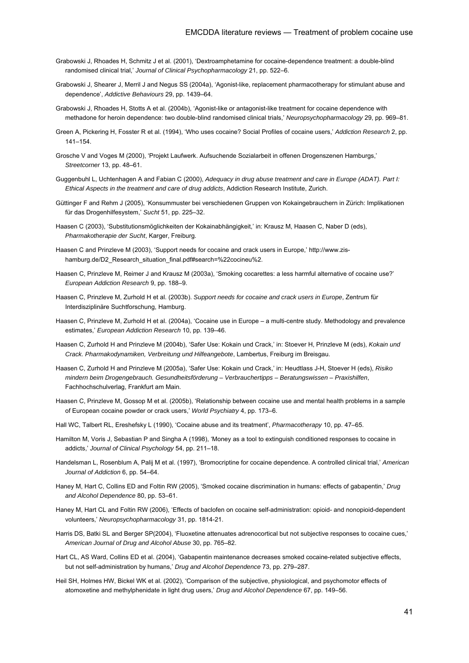- Grabowski J, Rhoades H, Schmitz J et al. (2001), 'Dextroamphetamine for cocaine-dependence treatment: a double-blind randomised clinical trial,' *Journal of Clinical Psychopharmacology* 21, pp. 522–6.
- Grabowski J, Shearer J, Merril J and Negus SS (2004a), 'Agonist-like, replacement pharmacotherapy for stimulant abuse and dependence', *Addictive Behaviours* 29, pp. 1439–64.
- Grabowski J, Rhoades H, Stotts A et al. (2004b), 'Agonist-like or antagonist-like treatment for cocaine dependence with methadone for heroin dependence: two double-blind randomised clinical trials,' *Neuropsychopharmacology* 29, pp. 969–81.
- Green A, Pickering H, Fosster R et al. (1994), 'Who uses cocaine? Social Profiles of cocaine users,' *Addiction Research* 2, pp. 141–154.
- Grosche V and Voges M (2000), 'Projekt Laufwerk. Aufsuchende Sozialarbeit in offenen Drogenszenen Hamburgs,' *Streetcorner* 13, pp. 48–61.
- Guggenbuhl L, Uchtenhagen A and Fabian C (2000), *Adequacy in drug abuse treatment and care in Europe (ADAT). Part I: Ethical Aspects in the treatment and care of drug addicts*, Addiction Research Institute, Zurich.
- Güttinger F and Rehm J (2005), 'Konsummuster bei verschiedenen Gruppen von Kokaingebrauchern in Zürich: Implikationen für das Drogenhilfesystem,' *Sucht* 51, pp. 225–32.
- Haasen C (2003), 'Substitutionsmöglichkeiten der Kokainabhängigkeit,' in: Krausz M, Haasen C, Naber D (eds), *Pharmakotherapie der Sucht*, Karger, Freiburg.
- Haasen C and Prinzleve M (2003), 'Support needs for cocaine and crack users in Europe,' http://www.zishamburg.de/D2\_Research\_situation\_final.pdf#search=%22cocineu%2.
- Haasen C, Prinzleve M, Reimer J and Krausz M (2003a), 'Smoking cocarettes: a less harmful alternative of cocaine use?' *European Addiction Research* 9, pp. 188–9.
- Haasen C, Prinzleve M, Zurhold H et al. (2003b). *Support needs for cocaine and crack users in Europe*, Zentrum für Interdisziplinäre Suchtforschung, Hamburg.
- Haasen C, Prinzleve M, Zurhold H et al. (2004a), 'Cocaine use in Europe a multi-centre study. Methodology and prevalence estimates,' *European Addiction Research* 10, pp. 139–46.
- Haasen C, Zurhold H and Prinzleve M (2004b), 'Safer Use: Kokain und Crack,' in: Stoever H, Prinzleve M (eds), *Kokain und Crack. Pharmakodynamiken, Verbreitung und Hilfeangebote*, Lambertus, Freiburg im Breisgau.
- Haasen C, Zurhold H and Prinzleve M (2005a), 'Safer Use: Kokain und Crack,' in: Heudtlass J-H, Stoever H (eds), *Risiko mindern beim Drogengebrauch. Gesundheitsförderung – Verbrauchertipps – Beratungswissen – Praxishilfen*, Fachhochschulverlag, Frankfurt am Main.
- Haasen C, Prinzleve M, Gossop M et al. (2005b), 'Relationship between cocaine use and mental health problems in a sample of European cocaine powder or crack users,' *World Psychiatry* 4, pp. 173–6.
- Hall WC, Talbert RL, Ereshefsky L (1990), 'Cocaine abuse and its treatment', *Pharmacotherapy* 10, pp. 47–65.
- Hamilton M, Voris J, Sebastian P and Singha A (1998), 'Money as a tool to extinguish conditioned responses to cocaine in addicts,' *Journal of Clinical Psychology* 54, pp. 211–18.
- Handelsman L, Rosenblum A, Palij M et al. (1997), 'Bromocriptine for cocaine dependence. A controlled clinical trial,' *American Journal of Addiction* 6, pp. 54–64.
- Haney M, Hart C, Collins ED and Foltin RW (2005), 'Smoked cocaine discrimination in humans: effects of gabapentin,' *Drug and Alcohol Dependence* 80, pp. 53–61.
- Haney M, Hart CL and Foltin RW (2006), 'Effects of baclofen on cocaine self-administration: opioid- and nonopioid-dependent volunteers,' *Neuropsychopharmacology* 31, pp. 1814-21.
- Harris DS, Batki SL and Berger SP(2004), 'Fluoxetine attenuates adrenocortical but not subjective responses to cocaine cues,' *American Journal of Drug and Alcohol Abuse* 30, pp. 765–82.
- Hart CL, AS Ward, Collins ED et al. (2004), 'Gabapentin maintenance decreases smoked cocaine-related subjective effects, but not self-administration by humans,' *Drug and Alcohol Dependence* 73, pp. 279–287.
- Heil SH, Holmes HW, Bickel WK et al. (2002), 'Comparison of the subjective, physiological, and psychomotor effects of atomoxetine and methylphenidate in light drug users,' *Drug and Alcohol Dependence* 67, pp. 149–56.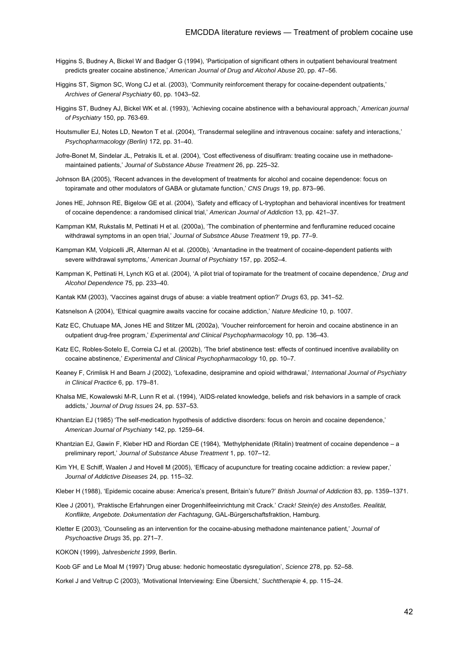- Higgins S, Budney A, Bickel W and Badger G (1994), 'Participation of significant others in outpatient behavioural treatment predicts greater cocaine abstinence,' *American Journal of Drug and Alcohol Abuse* 20, pp. 47–56.
- Higgins ST, Sigmon SC, Wong CJ et al. (2003), 'Community reinforcement therapy for cocaine-dependent outpatients,' *Archives of General Psychiatry* 60, pp. 1043–52.
- Higgins ST, Budney AJ, Bickel WK et al. (1993), 'Achieving cocaine abstinence with a behavioural approach,' *American journal of Psychiatry* 150, pp. 763-69.
- Houtsmuller EJ, Notes LD, Newton T et al. (2004), 'Transdermal selegiline and intravenous cocaine: safety and interactions,' *Psychopharmacology (Berlin)* 172, pp. 31–40.
- Jofre-Bonet M, Sindelar JL, Petrakis IL et al. (2004), 'Cost effectiveness of disulfiram: treating cocaine use in methadonemaintained patients,' *Journal of Substance Abuse Treatment* 26, pp. 225–32.
- Johnson BA (2005), 'Recent advances in the development of treatments for alcohol and cocaine dependence: focus on topiramate and other modulators of GABA or glutamate function,' *CNS Drugs* 19, pp. 873–96.
- Jones HE, Johnson RE, Bigelow GE et al. (2004), 'Safety and efficacy of L-tryptophan and behavioral incentives for treatment of cocaine dependence: a randomised clinical trial,' *American Journal of Addiction* 13, pp. 421–37.
- Kampman KM, Rukstalis M, Pettinati H et al. (2000a), 'The combination of phentermine and fenfluramine reduced cocaine withdrawal symptoms in an open trial,' *Journal of Substnce Abuse Treatment* 19, pp. 77–9.
- Kampman KM, Volpicelli JR, Alterman AI et al. (2000b), 'Amantadine in the treatment of cocaine-dependent patients with severe withdrawal symptoms,' *American Journal of Psychiatry* 157, pp. 2052–4.
- Kampman K, Pettinati H, Lynch KG et al. (2004), 'A pilot trial of topiramate for the treatment of cocaine dependence,' *Drug and Alcohol Dependence* 75, pp. 233–40.
- Kantak KM (2003), 'Vaccines against drugs of abuse: a viable treatment option?' *Drugs* 63, pp. 341–52.
- Katsnelson A (2004), 'Ethical quagmire awaits vaccine for cocaine addiction,' *Nature Medicine* 10, p. 1007.
- Katz EC, Chutuape MA, Jones HE and Stitzer ML (2002a), 'Voucher reinforcement for heroin and cocaine abstinence in an outpatient drug-free program,' *Experimental and Clinical Psychopharmacology* 10, pp. 136–43.
- Katz EC, Robles-Sotelo E, Correia CJ et al. (2002b), 'The brief abstinence test: effects of continued incentive availability on cocaine abstinence,' *Experimental and Clinical Psychopharmacology* 10, pp. 10–7.
- Keaney F, Crimlisk H and Bearn J (2002), 'Lofexadine, desipramine and opioid withdrawal,' *International Journal of Psychiatry in Clinical Practice* 6, pp. 179–81.
- Khalsa ME, Kowalewski M-R, Lunn R et al. (1994), 'AIDS-related knowledge, beliefs and risk behaviors in a sample of crack addicts,' *Journal of Drug Issues* 24, pp. 537–53.
- Khantzian EJ (1985) 'The self-medication hypothesis of addictive disorders: focus on heroin and cocaine dependence,' *American Journal of Psychiatry* 142, pp. 1259–64.
- Khantzian EJ, Gawin F, Kleber HD and Riordan CE (1984), 'Methylphenidate (Ritalin) treatment of cocaine dependence a preliminary report,' *Journal of Substance Abuse Treatment* 1, pp. 107–12.
- Kim YH, E Schiff, Waalen J and Hovell M (2005), 'Efficacy of acupuncture for treating cocaine addiction: a review paper,' *Journal of Addictive Diseases* 24, pp. 115–32.
- Kleber H (1988), 'Epidemic cocaine abuse: America's present, Britain's future?' *British Journal of Addiction* 83, pp. 1359–1371.
- Klee J (2001), 'Praktische Erfahrungen einer Drogenhilfeeinrichtung mit Crack.' *Crack! Stein(e) des Anstoßes. Realität, Konflikte, Angebote. Dokumentation der Fachtagung*, GAL-Bürgerschaftsfraktion, Hamburg.
- Kletter E (2003), 'Counseling as an intervention for the cocaine-abusing methadone maintenance patient,' *Journal of Psychoactive Drugs* 35, pp. 271–7.
- KOKON (1999), *Jahresbericht 1999*, Berlin.
- Koob GF and Le Moal M (1997) 'Drug abuse: hedonic homeostatic dysregulation', *Science* 278, pp. 52–58.

Korkel J and Veltrup C (2003), 'Motivational Interviewing: Eine Übersicht,' *Suchttherapie* 4, pp. 115–24.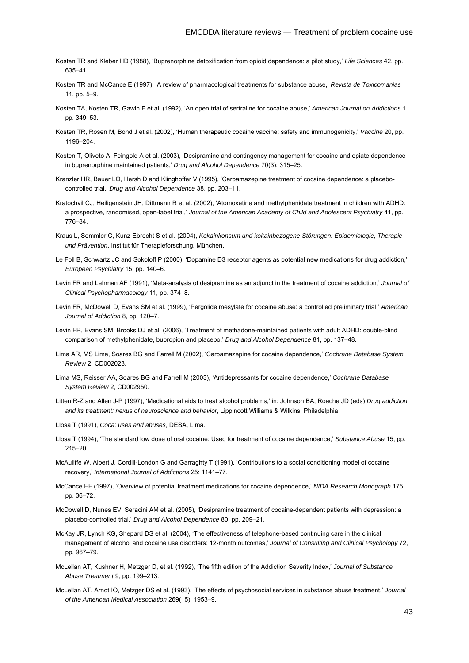- Kosten TR and Kleber HD (1988), 'Buprenorphine detoxification from opioid dependence: a pilot study,' *Life Sciences* 42, pp. 635–41.
- Kosten TR and McCance E (1997), 'A review of pharmacological treatments for substance abuse,' *Revista de Toxicomanias* 11, pp.  $5-9$ .
- Kosten TA, Kosten TR, Gawin F et al. (1992), 'An open trial of sertraline for cocaine abuse,' *American Journal on Addictions* 1, pp. 349–53.
- Kosten TR, Rosen M, Bond J et al. (2002), 'Human therapeutic cocaine vaccine: safety and immunogenicity,' *Vaccine* 20, pp. 1196–204.
- Kosten T, Oliveto A, Feingold A et al. (2003), 'Desipramine and contingency management for cocaine and opiate dependence in buprenorphine maintained patients,' *Drug and Alcohol Dependence* 70(3): 315–25.
- Kranzler HR, Bauer LO, Hersh D and Klinghoffer V (1995), 'Carbamazepine treatment of cocaine dependence: a placebocontrolled trial,' *Drug and Alcohol Dependence* 38, pp. 203–11.
- Kratochvil CJ, Heiligenstein JH, Dittmann R et al. (2002), 'Atomoxetine and methylphenidate treatment in children with ADHD: a prospective, randomised, open-label trial,' *Journal of the American Academy of Child and Adolescent Psychiatry* 41, pp. 776–84.
- Kraus L, Semmler C, Kunz-Ebrecht S et al. (2004), *Kokainkonsum und kokainbezogene Störungen: Epidemiologie, Therapie und Prävention*, Institut für Therapieforschung, München.
- Le Foll B, Schwartz JC and Sokoloff P (2000), 'Dopamine D3 receptor agents as potential new medications for drug addiction,' *European Psychiatry* 15, pp. 140–6.
- Levin FR and Lehman AF (1991), 'Meta-analysis of desipramine as an adjunct in the treatment of cocaine addiction,' *Journal of Clinical Psychopharmacology* 11, pp. 374–8.
- Levin FR, McDowell D, Evans SM et al. (1999), 'Pergolide mesylate for cocaine abuse: a controlled preliminary trial,' *American Journal of Addiction* 8, pp. 120–7.
- Levin FR, Evans SM, Brooks DJ et al. (2006), 'Treatment of methadone-maintained patients with adult ADHD: double-blind comparison of methylphenidate, bupropion and placebo,' *Drug and Alcohol Dependence* 81, pp. 137–48.
- Lima AR, MS Lima, Soares BG and Farrell M (2002), 'Carbamazepine for cocaine dependence,' *Cochrane Database System Review* 2, CD002023.
- Lima MS, Reisser AA, Soares BG and Farrell M (2003), 'Antidepressants for cocaine dependence,' *Cochrane Database System Review* 2, CD002950.
- Litten R-Z and Allen J-P (1997), 'Medicational aids to treat alcohol problems,' in: Johnson BA, Roache JD (eds) *Drug addiction and its treatment: nexus of neuroscience and behavior*, Lippincott Williams & Wilkins, Philadelphia.
- Llosa T (1991), *Coca: uses and abuses*, DESA, Lima.
- Llosa T (1994), 'The standard low dose of oral cocaine: Used for treatment of cocaine dependence,' *Substance Abuse* 15, pp. 215–20.
- McAuliffe W, Albert J, Cordill-London G and Garraghty T (1991), 'Contributions to a social conditioning model of cocaine recovery,' *International Journal of Addictions* 25: 1141–77.
- McCance EF (1997), 'Overview of potential treatment medications for cocaine dependence,' *NIDA Research Monograph* 175, pp. 36–72.
- McDowell D, Nunes EV, Seracini AM et al. (2005), 'Desipramine treatment of cocaine-dependent patients with depression: a placebo-controlled trial,' *Drug and Alcohol Dependence* 80, pp. 209–21.
- McKay JR, Lynch KG, Shepard DS et al. (2004), 'The effectiveness of telephone-based continuing care in the clinical management of alcohol and cocaine use disorders: 12-month outcomes,' *Journal of Consulting and Clinical Psychology* 72, pp. 967–79.
- McLellan AT, Kushner H, Metzger D, et al. (1992), 'The fifth edition of the Addiction Severity Index,' *Journal of Substance Abuse Treatment* 9, pp. 199–213.
- McLellan AT, Arndt IO, Metzger DS et al. (1993), 'The effects of psychosocial services in substance abuse treatment,' *Journal of the American Medical Association* 269(15): 1953–9.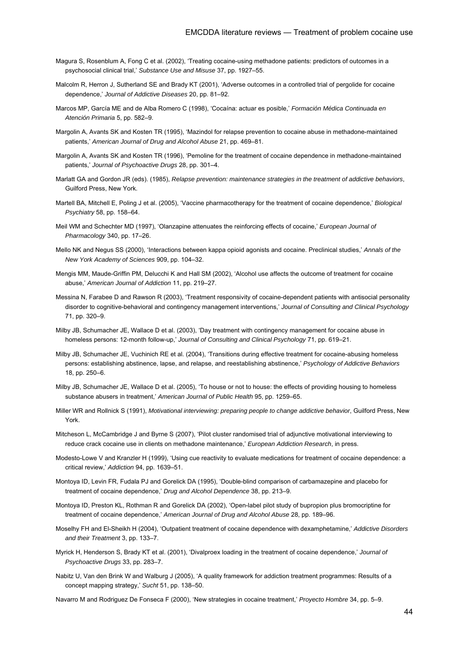- Magura S, Rosenblum A, Fong C et al. (2002), 'Treating cocaine-using methadone patients: predictors of outcomes in a psychosocial clinical trial,' *Substance Use and Misuse* 37, pp. 1927–55.
- Malcolm R, Herron J, Sutherland SE and Brady KT (2001), 'Adverse outcomes in a controlled trial of pergolide for cocaine dependence,' *Journal of Addictive Diseases* 20, pp. 81–92.
- Marcos MP, García ME and de Alba Romero C (1998), 'Cocaína: actuar es posible,' *Formación Médica Continuada en Atención Primaria* 5, pp. 582–9.
- Margolin A, Avants SK and Kosten TR (1995), 'Mazindol for relapse prevention to cocaine abuse in methadone-maintained patients,' *American Journal of Drug and Alcohol Abuse* 21, pp. 469–81.
- Margolin A, Avants SK and Kosten TR (1996), 'Pemoline for the treatment of cocaine dependence in methadone-maintained patients,' *Journal of Psychoactive Drugs* 28, pp. 301–4.
- Marlatt GA and Gordon JR (eds). (1985), *Relapse prevention: maintenance strategies in the treatment of addictive behaviors*, Guilford Press, New York.
- Martell BA, Mitchell E, Poling J et al. (2005), 'Vaccine pharmacotherapy for the treatment of cocaine dependence,' *Biological Psychiatry* 58, pp. 158–64.
- Meil WM and Schechter MD (1997), 'Olanzapine attenuates the reinforcing effects of cocaine,' *European Journal of Pharmacology* 340, pp. 17–26.
- Mello NK and Negus SS (2000), 'Interactions between kappa opioid agonists and cocaine. Preclinical studies,' *Annals of the New York Academy of Sciences* 909, pp. 104–32.
- Mengis MM, Maude-Griffin PM, Delucchi K and Hall SM (2002), 'Alcohol use affects the outcome of treatment for cocaine abuse,' *American Journal of Addiction* 11, pp. 219–27.
- Messina N, Farabee D and Rawson R (2003), 'Treatment responsivity of cocaine-dependent patients with antisocial personality disorder to cognitive-behavioral and contingency management interventions,' *Journal of Consulting and Clinical Psychology*  71, pp. 320–9.
- Milby JB, Schumacher JE, Wallace D et al. (2003), 'Day treatment with contingency management for cocaine abuse in homeless persons: 12-month follow-up,' *Journal of Consulting and Clinical Psychology* 71, pp. 619–21.
- Milby JB, Schumacher JE, Vuchinich RE et al. (2004), 'Transitions during effective treatment for cocaine-abusing homeless persons: establishing abstinence, lapse, and relapse, and reestablishing abstinence,' *Psychology of Addictive Behaviors*  18, pp. 250–6.
- Milby JB, Schumacher JE, Wallace D et al. (2005), 'To house or not to house: the effects of providing housing to homeless substance abusers in treatment,' *American Journal of Public Health* 95, pp. 1259–65.
- Miller WR and Rollnick S (1991), *Motivational interviewing: preparing people to change addictive behavior*, Guilford Press, New York.
- Mitcheson L, McCambridge J and Byrne S (2007), 'Pilot cluster randomised trial of adjunctive motivational interviewing to reduce crack cocaine use in clients on methadone maintenance,' *European Addiction Research*, in press.
- Modesto-Lowe V and Kranzler H (1999), 'Using cue reactivity to evaluate medications for treatment of cocaine dependence: a critical review,' *Addiction* 94, pp. 1639–51.
- Montoya ID, Levin FR, Fudala PJ and Gorelick DA (1995), 'Double-blind comparison of carbamazepine and placebo for treatment of cocaine dependence,' *Drug and Alcohol Dependence* 38, pp. 213–9.
- Montoya ID, Preston KL, Rothman R and Gorelick DA (2002), 'Open-label pilot study of bupropion plus bromocriptine for treatment of cocaine dependence,' *American Journal of Drug and Alcohol Abuse* 28, pp. 189–96.
- Moselhy FH and El-Sheikh H (2004), 'Outpatient treatment of cocaine dependence with dexamphetamine,' *Addictive Disorders and their Treatment* 3, pp. 133–7.
- Myrick H, Henderson S, Brady KT et al. (2001), 'Divalproex loading in the treatment of cocaine dependence,' *Journal of Psychoactive Drugs* 33, pp. 283–7.
- Nabitz U, Van den Brink W and Walburg J (2005), 'A quality framework for addiction treatment programmes: Results of a concept mapping strategy,' *Sucht* 51, pp. 138–50.

Navarro M and Rodriguez De Fonseca F (2000), 'New strategies in cocaine treatment,' *Proyecto Hombre* 34, pp. 5–9.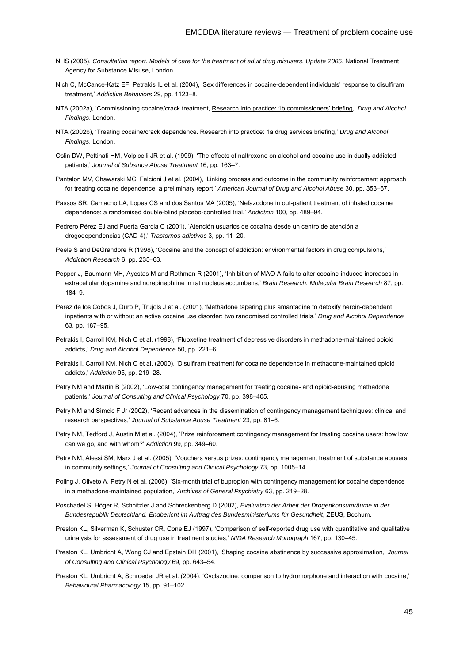- NHS (2005), *Consultation report. Models of care for the treatment of adult drug misusers. Update 2005*, National Treatment Agency for Substance Misuse, London.
- Nich C, McCance-Katz EF, Petrakis IL et al. (2004), 'Sex differences in cocaine-dependent individuals' response to disulfiram treatment,' *Addictive Behaviors* 29, pp. 1123–8.
- NTA (2002a), 'Commissioning cocaine/crack treatment, Research into practice: 1b commissioners' briefing,' *Drug and Alcohol Findings*. London.
- NTA (2002b), 'Treating cocaine/crack dependence. Research into practice: 1a drug services briefing,' *Drug and Alcohol Findings*. London.
- Oslin DW, Pettinati HM, Volpicelli JR et al. (1999), 'The effects of naltrexone on alcohol and cocaine use in dually addicted patients,' *Journal of Substnce Abuse Treatment* 16, pp. 163–7.
- Pantalon MV, Chawarski MC, Falcioni J et al. (2004), 'Linking process and outcome in the community reinforcement approach for treating cocaine dependence: a preliminary report,' *American Journal of Drug and Alcohol Abuse* 30, pp. 353–67.
- Passos SR, Camacho LA, Lopes CS and dos Santos MA (2005), 'Nefazodone in out-patient treatment of inhaled cocaine dependence: a randomised double-blind placebo-controlled trial,' *Addiction* 100, pp. 489–94.
- Pedrero Pérez EJ and Puerta Garcia C (2001), 'Atención usuarios de cocaína desde un centro de atención a drogodependencias (CAD-4),' *Trastornos adictivos* 3, pp. 11–20.
- Peele S and DeGrandpre R (1998), 'Cocaine and the concept of addiction: environmental factors in drug compulsions,' *Addiction Research* 6, pp. 235–63.
- Pepper J, Baumann MH, Ayestas M and Rothman R (2001), 'Inhibition of MAO-A fails to alter cocaine-induced increases in extracellular dopamine and norepinephrine in rat nucleus accumbens,' *Brain Research. Molecular Brain Research* 87, pp. 184–9.
- Perez de los Cobos J, Duro P, Trujols J et al. (2001), 'Methadone tapering plus amantadine to detoxify heroin-dependent inpatients with or without an active cocaine use disorder: two randomised controlled trials,' *Drug and Alcohol Dependence* 63, pp. 187–95.
- Petrakis I, Carroll KM, Nich C et al. (1998), 'Fluoxetine treatment of depressive disorders in methadone-maintained opioid addicts,' *Drug and Alcohol Dependence* 50, pp. 221–6.
- Petrakis I, Carroll KM, Nich C et al. (2000), 'Disulfiram treatment for cocaine dependence in methadone-maintained opioid addicts,' *Addiction* 95, pp. 219–28.
- Petry NM and Martin B (2002), 'Low-cost contingency management for treating cocaine- and opioid-abusing methadone patients,' *Journal of Consulting and Clinical Psychology* 70, pp. 398–405.
- Petry NM and Simcic F Jr (2002), 'Recent advances in the dissemination of contingency management techniques: clinical and research perspectives,' *Journal of Substance Abuse Treatment* 23, pp. 81–6.
- Petry NM, Tedford J, Austin M et al. (2004), 'Prize reinforcement contingency management for treating cocaine users: how low can we go, and with whom?' *Addiction* 99, pp. 349–60.
- Petry NM, Alessi SM, Marx J et al. (2005), 'Vouchers versus prizes: contingency management treatment of substance abusers in community settings,' *Journal of Consulting and Clinical Psychology* 73, pp. 1005–14.
- Poling J, Oliveto A, Petry N et al. (2006), 'Six-month trial of bupropion with contingency management for cocaine dependence in a methadone-maintained population,' *Archives of General Psychiatry* 63, pp. 219–28.
- Poschadel S, Höger R, Schnitzler J and Schreckenberg D (2002), *Evaluation der Arbeit der Drogenkonsumräume in der Bundesrepublik Deutschland. Endbericht im Auftrag des Bundesministeriums für Gesundheit*, ZEUS, Bochum.
- Preston KL, Silverman K, Schuster CR, Cone EJ (1997), 'Comparison of self-reported drug use with quantitative and qualitative urinalysis for assessment of drug use in treatment studies,' *NIDA Research Monograph* 167, pp. 130–45.
- Preston KL, Umbricht A, Wong CJ and Epstein DH (2001), 'Shaping cocaine abstinence by successive approximation,' *Journal of Consulting and Clinical Psychology* 69, pp. 643–54.
- Preston KL, Umbricht A, Schroeder JR et al. (2004), 'Cyclazocine: comparison to hydromorphone and interaction with cocaine,' *Behavioural Pharmacology* 15, pp. 91–102.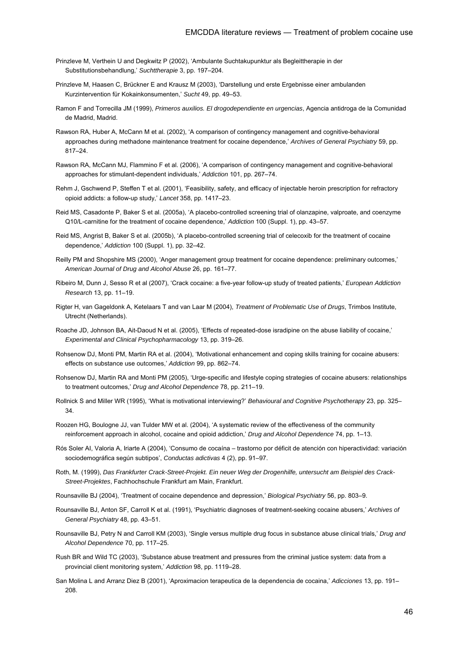- Prinzleve M, Verthein U and Degkwitz P (2002), 'Ambulante Suchtakupunktur als Begleittherapie in der Substitutionsbehandlung,' *Suchttherapie* 3, pp. 197–204.
- Prinzleve M, Haasen C, Brückner E and Krausz M (2003), 'Darstellung und erste Ergebnisse einer ambulanden Kurzintervention für Kokainkonsumenten,' *Sucht* 49, pp. 49–53.
- Ramon F and Torrecilla JM (1999), *Primeros auxilios. El drogodependiente en urgencias*, Agencia antidroga de la Comunidad de Madrid, Madrid.
- Rawson RA, Huber A, McCann M et al. (2002), 'A comparison of contingency management and cognitive-behavioral approaches during methadone maintenance treatment for cocaine dependence,' *Archives of General Psychiatry* 59, pp. 817–24.
- Rawson RA, McCann MJ, Flammino F et al. (2006), 'A comparison of contingency management and cognitive-behavioral approaches for stimulant-dependent individuals,' *Addiction* 101, pp. 267–74.
- Rehm J, Gschwend P, Steffen T et al. (2001), 'Feasibility, safety, and efficacy of injectable heroin prescription for refractory opioid addicts: a follow-up study,' *Lancet* 358, pp. 1417–23.
- Reid MS, Casadonte P, Baker S et al. (2005a), 'A placebo-controlled screening trial of olanzapine, valproate, and coenzyme Q10/L-carnitine for the treatment of cocaine dependence,' *Addiction* 100 (Suppl. 1), pp. 43–57.
- Reid MS, Angrist B, Baker S et al. (2005b), 'A placebo-controlled screening trial of celecoxib for the treatment of cocaine dependence,' *Addiction* 100 (Suppl. 1), pp. 32–42.
- Reilly PM and Shopshire MS (2000), 'Anger management group treatment for cocaine dependence: preliminary outcomes,' *American Journal of Drug and Alcohol Abuse* 26, pp. 161–77.
- Ribeiro M, Dunn J, Sesso R et al (2007), 'Crack cocaine: a five-year follow-up study of treated patients,' *European Addiction Research* 13, pp. 11–19.
- Rigter H, van Gageldonk A, Ketelaars T and van Laar M (2004), *Treatment of Problematic Use of Drugs*, Trimbos Institute, Utrecht (Netherlands).
- Roache JD, Johnson BA, Ait-Daoud N et al. (2005), 'Effects of repeated-dose isradipine on the abuse liability of cocaine,' *Experimental and Clinical Psychopharmacology* 13, pp. 319–26.
- Rohsenow DJ, Monti PM, Martin RA et al. (2004), 'Motivational enhancement and coping skills training for cocaine abusers: effects on substance use outcomes,' *Addiction* 99, pp. 862–74.
- Rohsenow DJ, Martin RA and Monti PM (2005), 'Urge-specific and lifestyle coping strategies of cocaine abusers: relationships to treatment outcomes,' *Drug and Alcohol Dependence* 78, pp. 211–19.
- Rollnick S and Miller WR (1995), 'What is motivational interviewing?' *Behavioural and Cognitive Psychotherapy* 23, pp. 325– 34.
- Roozen HG, Boulogne JJ, van Tulder MW et al. (2004), 'A systematic review of the effectiveness of the community reinforcement approach in alcohol, cocaine and opioid addiction,' *Drug and Alcohol Dependence* 74, pp. 1–13.
- Rós Soler AI, Valoria A, Iriarte A (2004), 'Consumo de cocaína trastorno por déficit de atención con hiperactividad: variación sociodemográfica según subtipos', *Conductas adictivas* 4 (2), pp. 91–97.
- Roth, M. (1999), *Das Frankfurter Crack-Street-Projekt. Ein neuer Weg der Drogenhilfe, untersucht am Beispiel des Crack-Street-Projektes*, Fachhochschule Frankfurt am Main, Frankfurt.
- Rounsaville BJ (2004), 'Treatment of cocaine dependence and depression,' *Biological Psychiatry* 56, pp. 803–9.
- Rounsaville BJ, Anton SF, Carroll K et al. (1991), 'Psychiatric diagnoses of treatment-seeking cocaine abusers,' *Archives of General Psychiatry* 48, pp. 43–51.
- Rounsaville BJ, Petry N and Carroll KM (2003), 'Single versus multiple drug focus in substance abuse clinical trials,' *Drug and Alcohol Dependence* 70, pp. 117–25.
- Rush BR and Wild TC (2003), 'Substance abuse treatment and pressures from the criminal justice system: data from a provincial client monitoring system,' *Addiction* 98, pp. 1119–28.
- San Molina L and Arranz Diez B (2001), 'Aproximacion terapeutica de la dependencia de cocaina,' *Adicciones* 13, pp. 191– 208.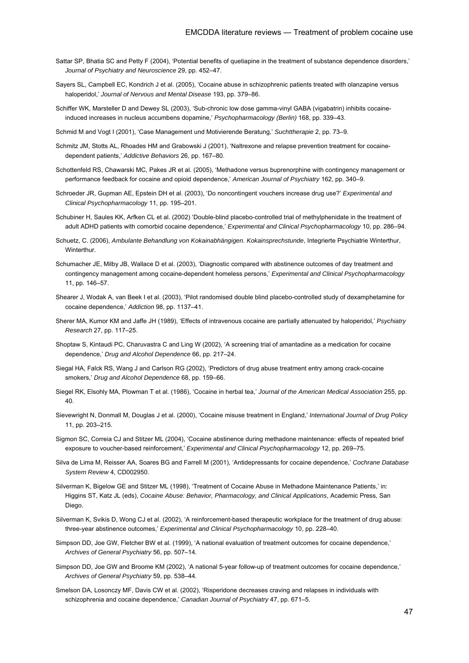- Sattar SP, Bhatia SC and Petty F (2004), 'Potential benefits of quetiapine in the treatment of substance dependence disorders,' *Journal of Psychiatry and Neuroscience* 29, pp. 452–47.
- Sayers SL, Campbell EC, Kondrich J et al. (2005), 'Cocaine abuse in schizophrenic patients treated with olanzapine versus haloperidol,' *Journal of Nervous and Mental Disease* 193, pp. 379–86.
- Schiffer WK, Marsteller D and Dewey SL (2003), 'Sub-chronic low dose gamma-vinyl GABA (vigabatrin) inhibits cocaineinduced increases in nucleus accumbens dopamine,' *Psychopharmacology (Berlin)* 168, pp. 339–43.
- Schmid M and Vogt I (2001), 'Case Management und Motivierende Beratung,' *Suchttherapie* 2, pp. 73–9.
- Schmitz JM, Stotts AL, Rhoades HM and Grabowski J (2001), 'Naltrexone and relapse prevention treatment for cocainedependent patients,' *Addictive Behaviors* 26, pp. 167–80.
- Schottenfeld RS, Chawarski MC, Pakes JR et al. (2005), 'Methadone versus buprenorphine with contingency management or performance feedback for cocaine and opioid dependence,' *American Journal of Psychiatry* 162, pp. 340–9.
- Schroeder JR, Gupman AE, Epstein DH et al. (2003), 'Do noncontingent vouchers increase drug use?' *Experimental and Clinical Psychopharmacology* 11, pp. 195–201.
- Schubiner H, Saules KK, Arfken CL et al. (2002) 'Double-blind placebo-controlled trial of methylphenidate in the treatment of adult ADHD patients with comorbid cocaine dependence,' *Experimental and Clinical Psychopharmacology* 10, pp. 286–94.
- Schuetz, C. (2006), *Ambulante Behandlung von Kokainabhängigen. Kokainsprechstunde*, Integrierte Psychiatrie Winterthur, **Winterthur**
- Schumacher JE, Milby JB, Wallace D et al. (2003), 'Diagnostic compared with abstinence outcomes of day treatment and contingency management among cocaine-dependent homeless persons,' *Experimental and Clinical Psychopharmacology*  11, pp. 146–57.
- Shearer J, Wodak A, van Beek I et al. (2003), 'Pilot randomised double blind placebo-controlled study of dexamphetamine for cocaine dependence,' *Addiction* 98, pp. 1137–41.
- Sherer MA, Kumor KM and Jaffe JH (1989), 'Effects of intravenous cocaine are partially attenuated by haloperidol,' *Psychiatry Research* 27, pp. 117–25.
- Shoptaw S, Kintaudi PC, Charuvastra C and Ling W (2002), 'A screening trial of amantadine as a medication for cocaine dependence,' *Drug and Alcohol Dependence* 66, pp. 217–24.
- Siegal HA, Falck RS, Wang J and Carlson RG (2002), 'Predictors of drug abuse treatment entry among crack-cocaine smokers,' *Drug and Alcohol Dependence* 68, pp. 159–66.
- Siegel RK, Elsohly MA, Plowman T et al. (1986), 'Cocaine in herbal tea,' *Journal of the American Medical Association* 255, pp. 40.
- Sievewright N, Donmall M, Douglas J et al. (2000), 'Cocaine misuse treatment in England,' *International Journal of Drug Policy*  11, pp. 203–215.
- Sigmon SC, Correia CJ and Stitzer ML (2004), 'Cocaine abstinence during methadone maintenance: effects of repeated brief exposure to voucher-based reinforcement,' *Experimental and Clinical Psychopharmacology* 12, pp. 269–75.
- Silva de Lima M, Reisser AA, Soares BG and Farrell M (2001), 'Antidepressants for cocaine dependence,' *Cochrane Database System Review* 4, CD002950.
- Silverman K, Bigelow GE and Stitzer ML (1998), 'Treatment of Cocaine Abuse in Methadone Maintenance Patients,' in: Higgins ST, Katz JL (eds), *Cocaine Abuse: Behavior, Pharmacology, and Clinical Applications*, Academic Press, San Diego.
- Silverman K, Svikis D, Wong CJ et al. (2002), 'A reinforcement-based therapeutic workplace for the treatment of drug abuse: three-year abstinence outcomes,' *Experimental and Clinical Psychopharmacology* 10, pp. 228–40.
- Simpson DD, Joe GW, Fletcher BW et al. (1999), 'A national evaluation of treatment outcomes for cocaine dependence,' *Archives of General Psychiatry* 56, pp. 507–14.
- Simpson DD, Joe GW and Broome KM (2002), 'A national 5-year follow-up of treatment outcomes for cocaine dependence,' *Archives of General Psychiatry* 59, pp. 538–44.
- Smelson DA, Losonczy MF, Davis CW et al. (2002), 'Risperidone decreases craving and relapses in individuals with schizophrenia and cocaine dependence,' *Canadian Journal of Psychiatry* 47, pp. 671–5.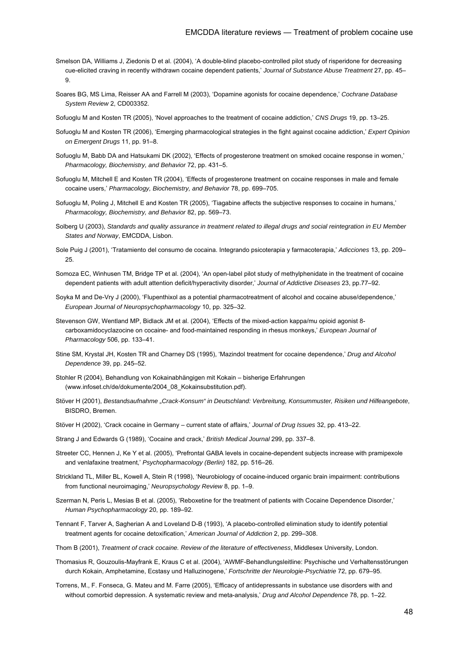- Smelson DA, Williams J, Ziedonis D et al. (2004), 'A double-blind placebo-controlled pilot study of risperidone for decreasing cue-elicited craving in recently withdrawn cocaine dependent patients,' *Journal of Substance Abuse Treatment* 27, pp. 45– 9.
- Soares BG, MS Lima, Reisser AA and Farrell M (2003), 'Dopamine agonists for cocaine dependence,' *Cochrane Database System Review* 2, CD003352.
- Sofuoglu M and Kosten TR (2005), 'Novel approaches to the treatment of cocaine addiction,' *CNS Drugs* 19, pp. 13–25.
- Sofuoglu M and Kosten TR (2006), 'Emerging pharmacological strategies in the fight against cocaine addiction,' *Expert Opinion on Emergent Drugs* 11, pp. 91–8.
- Sofuoglu M, Babb DA and Hatsukami DK (2002), 'Effects of progesterone treatment on smoked cocaine response in women,' *Pharmacology, Biochemistry, and Behavior* 72, pp. 431–5.
- Sofuoglu M, Mitchell E and Kosten TR (2004), 'Effects of progesterone treatment on cocaine responses in male and female cocaine users,' *Pharmacology, Biochemistry, and Behavior* 78, pp. 699–705.
- Sofuoglu M, Poling J, Mitchell E and Kosten TR (2005), 'Tiagabine affects the subjective responses to cocaine in humans,' *Pharmacology, Biochemistry, and Behavior* 82, pp. 569–73.
- Solberg U (2003), *Standards and quality assurance in treatment related to illegal drugs and social reintegration in EU Member States and Norway*, EMCDDA, Lisbon.
- Sole Puig J (2001), 'Tratamiento del consumo de cocaina. Integrando psicoterapia y farmacoterapia,' *Adicciones* 13, pp. 209– 25.
- Somoza EC, Winhusen TM, Bridge TP et al. (2004), 'An open-label pilot study of methylphenidate in the treatment of cocaine dependent patients with adult attention deficit/hyperactivity disorder,' *Journal of Addictive Diseases* 23, pp.77–92.
- Soyka M and De-Vry J (2000), 'Flupenthixol as a potential pharmacotreatment of alcohol and cocaine abuse/dependence,' *European Journal of Neuropsychopharmacology* 10, pp. 325–32.
- Stevenson GW, Wentland MP, Bidlack JM et al. (2004), 'Effects of the mixed-action kappa/mu opioid agonist 8 carboxamidocyclazocine on cocaine- and food-maintained responding in rhesus monkeys,' *European Journal of Pharmacology* 506, pp. 133–41.
- Stine SM, Krystal JH, Kosten TR and Charney DS (1995), 'Mazindol treatment for cocaine dependence,' *Drug and Alcohol Dependence* 39, pp. 245–52.
- Stohler R (2004), Behandlung von Kokainabhängigen mit Kokain bisherige Erfahrungen (www.infoset.ch/de/dokumente/2004\_08\_Kokainsubstitution.pdf).
- Stöver H (2001), *Bestandsaufnahme "Crack-Konsum" in Deutschland: Verbreitung, Konsummuster, Risiken und Hilfeangebote*, BISDRO, Bremen.
- Stöver H (2002), 'Crack cocaine in Germany current state of affairs,' *Journal of Drug Issues* 32, pp. 413–22.
- Strang J and Edwards G (1989), 'Cocaine and crack,' *British Medical Journal* 299, pp. 337–8.
- Streeter CC, Hennen J, Ke Y et al. (2005), 'Prefrontal GABA levels in cocaine-dependent subjects increase with pramipexole and venlafaxine treatment,' *Psychopharmacology (Berlin)* 182, pp. 516–26.
- Strickland TL, Miller BL, Kowell A, Stein R (1998), 'Neurobiology of cocaine-induced organic brain impairment: contributions from functional neuroimaging,' *Neuropsychology Review* 8, pp. 1–9.
- Szerman N, Peris L, Mesias B et al. (2005), 'Reboxetine for the treatment of patients with Cocaine Dependence Disorder,' *Human Psychopharmacology* 20, pp. 189–92.
- Tennant F, Tarver A, Sagherian A and Loveland D-B (1993), 'A placebo-controlled elimination study to identify potential treatment agents for cocaine detoxification,' *American Journal of Addiction* 2, pp. 299–308.
- Thom B (2001), *Treatment of crack cocaine. Review of the literature of effectiveness*, Middlesex University, London.
- Thomasius R, Gouzoulis-Mayfrank E, Kraus C et al. (2004), 'AWMF-Behandlungsleitline: Psychische und Verhaltensstörungen durch Kokain, Amphetamine, Ecstasy und Halluzinogene,' *Fortschritte der Neurologie-Psychiatrie* 72, pp. 679–95.
- Torrens, M., F. Fonseca, G. Mateu and M. Farre (2005), 'Efficacy of antidepressants in substance use disorders with and without comorbid depression. A systematic review and meta-analysis,' *Drug and Alcohol Dependence* 78, pp. 1–22.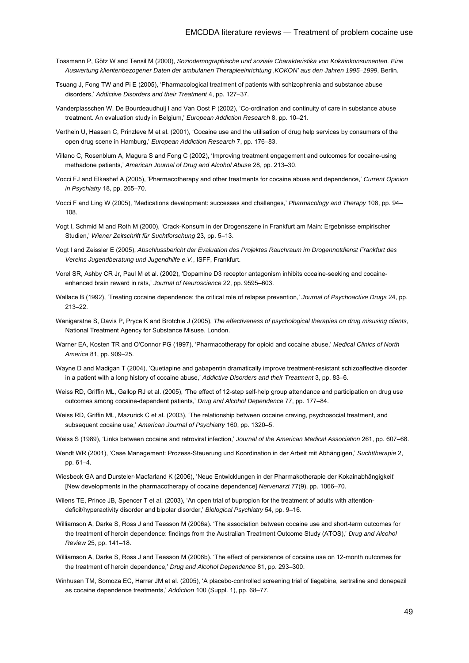- Tossmann P, Götz W and Tensil M (2000), *Soziodemographische und soziale Charakteristika von Kokainkonsumenten. Eine Auswertung klientenbezogener Daten der ambulanen Therapieeinrichtung 'KOKON' aus den Jahren 1995–1999*, Berlin.
- Tsuang J, Fong TW and Pi E (2005), 'Pharmacological treatment of patients with schizophrenia and substance abuse disorders,' *Addictive Disorders and their Treatment* 4, pp. 127–37.
- Vanderplasschen W, De Bourdeaudhuij I and Van Oost P (2002), 'Co-ordination and continuity of care in substance abuse treatment. An evaluation study in Belgium,' *European Addiction Research* 8, pp. 10–21.
- Verthein U, Haasen C, Prinzleve M et al. (2001), 'Cocaine use and the utilisation of drug help services by consumers of the open drug scene in Hamburg,' *European Addiction Research* 7, pp. 176–83.
- Villano C, Rosenblum A, Magura S and Fong C (2002), 'Improving treatment engagement and outcomes for cocaine-using methadone patients,' *American Journal of Drug and Alcohol Abuse* 28, pp. 213–30.
- Vocci FJ and Elkashef A (2005), 'Pharmacotherapy and other treatments for cocaine abuse and dependence,' *Current Opinion in Psychiatry* 18, pp. 265–70.
- Vocci F and Ling W (2005), 'Medications development: successes and challenges,' *Pharmacology and Therapy* 108, pp. 94– 108.
- Vogt I, Schmid M and Roth M (2000), 'Crack-Konsum in der Drogenszene in Frankfurt am Main: Ergebnisse empirischer Studien,' *Wiener Zeitschrift für Suchtforschung* 23, pp. 5–13.
- Vogt I and Zeissler E (2005), *Abschlussbericht der Evaluation des Projektes Rauchraum im Drogennotdienst Frankfurt des Vereins Jugendberatung und Jugendhilfe e.V.*, ISFF, Frankfurt.
- Vorel SR, Ashby CR Jr, Paul M et al. (2002), 'Dopamine D3 receptor antagonism inhibits cocaine-seeking and cocaineenhanced brain reward in rats,' *Journal of Neuroscience* 22, pp. 9595–603.
- Wallace B (1992), 'Treating cocaine dependence: the critical role of relapse prevention,' *Journal of Psychoactive Drugs* 24, pp. 213–22.
- Wanigaratne S, Davis P, Pryce K and Brotchie J (2005), *The effectiveness of psychological therapies on drug misusing clients*, National Treatment Agency for Substance Misuse, London.
- Warner EA, Kosten TR and O'Connor PG (1997), 'Pharmacotherapy for opioid and cocaine abuse,' *Medical Clinics of North America* 81, pp. 909–25.
- Wayne D and Madigan T (2004), 'Quetiapine and gabapentin dramatically improve treatment-resistant schizoaffective disorder in a patient with a long history of cocaine abuse,' *Addictive Disorders and their Treatment* 3, pp. 83–6.
- Weiss RD, Griffin ML, Gallop RJ et al. (2005), 'The effect of 12-step self-help group attendance and participation on drug use outcomes among cocaine-dependent patients,' *Drug and Alcohol Dependence* 77, pp. 177–84.
- Weiss RD, Griffin ML, Mazurick C et al. (2003), 'The relationship between cocaine craving, psychosocial treatment, and subsequent cocaine use,' *American Journal of Psychiatry* 160, pp. 1320–5.
- Weiss S (1989), 'Links between cocaine and retroviral infection,' *Journal of the American Medical Association* 261, pp. 607–68.
- Wendt WR (2001), 'Case Management: Prozess-Steuerung und Koordination in der Arbeit mit Abhängigen,' *Suchttherapie* 2, pp. 61–4.
- Wiesbeck GA and Dursteler-Macfarland K (2006), 'Neue Entwicklungen in der Pharmakotherapie der Kokainabhängigkeit' [New developments in the pharmacotherapy of cocaine dependence] *Nervenarzt* 77(9), pp. 1066–70.
- Wilens TE, Prince JB, Spencer T et al. (2003), 'An open trial of bupropion for the treatment of adults with attentiondeficit/hyperactivity disorder and bipolar disorder,' *Biological Psychiatry* 54, pp. 9–16.
- Williamson A, Darke S, Ross J and Teesson M (2006a). 'The association between cocaine use and short-term outcomes for the treatment of heroin dependence: findings from the Australian Treatment Outcome Study (ATOS),' *Drug and Alcohol Review* 25, pp. 141–18.
- Williamson A, Darke S, Ross J and Teesson M (2006b). 'The effect of persistence of cocaine use on 12-month outcomes for the treatment of heroin dependence,' *Drug and Alcohol Dependence* 81, pp. 293–300.
- Winhusen TM, Somoza EC, Harrer JM et al. (2005), 'A placebo-controlled screening trial of tiagabine, sertraline and donepezil as cocaine dependence treatments,' *Addiction* 100 (Suppl. 1), pp. 68–77.